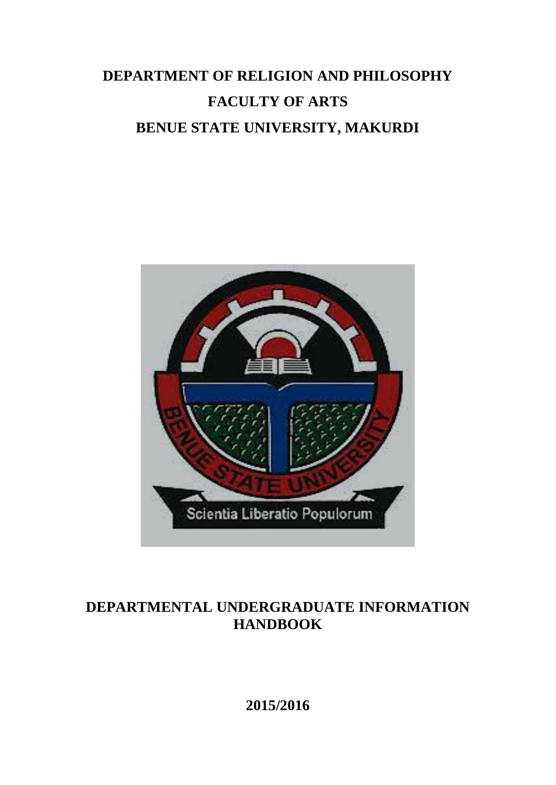# **DEPARTMENT OF RELIGION AND PHILOSOPHY FACULTY OF ARTS BENUE STATE UNIVERSITY, MAKURDI**



# **DEPARTMENTAL UNDERGRADUATE INFORMATION HANDBOOK**

**2015/2016**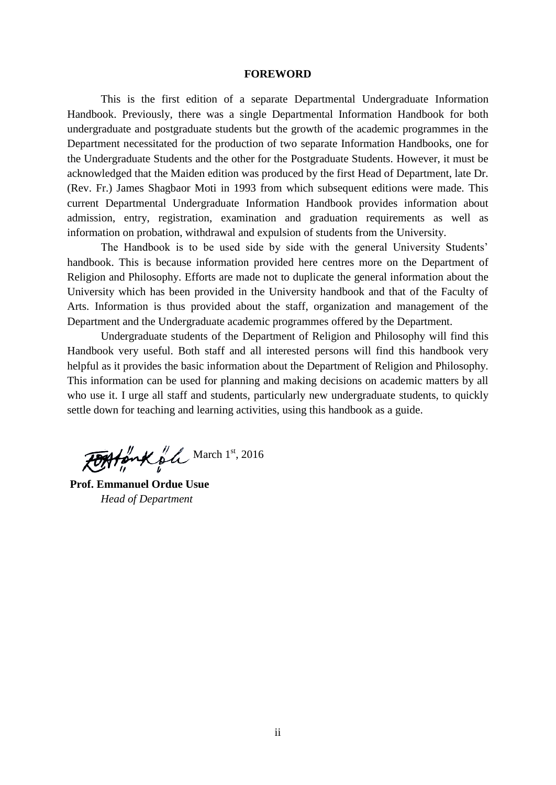#### **FOREWORD**

This is the first edition of a separate Departmental Undergraduate Information Handbook. Previously, there was a single Departmental Information Handbook for both undergraduate and postgraduate students but the growth of the academic programmes in the Department necessitated for the production of two separate Information Handbooks, one for the Undergraduate Students and the other for the Postgraduate Students. However, it must be acknowledged that the Maiden edition was produced by the first Head of Department, late Dr. (Rev. Fr.) James Shagbaor Moti in 1993 from which subsequent editions were made. This current Departmental Undergraduate Information Handbook provides information about admission, entry, registration, examination and graduation requirements as well as information on probation, withdrawal and expulsion of students from the University.

The Handbook is to be used side by side with the general University Students' handbook. This is because information provided here centres more on the Department of Religion and Philosophy. Efforts are made not to duplicate the general information about the University which has been provided in the University handbook and that of the Faculty of Arts. Information is thus provided about the staff, organization and management of the Department and the Undergraduate academic programmes offered by the Department.

Undergraduate students of the Department of Religion and Philosophy will find this Handbook very useful. Both staff and all interested persons will find this handbook very helpful as it provides the basic information about the Department of Religion and Philosophy. This information can be used for planning and making decisions on academic matters by all who use it. I urge all staff and students, particularly new undergraduate students, to quickly settle down for teaching and learning activities, using this handbook as a guide.

FOAtonk ol March 1st, 2016

**Prof. Emmanuel Ordue Usue** *Head of Department*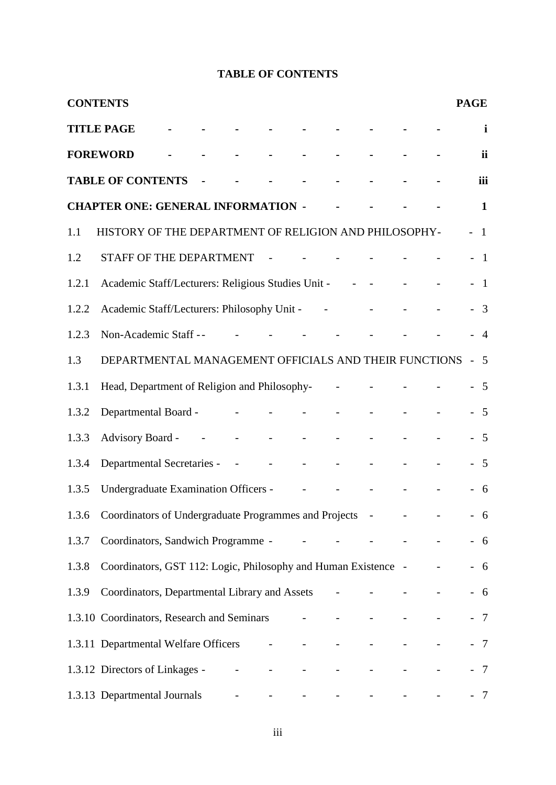# **TABLE OF CONTENTS**

|       | <b>CONTENTS</b>                                                |  |                                                                                     |                          |                          |  |  | <b>PAGE</b> |                         |
|-------|----------------------------------------------------------------|--|-------------------------------------------------------------------------------------|--------------------------|--------------------------|--|--|-------------|-------------------------|
|       | <b>TITLE PAGE</b>                                              |  |                                                                                     |                          |                          |  |  |             | i                       |
|       | <b>FOREWORD</b>                                                |  |                                                                                     |                          |                          |  |  |             | ii                      |
|       | <b>TABLE OF CONTENTS</b>                                       |  |                                                                                     |                          |                          |  |  |             | iii                     |
|       | <b>CHAPTER ONE: GENERAL INFORMATION -</b>                      |  |                                                                                     |                          |                          |  |  |             | $\mathbf{1}$            |
| 1.1   | HISTORY OF THE DEPARTMENT OF RELIGION AND PHILOSOPHY-          |  |                                                                                     |                          |                          |  |  |             | $\overline{1}$          |
| 1.2   | STAFF OF THE DEPARTMENT                                        |  |                                                                                     | $\sim$ $-$               |                          |  |  |             | $\overline{1}$          |
| 1.2.1 | Academic Staff/Lecturers: Religious Studies Unit - - - -       |  |                                                                                     |                          |                          |  |  |             | $\overline{1}$          |
| 1.2.2 | Academic Staff/Lecturers: Philosophy Unit -                    |  |                                                                                     |                          |                          |  |  |             | $\overline{\mathbf{3}}$ |
| 1.2.3 | Non-Academic Staff --                                          |  |                                                                                     |                          |                          |  |  |             | $\overline{4}$          |
| 1.3   | DEPARTMENTAL MANAGEMENT OFFICIALS AND THEIR FUNCTIONS          |  |                                                                                     |                          |                          |  |  |             | 5                       |
| 1.3.1 | Head, Department of Religion and Philosophy-                   |  |                                                                                     |                          |                          |  |  |             | - 5                     |
| 1.3.2 | Departmental Board -                                           |  | $\blacksquare$                                                                      |                          |                          |  |  |             | $\overline{5}$          |
| 1.3.3 | Advisory Board - - - - - - -                                   |  |                                                                                     |                          |                          |  |  |             | $-5$                    |
| 1.3.4 | Departmental Secretaries - - - - - -                           |  |                                                                                     |                          |                          |  |  |             | 5                       |
| 1.3.5 | Undergraduate Examination Officers -                           |  |                                                                                     | $\sim 10^{11}$ m $^{-1}$ |                          |  |  |             | 6                       |
|       | 1.3.6 Coordinators of Undergraduate Programmes and Projects -  |  |                                                                                     |                          |                          |  |  |             | $-6$                    |
| 1.3.7 | Coordinators, Sandwich Programme -                             |  |                                                                                     |                          |                          |  |  |             | 6                       |
| 1.3.8 | Coordinators, GST 112: Logic, Philosophy and Human Existence - |  |                                                                                     |                          |                          |  |  |             | 6                       |
| 1.3.9 | Coordinators, Departmental Library and Assets                  |  |                                                                                     |                          |                          |  |  |             | $-6$                    |
|       | 1.3.10 Coordinators, Research and Seminars                     |  |                                                                                     |                          |                          |  |  |             | $\overline{7}$          |
|       | 1.3.11 Departmental Welfare Officers -                         |  |                                                                                     |                          | $\overline{\phantom{a}}$ |  |  |             | $-7$                    |
|       | 1.3.12 Directors of Linkages -                                 |  | $\frac{1}{2} \left( \frac{1}{2} \right)$ , $\frac{1}{2} \left( \frac{1}{2} \right)$ |                          |                          |  |  |             | $\overline{7}$          |
|       | 1.3.13 Departmental Journals                                   |  |                                                                                     |                          |                          |  |  |             | 7                       |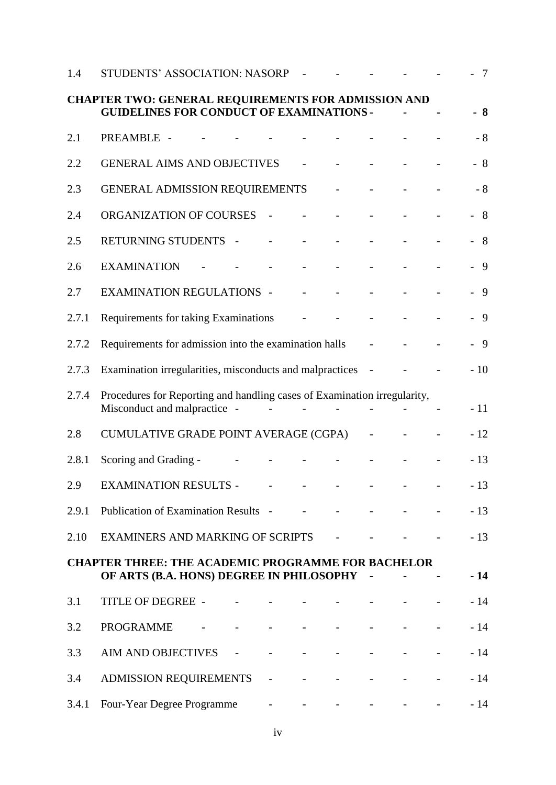| 1.4   | STUDENTS' ASSOCIATION: NASORP                                                                                 |                                             |                                    |        |  | $\overline{7}$ |
|-------|---------------------------------------------------------------------------------------------------------------|---------------------------------------------|------------------------------------|--------|--|----------------|
|       | <b>CHAPTER TWO: GENERAL REQUIREMENTS FOR ADMISSION AND</b><br><b>GUIDELINES FOR CONDUCT OF EXAMINATIONS -</b> |                                             |                                    |        |  | $-8$           |
| 2.1   | PREAMBLE -                                                                                                    |                                             |                                    |        |  | $-8$           |
| 2.2   | <b>GENERAL AIMS AND OBJECTIVES</b>                                                                            |                                             |                                    |        |  | $-8$           |
| 2.3   | GENERAL ADMISSION REQUIREMENTS                                                                                |                                             |                                    |        |  | $-8$           |
| 2.4   | ORGANIZATION OF COURSES<br>$\overline{\phantom{a}}$                                                           | $\overline{\phantom{a}}$                    |                                    |        |  | $-8$           |
| 2.5   | RETURNING STUDENTS -                                                                                          |                                             |                                    |        |  | $-8$           |
| 2.6   | <b>EXAMINATION</b>                                                                                            |                                             |                                    |        |  | $-9$           |
| 2.7   | <b>EXAMINATION REGULATIONS -</b>                                                                              |                                             |                                    |        |  | $-9$           |
| 2.7.1 | Requirements for taking Examinations                                                                          |                                             |                                    |        |  | $-9$           |
| 2.7.2 | Requirements for admission into the examination halls                                                         |                                             |                                    |        |  | $-9$           |
| 2.7.3 | Examination irregularities, misconducts and malpractices                                                      |                                             |                                    | $\sim$ |  | $-10$          |
| 2.7.4 | Procedures for Reporting and handling cases of Examination irregularity,<br>Misconduct and malpractice -      | $\omega_{\rm{max}}$ and $\omega_{\rm{max}}$ |                                    |        |  | $-11$          |
| 2.8   | CUMULATIVE GRADE POINT AVERAGE (CGPA)                                                                         |                                             |                                    |        |  | $-12$          |
| 2.8.1 | Scoring and Grading -                                                                                         |                                             |                                    |        |  | $-13$          |
| 2.9   | <b>EXAMINATION RESULTS -</b>                                                                                  |                                             |                                    |        |  | $-13$          |
| 2.9.1 | Publication of Examination Results - - - - -                                                                  |                                             |                                    |        |  | $-13$          |
| 2.10  |                                                                                                               |                                             |                                    |        |  | $-13$          |
|       | <b>CHAPTER THREE: THE ACADEMIC PROGRAMME FOR BACHELOR</b><br>OF ARTS (B.A. HONS) DEGREE IN PHILOSOPHY -       |                                             |                                    |        |  | $-14$          |
| 3.1   | TITLE OF DEGREE -                                                                                             |                                             |                                    |        |  | $-14$          |
| 3.2   | PROGRAMME - - - - -                                                                                           |                                             |                                    |        |  | $-14$          |
| 3.3   | AIM AND OBJECTIVES - - -                                                                                      | $\Delta \sim 10^{11}$ km s $^{-1}$          | $\omega$ and $\omega$ and $\omega$ |        |  | $-14$          |
| 3.4   | ADMISSION REQUIREMENTS -                                                                                      | $\omega_{\rm{max}}$ and $\omega_{\rm{max}}$ | $\overline{\phantom{a}}$           |        |  | $-14$          |
| 3.4.1 | Four-Year Degree Programme                                                                                    |                                             |                                    |        |  | $-14$          |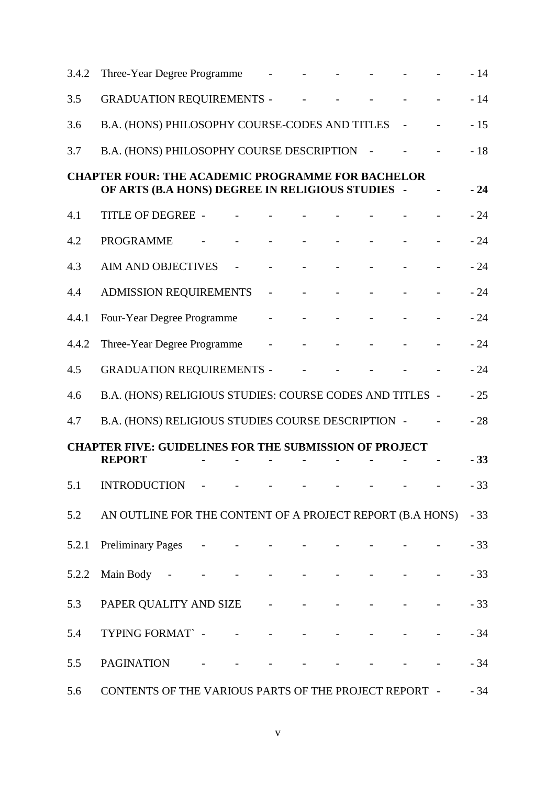| 3.4.2 | Three-Year Degree Programme                                                                                  |                | <b>All Control</b> |  |                                                                     | $-14$ |
|-------|--------------------------------------------------------------------------------------------------------------|----------------|--------------------|--|---------------------------------------------------------------------|-------|
| 3.5   | <b>GRADUATION REQUIREMENTS -</b>                                                                             |                |                    |  |                                                                     | $-14$ |
| 3.6   | B.A. (HONS) PHILOSOPHY COURSE-CODES AND TITLES                                                               |                |                    |  |                                                                     | $-15$ |
| 3.7   | B.A. (HONS) PHILOSOPHY COURSE DESCRIPTION                                                                    |                |                    |  |                                                                     | $-18$ |
|       | <b>CHAPTER FOUR: THE ACADEMIC PROGRAMME FOR BACHELOR</b><br>OF ARTS (B.A HONS) DEGREE IN RELIGIOUS STUDIES - |                |                    |  |                                                                     | $-24$ |
| 4.1   | TITLE OF DEGREE -                                                                                            |                |                    |  |                                                                     | $-24$ |
| 4.2   | <b>PROGRAMME</b>                                                                                             |                |                    |  |                                                                     | $-24$ |
| 4.3   | <b>AIM AND OBJECTIVES</b>                                                                                    | $\blacksquare$ | $\Delta \sim 100$  |  |                                                                     | $-24$ |
| 4.4   | <b>ADMISSION REQUIREMENTS</b>                                                                                |                |                    |  |                                                                     | $-24$ |
| 4.4.1 | Four-Year Degree Programme                                                                                   |                |                    |  |                                                                     | $-24$ |
| 4.4.2 | Three-Year Degree Programme                                                                                  |                | $\Delta \sim 100$  |  |                                                                     | $-24$ |
| 4.5   | <b>GRADUATION REQUIREMENTS -</b>                                                                             |                |                    |  |                                                                     | $-24$ |
| 4.6   | B.A. (HONS) RELIGIOUS STUDIES: COURSE CODES AND TITLES -                                                     |                |                    |  |                                                                     | $-25$ |
| 4.7   | B.A. (HONS) RELIGIOUS STUDIES COURSE DESCRIPTION -                                                           |                |                    |  |                                                                     | $-28$ |
|       | <b>CHAPTER FIVE: GUIDELINES FOR THE SUBMISSION OF PROJECT</b><br><b>REPORT</b>                               |                |                    |  |                                                                     | $-33$ |
| 5.1   | <b>INTRODUCTION</b>                                                                                          |                |                    |  |                                                                     | 33    |
|       | 5.2 AN OUTLINE FOR THE CONTENT OF A PROJECT REPORT (B.A HONS) - 33                                           |                |                    |  |                                                                     |       |
| 5.2.1 | Preliminary Pages - - - - - - -                                                                              |                |                    |  |                                                                     | $-33$ |
| 5.2.2 | Main Body - - - - - - - - - -                                                                                |                |                    |  |                                                                     | $-33$ |
| 5.3   | PAPER QUALITY AND SIZE - - - - - - - - - -                                                                   |                |                    |  |                                                                     | $-33$ |
| 5.4   | TYPING FORMAT $\sim$ - - - - - - - - -                                                                       |                |                    |  |                                                                     | $-34$ |
| 5.5   | PAGINATION - - - - - - -                                                                                     |                |                    |  | $\omega_{\rm{max}}$ and $\omega_{\rm{max}}$ and $\omega_{\rm{max}}$ | $-34$ |
| 5.6   | CONTENTS OF THE VARIOUS PARTS OF THE PROJECT REPORT -                                                        |                |                    |  |                                                                     | $-34$ |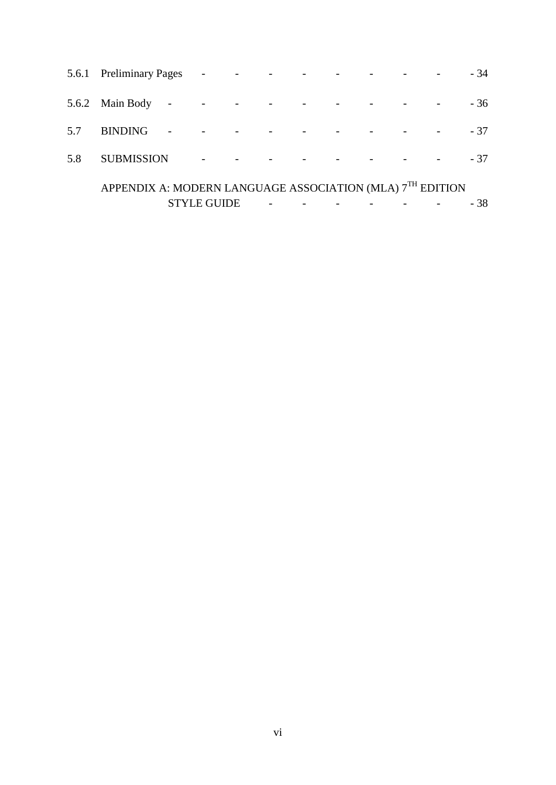|     | 5.6.1 Preliminary Pages -                                             |                    |                          |  |  |  | $-34$ |
|-----|-----------------------------------------------------------------------|--------------------|--------------------------|--|--|--|-------|
|     | $5.6.2$ Main Body -                                                   |                    | $\overline{\phantom{a}}$ |  |  |  | $-36$ |
| 5.7 | <b>BINDING</b>                                                        |                    |                          |  |  |  | $-37$ |
| 5.8 | <b>SUBMISSION</b>                                                     |                    |                          |  |  |  | $-37$ |
|     | APPENDIX A: MODERN LANGUAGE ASSOCIATION (MLA) 7 <sup>TH</sup> EDITION |                    |                          |  |  |  |       |
|     |                                                                       | <b>STYLE GUIDE</b> |                          |  |  |  | - 38  |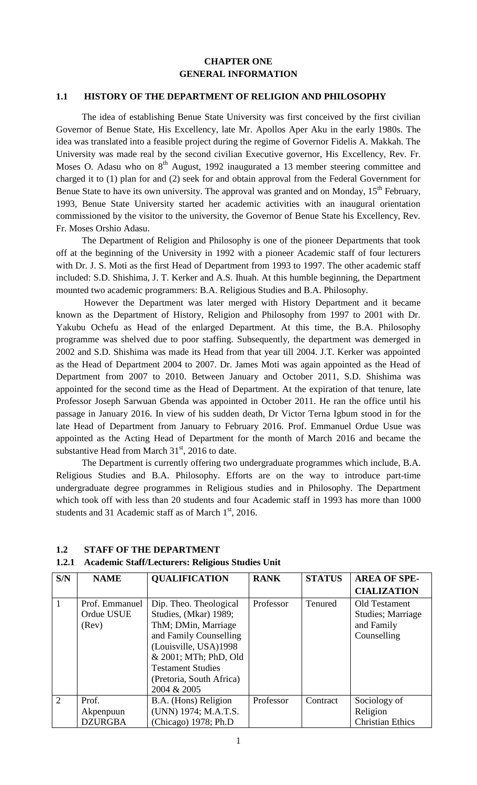# **CHAPTER ONE GENERAL INFORMATION**

### **1.1 HISTORY OF THE DEPARTMENT OF RELIGION AND PHILOSOPHY**

 The idea of establishing Benue State University was first conceived by the first civilian Governor of Benue State, His Excellency, late Mr. Apollos Aper Aku in the early 1980s. The idea was translated into a feasible project during the regime of Governor Fidelis A. Makkah. The University was made real by the second civilian Executive governor, His Excellency, Rev. Fr. Moses O. Adasu who on  $8<sup>th</sup>$  August, 1992 inaugurated a 13 member steering committee and charged it to (1) plan for and (2) seek for and obtain approval from the Federal Government for Benue State to have its own university. The approval was granted and on Monday,  $15<sup>th</sup>$  February, 1993, Benue State University started her academic activities with an inaugural orientation commissioned by the visitor to the university, the Governor of Benue State his Excellency, Rev. Fr. Moses Orshio Adasu.

 The Department of Religion and Philosophy is one of the pioneer Departments that took off at the beginning of the University in 1992 with a pioneer Academic staff of four lecturers with Dr. J. S. Moti as the first Head of Department from 1993 to 1997. The other academic staff included: S.D. Shishima, J. T. Kerker and A.S. Ihuah. At this humble beginning, the Department mounted two academic programmers: B.A. Religious Studies and B.A. Philosophy.

However the Department was later merged with History Department and it became known as the Department of History, Religion and Philosophy from 1997 to 2001 with Dr. Yakubu Ochefu as Head of the enlarged Department. At this time, the B.A. Philosophy programme was shelved due to poor staffing. Subsequently, the department was demerged in 2002 and S.D. Shishima was made its Head from that year till 2004. J.T. Kerker was appointed as the Head of Department 2004 to 2007. Dr. James Moti was again appointed as the Head of Department from 2007 to 2010. Between January and October 2011, S.D. Shishima was appointed for the second time as the Head of Department. At the expiration of that tenure, late Professor Joseph Sarwuan Gbenda was appointed in October 2011. He ran the office until his passage in January 2016. In view of his sudden death, Dr Victor Terna Igbum stood in for the late Head of Department from January to February 2016. Prof. Emmanuel Ordue Usue was appointed as the Acting Head of Department for the month of March 2016 and became the substantive Head from March  $31<sup>st</sup>$ , 2016 to date.

 The Department is currently offering two undergraduate programmes which include, B.A. Religious Studies and B.A. Philosophy. Efforts are on the way to introduce part-time undergraduate degree programmes in Religious studies and in Philosophy. The Department which took off with less than 20 students and four Academic staff in 1993 has more than 1000 students and 31 Academic staff as of March  $1<sup>st</sup>$ , 2016.

### **1.2 STAFF OF THE DEPARTMENT**

### **1.2.1 Academic Staff/Lecturers: Religious Studies Unit**

| S/N | <b>NAME</b>    | <b>QUALIFICATION</b>     | <b>RANK</b> | <b>STATUS</b> | <b>AREA OF SPE-</b>     |
|-----|----------------|--------------------------|-------------|---------------|-------------------------|
|     |                |                          |             |               | <b>CIALIZATION</b>      |
|     | Prof. Emmanuel | Dip. Theo. Theological   | Professor   | Tenured       | Old Testament           |
|     | Ordue USUE     | Studies, (Mkar) 1989;    |             |               | Studies; Marriage       |
|     | (Rev)          | ThM; DMin, Marriage      |             |               | and Family              |
|     |                | and Family Counselling   |             |               | Counselling             |
|     |                | (Louisville, USA)1998    |             |               |                         |
|     |                | & 2001; MTh; PhD, Old    |             |               |                         |
|     |                | <b>Testament Studies</b> |             |               |                         |
|     |                | (Pretoria, South Africa) |             |               |                         |
|     |                | 2004 & 2005              |             |               |                         |
| 2   | Prof.          | B.A. (Hons) Religion     | Professor   | Contract      | Sociology of            |
|     | Akpenpuun      | (UNN) 1974; M.A.T.S.     |             |               | Religion                |
|     | <b>DZURGBA</b> | (Chicago) 1978; Ph.D     |             |               | <b>Christian Ethics</b> |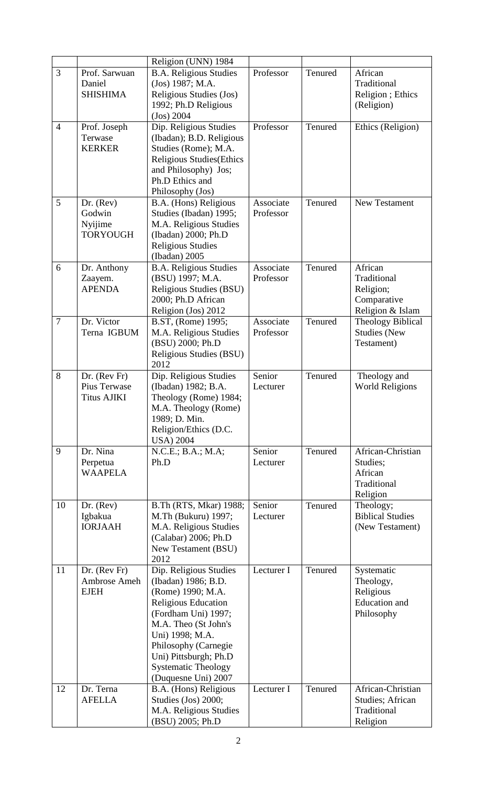|                |                                                    | Religion (UNN) 1984                                                                                                                                                                                                                                               |                        |         |                                                                            |
|----------------|----------------------------------------------------|-------------------------------------------------------------------------------------------------------------------------------------------------------------------------------------------------------------------------------------------------------------------|------------------------|---------|----------------------------------------------------------------------------|
| 3              | Prof. Sarwuan<br>Daniel<br><b>SHISHIMA</b>         | <b>B.A. Religious Studies</b><br>(Jos) 1987; M.A.<br>Religious Studies (Jos)<br>1992; Ph.D Religious<br>(Jos) 2004                                                                                                                                                | Professor              | Tenured | African<br>Traditional<br>Religion ; Ethics<br>(Religion)                  |
| $\overline{4}$ | Prof. Joseph<br>Terwase<br><b>KERKER</b>           | Dip. Religious Studies<br>(Ibadan); B.D. Religious<br>Studies (Rome); M.A.<br><b>Religious Studies</b> (Ethics<br>and Philosophy) Jos;<br>Ph.D Ethics and<br>Philosophy (Jos)                                                                                     | Professor              | Tenured | Ethics (Religion)                                                          |
| 5              | Dr. (Rev)<br>Godwin<br>Nyijime<br><b>TORYOUGH</b>  | B.A. (Hons) Religious<br>Studies (Ibadan) 1995;<br>M.A. Religious Studies<br>(Ibadan) 2000; Ph.D<br><b>Religious Studies</b><br>(Ibadan) 2005                                                                                                                     | Associate<br>Professor | Tenured | <b>New Testament</b>                                                       |
| 6              | Dr. Anthony<br>Zaayem.<br><b>APENDA</b>            | <b>B.A. Religious Studies</b><br>(BSU) 1997; M.A.<br>Religious Studies (BSU)<br>2000; Ph.D African<br>Religion (Jos) 2012                                                                                                                                         | Associate<br>Professor | Tenured | African<br>Traditional<br>Religion;<br>Comparative<br>Religion & Islam     |
| $\overline{7}$ | Dr. Victor<br>Terna IGBUM                          | B.ST, (Rome) 1995;<br>M.A. Religious Studies<br>(BSU) 2000; Ph.D<br>Religious Studies (BSU)<br>2012                                                                                                                                                               | Associate<br>Professor | Tenured | <b>Theology Biblical</b><br><b>Studies</b> (New<br>Testament)              |
| 8              | Dr. (Rev Fr)<br>Pius Terwase<br><b>Titus AJIKI</b> | Dip. Religious Studies<br>(Ibadan) 1982; B.A.<br>Theology (Rome) 1984;<br>M.A. Theology (Rome)<br>1989; D. Min.<br>Religion/Ethics (D.C.<br><b>USA</b> ) 2004                                                                                                     | Senior<br>Lecturer     | Tenured | Theology and<br><b>World Religions</b>                                     |
| 9              | Dr. Nina<br>Perpetua<br><b>WAAPELA</b>             | N.C.E.; B.A.; M.A;<br>Ph.D                                                                                                                                                                                                                                        | Senior<br>Lecturer     | Tenured | African-Christian<br>Studies;<br>African<br>Traditional<br>Religion        |
| 10             | Dr. (Rev)<br>Igbakua<br><b>IORJAAH</b>             | B.Th (RTS, Mkar) 1988;<br>M.Th (Bukuru) 1997;<br>M.A. Religious Studies<br>(Calabar) 2006; Ph.D<br>New Testament (BSU)<br>2012                                                                                                                                    | Senior<br>Lecturer     | Tenured | Theology;<br><b>Biblical Studies</b><br>(New Testament)                    |
| 11             | Dr. (Rev Fr)<br>Ambrose Ameh<br><b>EJEH</b>        | Dip. Religious Studies<br>(Ibadan) 1986; B.D.<br>(Rome) 1990; M.A.<br>Religious Education<br>(Fordham Uni) 1997;<br>M.A. Theo (St John's<br>Uni) 1998; M.A.<br>Philosophy (Carnegie<br>Uni) Pittsburgh; Ph.D<br><b>Systematic Theology</b><br>(Duquesne Uni) 2007 | Lecturer I             | Tenured | Systematic<br>Theology,<br>Religious<br><b>Education</b> and<br>Philosophy |
| 12             | Dr. Terna<br><b>AFELLA</b>                         | B.A. (Hons) Religious<br>Studies (Jos) 2000;<br>M.A. Religious Studies<br>(BSU) 2005; Ph.D                                                                                                                                                                        | Lecturer I             | Tenured | African-Christian<br><b>Studies</b> ; African<br>Traditional<br>Religion   |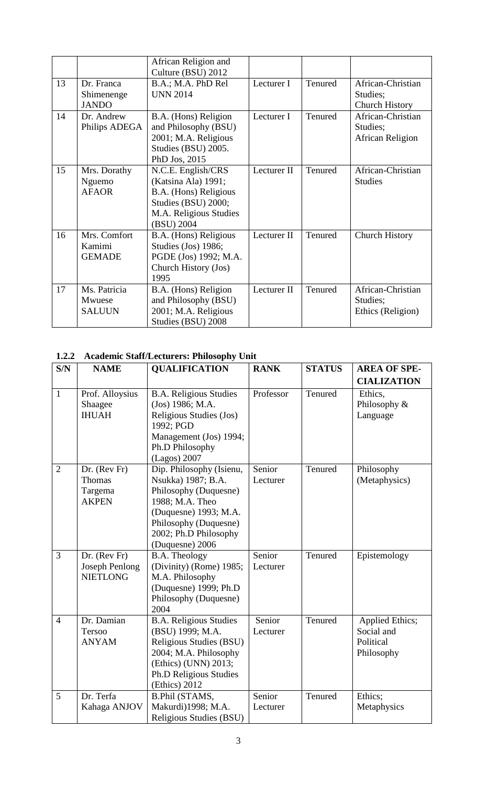|    |                                          | African Religion and<br>Culture (BSU) 2012                                                                                        |             |         |                                                        |
|----|------------------------------------------|-----------------------------------------------------------------------------------------------------------------------------------|-------------|---------|--------------------------------------------------------|
| 13 | Dr. Franca<br>Shimenenge<br><b>JANDO</b> | B.A.; M.A. PhD Rel<br><b>UNN 2014</b>                                                                                             | Lecturer I  | Tenured | African-Christian<br>Studies;<br><b>Church History</b> |
| 14 | Dr. Andrew<br>Philips ADEGA              | B.A. (Hons) Religion<br>and Philosophy (BSU)<br>2001; M.A. Religious<br>Studies (BSU) 2005.<br>PhD Jos, 2015                      | Lecturer I  | Tenured | African-Christian<br>Studies;<br>African Religion      |
| 15 | Mrs. Dorathy<br>Nguemo<br><b>AFAOR</b>   | N.C.E. English/CRS<br>(Katsina Ala) 1991;<br>B.A. (Hons) Religious<br>Studies (BSU) 2000;<br>M.A. Religious Studies<br>(BSU) 2004 | Lecturer II | Tenured | African-Christian<br><b>Studies</b>                    |
| 16 | Mrs. Comfort<br>Kamimi<br><b>GEMADE</b>  | B.A. (Hons) Religious<br>Studies (Jos) 1986;<br>PGDE (Jos) 1992; M.A.<br>Church History (Jos)<br>1995                             | Lecturer II | Tenured | <b>Church History</b>                                  |
| 17 | Ms. Patricia<br>Mwuese<br><b>SALUUN</b>  | B.A. (Hons) Religion<br>and Philosophy (BSU)<br>2001; M.A. Religious<br>Studies (BSU) 2008                                        | Lecturer II | Tenured | African-Christian<br>Studies;<br>Ethics (Religion)     |

# **1.2.2 Academic Staff/Lecturers: Philosophy Unit**

| S/N            | <b>NAME</b>                                                | <b>QUALIFICATION</b>                                                                                                                                                                     | <b>RANK</b>        | <b>STATUS</b> | <b>AREA OF SPE-</b>                                             |
|----------------|------------------------------------------------------------|------------------------------------------------------------------------------------------------------------------------------------------------------------------------------------------|--------------------|---------------|-----------------------------------------------------------------|
|                |                                                            |                                                                                                                                                                                          |                    |               | <b>CIALIZATION</b>                                              |
| $\mathbf{1}$   | Prof. Alloysius<br>Shaagee<br><b>IHUAH</b>                 | <b>B.A. Religious Studies</b><br>(Jos) 1986; M.A.<br>Religious Studies (Jos)<br>1992; PGD<br>Management (Jos) 1994;<br>Ph.D Philosophy<br>(Lagos) 2007                                   | Professor          | Tenured       | Ethics,<br>Philosophy &<br>Language                             |
| $\overline{2}$ | $Dr.$ (Rev Fr)<br>Thomas<br>Targema<br><b>AKPEN</b>        | Dip. Philosophy (Isienu,<br>Nsukka) 1987; B.A.<br>Philosophy (Duquesne)<br>1988; M.A. Theo<br>(Duquesne) 1993; M.A.<br>Philosophy (Duquesne)<br>2002; Ph.D Philosophy<br>(Duquesne) 2006 | Senior<br>Lecturer | Tenured       | Philosophy<br>(Metaphysics)                                     |
| $\overline{3}$ | $Dr.$ (Rev Fr)<br><b>Joseph Penlong</b><br><b>NIETLONG</b> | B.A. Theology<br>(Divinity) (Rome) 1985;<br>M.A. Philosophy<br>(Duquesne) 1999; Ph.D<br>Philosophy (Duquesne)<br>2004                                                                    | Senior<br>Lecturer | Tenured       | Epistemology                                                    |
| $\overline{4}$ | Dr. Damian<br>Tersoo<br><b>ANYAM</b>                       | <b>B.A. Religious Studies</b><br>(BSU) 1999; M.A.<br>Religious Studies (BSU)<br>2004; M.A. Philosophy<br>(Ethics) (UNN) 2013;<br>Ph.D Religious Studies<br>(Ethics) 2012                 | Senior<br>Lecturer | Tenured       | <b>Applied Ethics;</b><br>Social and<br>Political<br>Philosophy |
| 5              | Dr. Terfa<br>Kahaga ANJOV                                  | <b>B.Phil (STAMS,</b><br>Makurdi)1998; M.A.<br>Religious Studies (BSU)                                                                                                                   | Senior<br>Lecturer | Tenured       | Ethics;<br>Metaphysics                                          |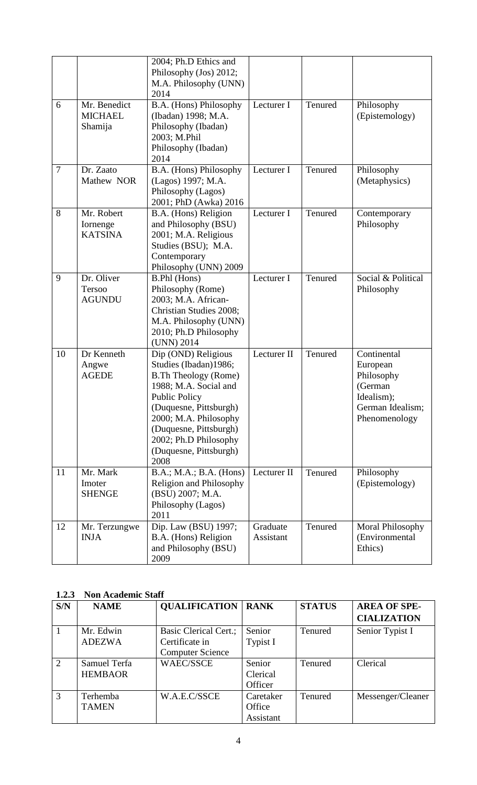| 6              | Mr. Benedict                             | 2004; Ph.D Ethics and<br>Philosophy (Jos) 2012;<br>M.A. Philosophy (UNN)<br>2014<br>B.A. (Hons) Philosophy                                                                                                                                                           | Lecturer I            | Tenured | Philosophy                                                                                          |
|----------------|------------------------------------------|----------------------------------------------------------------------------------------------------------------------------------------------------------------------------------------------------------------------------------------------------------------------|-----------------------|---------|-----------------------------------------------------------------------------------------------------|
|                | <b>MICHAEL</b><br>Shamija                | (Ibadan) 1998; M.A.<br>Philosophy (Ibadan)<br>2003; M.Phil<br>Philosophy (Ibadan)<br>2014                                                                                                                                                                            |                       |         | (Epistemology)                                                                                      |
| $\overline{7}$ | Dr. Zaato<br>Mathew NOR                  | B.A. (Hons) Philosophy<br>(Lagos) 1997; M.A.<br>Philosophy (Lagos)<br>2001; PhD (Awka) 2016                                                                                                                                                                          | Lecturer I            | Tenured | Philosophy<br>(Metaphysics)                                                                         |
| 8              | Mr. Robert<br>Iornenge<br><b>KATSINA</b> | B.A. (Hons) Religion<br>and Philosophy (BSU)<br>2001; M.A. Religious<br>Studies (BSU); M.A.<br>Contemporary<br>Philosophy (UNN) 2009                                                                                                                                 | Lecturer I            | Tenured | Contemporary<br>Philosophy                                                                          |
| 9              | Dr. Oliver<br>Tersoo<br><b>AGUNDU</b>    | B.Phl (Hons)<br>Philosophy (Rome)<br>2003; M.A. African-<br>Christian Studies 2008;<br>M.A. Philosophy (UNN)<br>2010; Ph.D Philosophy<br>(UNN) 2014                                                                                                                  | Lecturer I            | Tenured | Social & Political<br>Philosophy                                                                    |
| 10             | Dr Kenneth<br>Angwe<br><b>AGEDE</b>      | Dip (OND) Religious<br>Studies (Ibadan)1986;<br><b>B.Th Theology (Rome)</b><br>1988; M.A. Social and<br><b>Public Policy</b><br>(Duquesne, Pittsburgh)<br>2000; M.A. Philosophy<br>(Duquesne, Pittsburgh)<br>2002; Ph.D Philosophy<br>(Duquesne, Pittsburgh)<br>2008 | Lecturer II           | Tenured | Continental<br>European<br>Philosophy<br>(German<br>Idealism);<br>German Idealism;<br>Phenomenology |
| 11             | Mr. Mark<br>Imoter<br><b>SHENGE</b>      | B.A.; M.A.; B.A. (Hons)<br>Religion and Philosophy<br>(BSU) 2007; M.A.<br>Philosophy (Lagos)<br>2011                                                                                                                                                                 | Lecturer II           | Tenured | Philosophy<br>(Epistemology)                                                                        |
| 12             | Mr. Terzungwe<br><b>INJA</b>             | Dip. Law (BSU) 1997;<br>B.A. (Hons) Religion<br>and Philosophy (BSU)<br>2009                                                                                                                                                                                         | Graduate<br>Assistant | Tenured | Moral Philosophy<br>(Environmental<br>Ethics)                                                       |

### **1.2.3 Non Academic Staff**

| ----           | 1 von Treauenne Diam |                              |             |               |                     |
|----------------|----------------------|------------------------------|-------------|---------------|---------------------|
| S/N            | <b>NAME</b>          | <b>QUALIFICATION</b>         | <b>RANK</b> | <b>STATUS</b> | <b>AREA OF SPE-</b> |
|                |                      |                              |             |               | <b>CIALIZATION</b>  |
|                | Mr. Edwin            | <b>Basic Clerical Cert.;</b> | Senior      | Tenured       | Senior Typist I     |
|                | <b>ADEZWA</b>        | Certificate in               | Typist I    |               |                     |
|                |                      | <b>Computer Science</b>      |             |               |                     |
| $\overline{2}$ | Samuel Terfa         | <b>WAEC/SSCE</b>             | Senior      | Tenured       | Clerical            |
|                | <b>HEMBAOR</b>       |                              | Clerical    |               |                     |
|                |                      |                              | Officer     |               |                     |
| 3              | Terhemba             | W.A.E.C/SSCE                 | Caretaker   | Tenured       | Messenger/Cleaner   |
|                | <b>TAMEN</b>         |                              | Office      |               |                     |
|                |                      |                              | Assistant   |               |                     |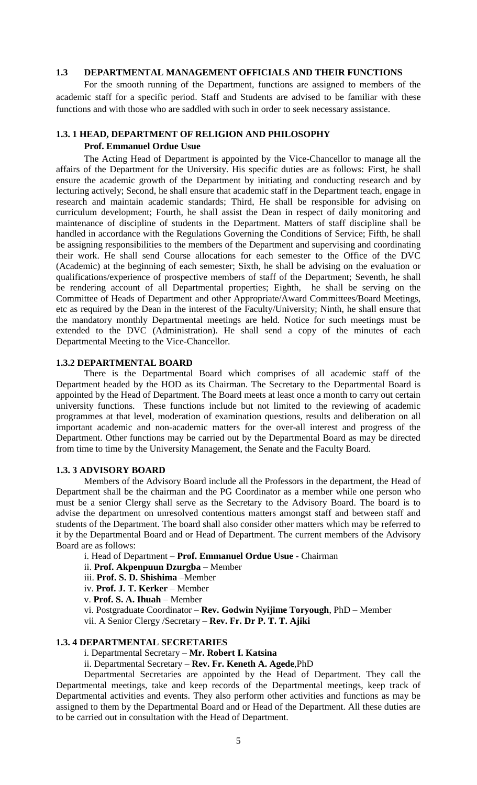# **1.3 DEPARTMENTAL MANAGEMENT OFFICIALS AND THEIR FUNCTIONS**

For the smooth running of the Department, functions are assigned to members of the academic staff for a specific period. Staff and Students are advised to be familiar with these functions and with those who are saddled with such in order to seek necessary assistance.

### **1.3. 1 HEAD, DEPARTMENT OF RELIGION AND PHILOSOPHY**

#### **Prof. Emmanuel Ordue Usue**

The Acting Head of Department is appointed by the Vice-Chancellor to manage all the affairs of the Department for the University. His specific duties are as follows: First, he shall ensure the academic growth of the Department by initiating and conducting research and by lecturing actively; Second, he shall ensure that academic staff in the Department teach, engage in research and maintain academic standards; Third, He shall be responsible for advising on curriculum development; Fourth, he shall assist the Dean in respect of daily monitoring and maintenance of discipline of students in the Department. Matters of staff discipline shall be handled in accordance with the Regulations Governing the Conditions of Service; Fifth, he shall be assigning responsibilities to the members of the Department and supervising and coordinating their work. He shall send Course allocations for each semester to the Office of the DVC (Academic) at the beginning of each semester; Sixth, he shall be advising on the evaluation or qualifications/experience of prospective members of staff of the Department; Seventh, he shall be rendering account of all Departmental properties; Eighth, he shall be serving on the Committee of Heads of Department and other Appropriate/Award Committees/Board Meetings, etc as required by the Dean in the interest of the Faculty/University; Ninth, he shall ensure that the mandatory monthly Departmental meetings are held. Notice for such meetings must be extended to the DVC (Administration). He shall send a copy of the minutes of each Departmental Meeting to the Vice-Chancellor.

#### **1.3.2 DEPARTMENTAL BOARD**

There is the Departmental Board which comprises of all academic staff of the Department headed by the HOD as its Chairman. The Secretary to the Departmental Board is appointed by the Head of Department. The Board meets at least once a month to carry out certain university functions. These functions include but not limited to the reviewing of academic programmes at that level, moderation of examination questions, results and deliberation on all important academic and non-academic matters for the over-all interest and progress of the Department. Other functions may be carried out by the Departmental Board as may be directed from time to time by the University Management, the Senate and the Faculty Board.

#### **1.3. 3 ADVISORY BOARD**

Members of the Advisory Board include all the Professors in the department, the Head of Department shall be the chairman and the PG Coordinator as a member while one person who must be a senior Clergy shall serve as the Secretary to the Advisory Board. The board is to advise the department on unresolved contentious matters amongst staff and between staff and students of the Department. The board shall also consider other matters which may be referred to it by the Departmental Board and or Head of Department. The current members of the Advisory Board are as follows:

i. Head of Department – **Prof. Emmanuel Ordue Usue** - Chairman

ii. **Prof. Akpenpuun Dzurgba** – Member

iii. **Prof. S. D. Shishima** –Member

iv. **Prof. J. T. Kerker** – Member

v. **Prof. S. A. Ihuah** – Member

vi. Postgraduate Coordinator – **Rev. Godwin Nyijime Toryough**, PhD – Member vii. A Senior Clergy /Secretary – **Rev. Fr. Dr P. T. T. Ajiki**

### **1.3. 4 DEPARTMENTAL SECRETARIES**

i. Departmental Secretary – **Mr. Robert I. Katsina**

ii. Departmental Secretary – **Rev. Fr. Keneth A. Agede**,PhD

Departmental Secretaries are appointed by the Head of Department. They call the Departmental meetings, take and keep records of the Departmental meetings, keep track of Departmental activities and events. They also perform other activities and functions as may be assigned to them by the Departmental Board and or Head of the Department. All these duties are to be carried out in consultation with the Head of Department.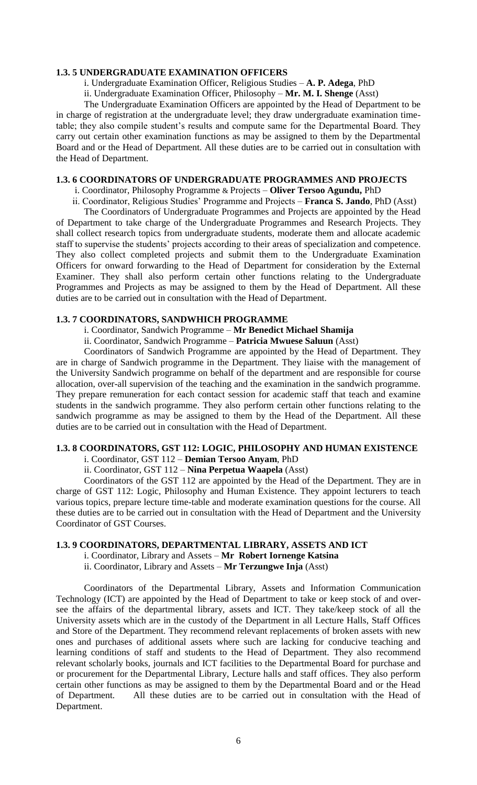### **1.3. 5 UNDERGRADUATE EXAMINATION OFFICERS**

i. Undergraduate Examination Officer, Religious Studies – **A. P. Adega**, PhD

ii. Undergraduate Examination Officer, Philosophy – **Mr. M. I. Shenge** (Asst)

The Undergraduate Examination Officers are appointed by the Head of Department to be in charge of registration at the undergraduate level; they draw undergraduate examination timetable; they also compile student's results and compute same for the Departmental Board. They carry out certain other examination functions as may be assigned to them by the Departmental Board and or the Head of Department. All these duties are to be carried out in consultation with the Head of Department.

### **1.3. 6 COORDINATORS OF UNDERGRADUATE PROGRAMMES AND PROJECTS**

i. Coordinator, Philosophy Programme & Projects – **Oliver Tersoo Agundu,** PhD

ii. Coordinator, Religious Studies' Programme and Projects – **Franca S. Jando**, PhD (Asst)

The Coordinators of Undergraduate Programmes and Projects are appointed by the Head of Department to take charge of the Undergraduate Programmes and Research Projects. They shall collect research topics from undergraduate students, moderate them and allocate academic staff to supervise the students' projects according to their areas of specialization and competence. They also collect completed projects and submit them to the Undergraduate Examination Officers for onward forwarding to the Head of Department for consideration by the External Examiner. They shall also perform certain other functions relating to the Undergraduate Programmes and Projects as may be assigned to them by the Head of Department. All these duties are to be carried out in consultation with the Head of Department.

#### **1.3. 7 COORDINATORS, SANDWHICH PROGRAMME**

i. Coordinator, Sandwich Programme – **Mr Benedict Michael Shamija**

ii. Coordinator, Sandwich Programme – **Patricia Mwuese Saluun** (Asst)

Coordinators of Sandwich Programme are appointed by the Head of Department. They are in charge of Sandwich programme in the Department. They liaise with the management of the University Sandwich programme on behalf of the department and are responsible for course allocation, over-all supervision of the teaching and the examination in the sandwich programme. They prepare remuneration for each contact session for academic staff that teach and examine students in the sandwich programme. They also perform certain other functions relating to the sandwich programme as may be assigned to them by the Head of the Department. All these duties are to be carried out in consultation with the Head of Department.

# **1.3. 8 COORDINATORS, GST 112: LOGIC, PHILOSOPHY AND HUMAN EXISTENCE**

i. Coordinator, GST 112 – **Demian Tersoo Anyam**, PhD

ii. Coordinator, GST 112 – **Nina Perpetua Waapela** (Asst)

Coordinators of the GST 112 are appointed by the Head of the Department. They are in charge of GST 112: Logic, Philosophy and Human Existence. They appoint lecturers to teach various topics, prepare lecture time-table and moderate examination questions for the course. All these duties are to be carried out in consultation with the Head of Department and the University Coordinator of GST Courses.

#### **1.3. 9 COORDINATORS, DEPARTMENTAL LIBRARY, ASSETS AND ICT**

i. Coordinator, Library and Assets – **Mr Robert Iornenge Katsina**

ii. Coordinator, Library and Assets – **Mr Terzungwe Inja** (Asst)

Coordinators of the Departmental Library, Assets and Information Communication Technology (ICT) are appointed by the Head of Department to take or keep stock of and oversee the affairs of the departmental library, assets and ICT. They take/keep stock of all the University assets which are in the custody of the Department in all Lecture Halls, Staff Offices and Store of the Department. They recommend relevant replacements of broken assets with new ones and purchases of additional assets where such are lacking for conducive teaching and learning conditions of staff and students to the Head of Department. They also recommend relevant scholarly books, journals and ICT facilities to the Departmental Board for purchase and or procurement for the Departmental Library, Lecture halls and staff offices. They also perform certain other functions as may be assigned to them by the Departmental Board and or the Head of Department. All these duties are to be carried out in consultation with the Head of Department.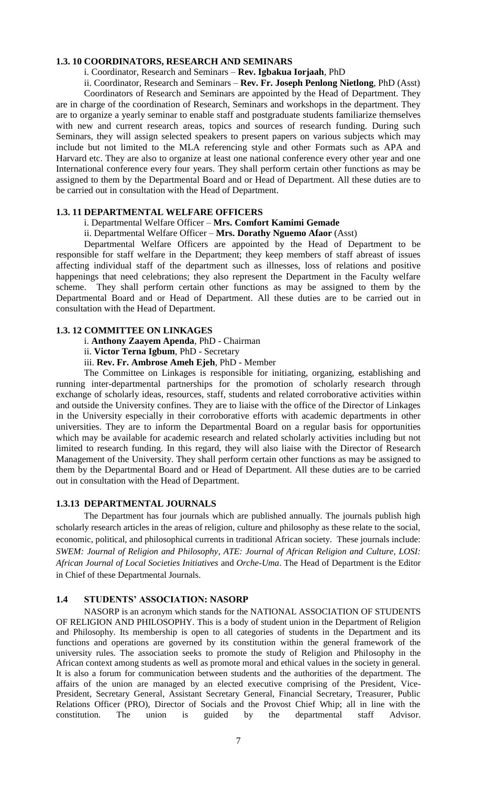### **1.3. 10 COORDINATORS, RESEARCH AND SEMINARS**

### i. Coordinator, Research and Seminars – **Rev. Igbakua Iorjaah**, PhD

ii. Coordinator, Research and Seminars – **Rev. Fr. Joseph Penlong Nietlong**, PhD (Asst)

Coordinators of Research and Seminars are appointed by the Head of Department. They are in charge of the coordination of Research, Seminars and workshops in the department. They are to organize a yearly seminar to enable staff and postgraduate students familiarize themselves with new and current research areas, topics and sources of research funding. During such Seminars, they will assign selected speakers to present papers on various subjects which may include but not limited to the MLA referencing style and other Formats such as APA and Harvard etc. They are also to organize at least one national conference every other year and one International conference every four years. They shall perform certain other functions as may be assigned to them by the Departmental Board and or Head of Department. All these duties are to be carried out in consultation with the Head of Department.

#### **1.3. 11 DEPARTMENTAL WELFARE OFFICERS**

#### i. Departmental Welfare Officer – **Mrs. Comfort Kamimi Gemade**

ii. Departmental Welfare Officer – **Mrs. Dorathy Nguemo Afaor** (Asst)

Departmental Welfare Officers are appointed by the Head of Department to be responsible for staff welfare in the Department; they keep members of staff abreast of issues affecting individual staff of the department such as illnesses, loss of relations and positive happenings that need celebrations; they also represent the Department in the Faculty welfare scheme. They shall perform certain other functions as may be assigned to them by the Departmental Board and or Head of Department. All these duties are to be carried out in consultation with the Head of Department.

#### **1.3. 12 COMMITTEE ON LINKAGES**

i. **Anthony Zaayem Apenda**, PhD - Chairman

ii. **Victor Terna Igbum**, PhD - Secretary

iii. **Rev. Fr. Ambrose Ameh Ejeh**, PhD - Member

The Committee on Linkages is responsible for initiating, organizing, establishing and running inter-departmental partnerships for the promotion of scholarly research through exchange of scholarly ideas, resources, staff, students and related corroborative activities within and outside the University confines. They are to liaise with the office of the Director of Linkages in the University especially in their corroborative efforts with academic departments in other universities. They are to inform the Departmental Board on a regular basis for opportunities which may be available for academic research and related scholarly activities including but not limited to research funding. In this regard, they will also liaise with the Director of Research Management of the University. They shall perform certain other functions as may be assigned to them by the Departmental Board and or Head of Department. All these duties are to be carried out in consultation with the Head of Department.

# **1.3.13 DEPARTMENTAL JOURNALS**

The Department has four journals which are published annually. The journals publish high scholarly research articles in the areas of religion, culture and philosophy as these relate to the social, economic, political, and philosophical currents in traditional African society. These journals include: *SWEM: Journal of Religion and Philosophy*, *ATE: Journal of African Religion and Culture, LOSI: African Journal of Local Societies Initiatives* and *Orche-Uma*. The Head of Department is the Editor in Chief of these Departmental Journals.

### **1.4 STUDENTS' ASSOCIATION: NASORP**

NASORP is an acronym which stands for the NATIONAL ASSOCIATION OF STUDENTS OF RELIGION AND PHILOSOPHY. This is a body of student union in the Department of Religion and Philosophy. Its membership is open to all categories of students in the Department and its functions and operations are governed by its constitution within the general framework of the university rules. The association seeks to promote the study of Religion and Philosophy in the African context among students as well as promote moral and ethical values in the society in general. It is also a forum for communication between students and the authorities of the department. The affairs of the union are managed by an elected executive comprising of the President, Vice-President, Secretary General, Assistant Secretary General, Financial Secretary, Treasurer, Public Relations Officer (PRO), Director of Socials and the Provost Chief Whip; all in line with the constitution. The union is guided by the departmental staff Advisor.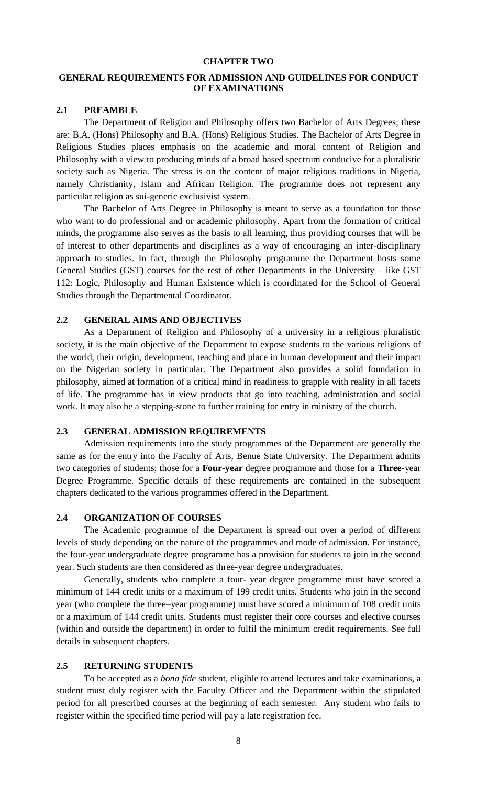### **CHAPTER TWO**

# **GENERAL REQUIREMENTS FOR ADMISSION AND GUIDELINES FOR CONDUCT OF EXAMINATIONS**

### **2.1 PREAMBLE**

The Department of Religion and Philosophy offers two Bachelor of Arts Degrees; these are: B.A. (Hons) Philosophy and B.A. (Hons) Religious Studies. The Bachelor of Arts Degree in Religious Studies places emphasis on the academic and moral content of Religion and Philosophy with a view to producing minds of a broad based spectrum conducive for a pluralistic society such as Nigeria. The stress is on the content of major religious traditions in Nigeria, namely Christianity, Islam and African Religion. The programme does not represent any particular religion as sui-generic exclusivist system.

The Bachelor of Arts Degree in Philosophy is meant to serve as a foundation for those who want to do professional and or academic philosophy. Apart from the formation of critical minds, the programme also serves as the basis to all learning, thus providing courses that will be of interest to other departments and disciplines as a way of encouraging an inter-disciplinary approach to studies. In fact, through the Philosophy programme the Department hosts some General Studies (GST) courses for the rest of other Departments in the University – like GST 112: Logic, Philosophy and Human Existence which is coordinated for the School of General Studies through the Departmental Coordinator.

### **2.2 GENERAL AIMS AND OBJECTIVES**

As a Department of Religion and Philosophy of a university in a religious pluralistic society, it is the main objective of the Department to expose students to the various religions of the world, their origin, development, teaching and place in human development and their impact on the Nigerian society in particular. The Department also provides a solid foundation in philosophy, aimed at formation of a critical mind in readiness to grapple with reality in all facets of life. The programme has in view products that go into teaching, administration and social work. It may also be a stepping-stone to further training for entry in ministry of the church.

### **2.3 GENERAL ADMISSION REQUIREMENTS**

Admission requirements into the study programmes of the Department are generally the same as for the entry into the Faculty of Arts, Benue State University. The Department admits two categories of students; those for a **Four-year** degree programme and those for a **Three**-year Degree Programme. Specific details of these requirements are contained in the subsequent chapters dedicated to the various programmes offered in the Department.

#### **2.4 ORGANIZATION OF COURSES**

The Academic programme of the Department is spread out over a period of different levels of study depending on the nature of the programmes and mode of admission. For instance, the four-year undergraduate degree programme has a provision for students to join in the second year. Such students are then considered as three-year degree undergraduates.

Generally, students who complete a four- year degree programme must have scored a minimum of 144 credit units or a maximum of 199 credit units. Students who join in the second year (who complete the three–year programme) must have scored a minimum of 108 credit units or a maximum of 144 credit units. Students must register their core courses and elective courses (within and outside the department) in order to fulfil the minimum credit requirements. See full details in subsequent chapters.

### **2.5 RETURNING STUDENTS**

To be accepted as a *bona fide* student, eligible to attend lectures and take examinations, a student must duly register with the Faculty Officer and the Department within the stipulated period for all prescribed courses at the beginning of each semester. Any student who fails to register within the specified time period will pay a late registration fee.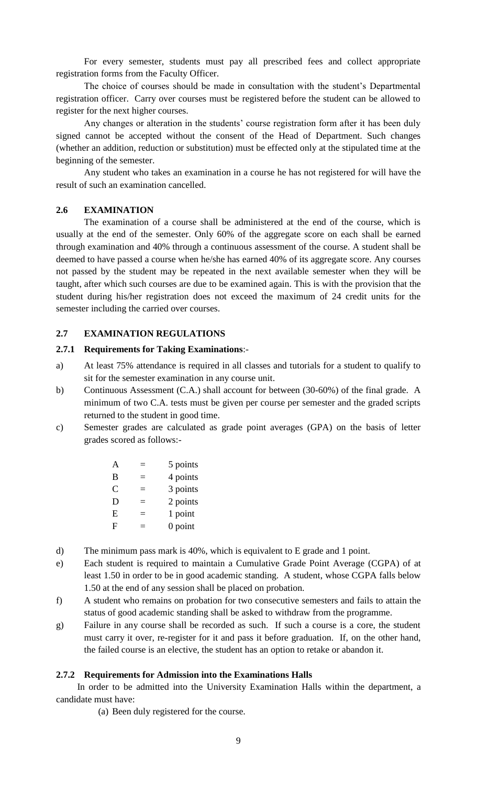For every semester, students must pay all prescribed fees and collect appropriate registration forms from the Faculty Officer.

The choice of courses should be made in consultation with the student's Departmental registration officer. Carry over courses must be registered before the student can be allowed to register for the next higher courses.

Any changes or alteration in the students' course registration form after it has been duly signed cannot be accepted without the consent of the Head of Department. Such changes (whether an addition, reduction or substitution) must be effected only at the stipulated time at the beginning of the semester.

Any student who takes an examination in a course he has not registered for will have the result of such an examination cancelled.

# **2.6 EXAMINATION**

The examination of a course shall be administered at the end of the course, which is usually at the end of the semester. Only 60% of the aggregate score on each shall be earned through examination and 40% through a continuous assessment of the course. A student shall be deemed to have passed a course when he/she has earned 40% of its aggregate score. Any courses not passed by the student may be repeated in the next available semester when they will be taught, after which such courses are due to be examined again. This is with the provision that the student during his/her registration does not exceed the maximum of 24 credit units for the semester including the carried over courses.

### **2.7 EXAMINATION REGULATIONS**

### **2.7.1 Requirements for Taking Examinations**:-

- a) At least 75% attendance is required in all classes and tutorials for a student to qualify to sit for the semester examination in any course unit.
- b) Continuous Assessment (C.A.) shall account for between (30-60%) of the final grade. A minimum of two C.A. tests must be given per course per semester and the graded scripts returned to the student in good time.
- c) Semester grades are calculated as grade point averages (GPA) on the basis of letter grades scored as follows:-

| A | 5 points  |
|---|-----------|
| B | 4 points  |
| C | 3 points  |
| D | 2 points  |
| E | 1 point   |
| F | $0$ point |

- d) The minimum pass mark is 40%, which is equivalent to E grade and 1 point.
- e) Each student is required to maintain a Cumulative Grade Point Average (CGPA) of at least 1.50 in order to be in good academic standing. A student, whose CGPA falls below 1.50 at the end of any session shall be placed on probation.
- f) A student who remains on probation for two consecutive semesters and fails to attain the status of good academic standing shall be asked to withdraw from the programme.
- g) Failure in any course shall be recorded as such. If such a course is a core, the student must carry it over, re-register for it and pass it before graduation. If, on the other hand, the failed course is an elective, the student has an option to retake or abandon it.

### **2.7.2 Requirements for Admission into the Examinations Halls**

 In order to be admitted into the University Examination Halls within the department, a candidate must have:

(a) Been duly registered for the course.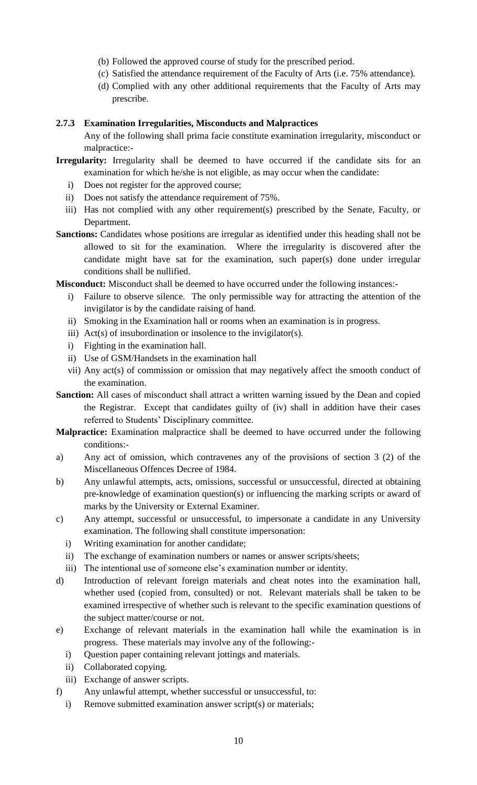- (b) Followed the approved course of study for the prescribed period.
- (c) Satisfied the attendance requirement of the Faculty of Arts (i.e. 75% attendance).
- (d) Complied with any other additional requirements that the Faculty of Arts may prescribe.

# **2.7.3 Examination Irregularities, Misconducts and Malpractices**

Any of the following shall prima facie constitute examination irregularity, misconduct or malpractice:-

- **Irregularity:** Irregularity shall be deemed to have occurred if the candidate sits for an examination for which he/she is not eligible, as may occur when the candidate:
	- i) Does not register for the approved course;
	- ii) Does not satisfy the attendance requirement of 75%.
	- iii) Has not complied with any other requirement(s) prescribed by the Senate, Faculty, or Department.
- **Sanctions:** Candidates whose positions are irregular as identified under this heading shall not be allowed to sit for the examination. Where the irregularity is discovered after the candidate might have sat for the examination, such paper(s) done under irregular conditions shall be nullified.

**Misconduct:** Misconduct shall be deemed to have occurred under the following instances:-

- i) Failure to observe silence. The only permissible way for attracting the attention of the invigilator is by the candidate raising of hand.
- ii) Smoking in the Examination hall or rooms when an examination is in progress.
- iii) Act(s) of insubordination or insolence to the invigilator(s).
- i) Fighting in the examination hall.
- ii) Use of GSM/Handsets in the examination hall
- vii) Any act(s) of commission or omission that may negatively affect the smooth conduct of the examination.
- **Sanction:** All cases of misconduct shall attract a written warning issued by the Dean and copied the Registrar. Except that candidates guilty of (iv) shall in addition have their cases referred to Students' Disciplinary committee.
- **Malpractice:** Examination malpractice shall be deemed to have occurred under the following conditions:-
- a) Any act of omission, which contravenes any of the provisions of section 3 (2) of the Miscellaneous Offences Decree of 1984.
- b) Any unlawful attempts, acts, omissions, successful or unsuccessful, directed at obtaining pre-knowledge of examination question(s) or influencing the marking scripts or award of marks by the University or External Examiner.
- c) Any attempt, successful or unsuccessful, to impersonate a candidate in any University examination. The following shall constitute impersonation:
	- i) Writing examination for another candidate;
	- ii) The exchange of examination numbers or names or answer scripts/sheets;
	- iii) The intentional use of someone else's examination number or identity.
- d) Introduction of relevant foreign materials and cheat notes into the examination hall, whether used (copied from, consulted) or not. Relevant materials shall be taken to be examined irrespective of whether such is relevant to the specific examination questions of the subject matter/course or not.
- e) Exchange of relevant materials in the examination hall while the examination is in progress. These materials may involve any of the following:
	- i) Question paper containing relevant jottings and materials.
	- ii) Collaborated copying.
	- iii) Exchange of answer scripts.
- f) Any unlawful attempt, whether successful or unsuccessful, to:
	- i) Remove submitted examination answer script(s) or materials;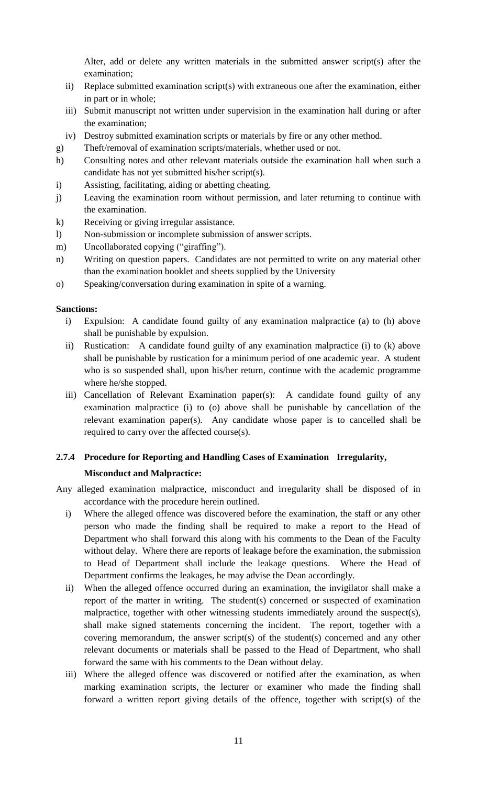Alter, add or delete any written materials in the submitted answer script(s) after the examination;

- ii) Replace submitted examination script(s) with extraneous one after the examination, either in part or in whole;
- iii) Submit manuscript not written under supervision in the examination hall during or after the examination;
- iv) Destroy submitted examination scripts or materials by fire or any other method.
- g) Theft/removal of examination scripts/materials, whether used or not.
- h) Consulting notes and other relevant materials outside the examination hall when such a candidate has not yet submitted his/her script(s).
- i) Assisting, facilitating, aiding or abetting cheating.
- j) Leaving the examination room without permission, and later returning to continue with the examination.
- k) Receiving or giving irregular assistance.
- l) Non-submission or incomplete submission of answer scripts.
- m) Uncollaborated copying ("giraffing").
- n) Writing on question papers. Candidates are not permitted to write on any material other than the examination booklet and sheets supplied by the University
- o) Speaking/conversation during examination in spite of a warning.

### **Sanctions:**

- i) Expulsion: A candidate found guilty of any examination malpractice (a) to (h) above shall be punishable by expulsion.
- ii) Rustication: A candidate found guilty of any examination malpractice (i) to (k) above shall be punishable by rustication for a minimum period of one academic year. A student who is so suspended shall, upon his/her return, continue with the academic programme where he/she stopped.
- iii) Cancellation of Relevant Examination paper(s): A candidate found guilty of any examination malpractice (i) to (o) above shall be punishable by cancellation of the relevant examination paper(s). Any candidate whose paper is to cancelled shall be required to carry over the affected course(s).

# **2.7.4 Procedure for Reporting and Handling Cases of Examination Irregularity,**

### **Misconduct and Malpractice:**

- Any alleged examination malpractice, misconduct and irregularity shall be disposed of in accordance with the procedure herein outlined.
	- i) Where the alleged offence was discovered before the examination, the staff or any other person who made the finding shall be required to make a report to the Head of Department who shall forward this along with his comments to the Dean of the Faculty without delay. Where there are reports of leakage before the examination, the submission to Head of Department shall include the leakage questions. Where the Head of Department confirms the leakages, he may advise the Dean accordingly.
	- ii) When the alleged offence occurred during an examination, the invigilator shall make a report of the matter in writing. The student(s) concerned or suspected of examination malpractice, together with other witnessing students immediately around the suspect(s), shall make signed statements concerning the incident. The report, together with a covering memorandum, the answer script(s) of the student(s) concerned and any other relevant documents or materials shall be passed to the Head of Department, who shall forward the same with his comments to the Dean without delay.
	- iii) Where the alleged offence was discovered or notified after the examination, as when marking examination scripts, the lecturer or examiner who made the finding shall forward a written report giving details of the offence, together with script(s) of the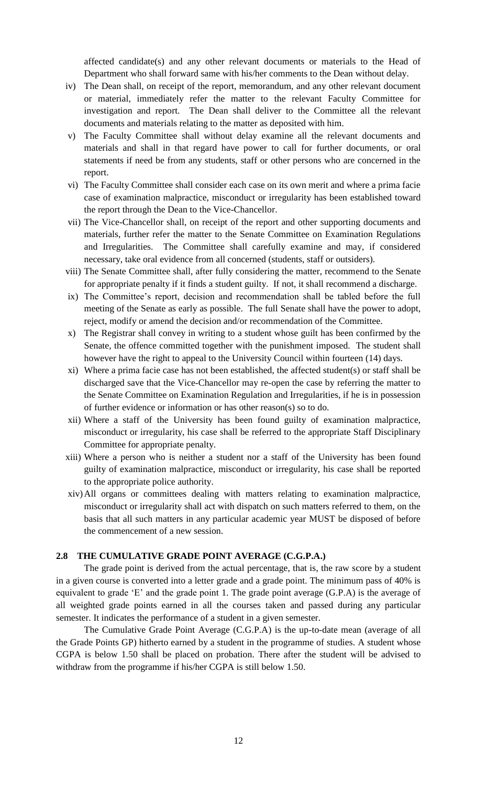affected candidate(s) and any other relevant documents or materials to the Head of Department who shall forward same with his/her comments to the Dean without delay.

- iv) The Dean shall, on receipt of the report, memorandum, and any other relevant document or material, immediately refer the matter to the relevant Faculty Committee for investigation and report. The Dean shall deliver to the Committee all the relevant documents and materials relating to the matter as deposited with him.
- v) The Faculty Committee shall without delay examine all the relevant documents and materials and shall in that regard have power to call for further documents, or oral statements if need be from any students, staff or other persons who are concerned in the report.
- vi) The Faculty Committee shall consider each case on its own merit and where a prima facie case of examination malpractice, misconduct or irregularity has been established toward the report through the Dean to the Vice-Chancellor.
- vii) The Vice-Chancellor shall, on receipt of the report and other supporting documents and materials, further refer the matter to the Senate Committee on Examination Regulations and Irregularities. The Committee shall carefully examine and may, if considered necessary, take oral evidence from all concerned (students, staff or outsiders).
- viii) The Senate Committee shall, after fully considering the matter, recommend to the Senate for appropriate penalty if it finds a student guilty. If not, it shall recommend a discharge.
- ix) The Committee's report, decision and recommendation shall be tabled before the full meeting of the Senate as early as possible. The full Senate shall have the power to adopt, reject, modify or amend the decision and/or recommendation of the Committee.
- x) The Registrar shall convey in writing to a student whose guilt has been confirmed by the Senate, the offence committed together with the punishment imposed. The student shall however have the right to appeal to the University Council within fourteen (14) days.
- xi) Where a prima facie case has not been established, the affected student(s) or staff shall be discharged save that the Vice-Chancellor may re-open the case by referring the matter to the Senate Committee on Examination Regulation and Irregularities, if he is in possession of further evidence or information or has other reason(s) so to do.
- xii) Where a staff of the University has been found guilty of examination malpractice, misconduct or irregularity, his case shall be referred to the appropriate Staff Disciplinary Committee for appropriate penalty.
- xiii) Where a person who is neither a student nor a staff of the University has been found guilty of examination malpractice, misconduct or irregularity, his case shall be reported to the appropriate police authority.
- xiv)All organs or committees dealing with matters relating to examination malpractice, misconduct or irregularity shall act with dispatch on such matters referred to them, on the basis that all such matters in any particular academic year MUST be disposed of before the commencement of a new session.

### **2.8 THE CUMULATIVE GRADE POINT AVERAGE (C.G.P.A.)**

The grade point is derived from the actual percentage, that is, the raw score by a student in a given course is converted into a letter grade and a grade point. The minimum pass of 40% is equivalent to grade 'E' and the grade point 1. The grade point average (G.P.A) is the average of all weighted grade points earned in all the courses taken and passed during any particular semester. It indicates the performance of a student in a given semester.

The Cumulative Grade Point Average (C.G.P.A) is the up-to-date mean (average of all the Grade Points GP) hitherto earned by a student in the programme of studies. A student whose CGPA is below 1.50 shall be placed on probation. There after the student will be advised to withdraw from the programme if his/her CGPA is still below 1.50.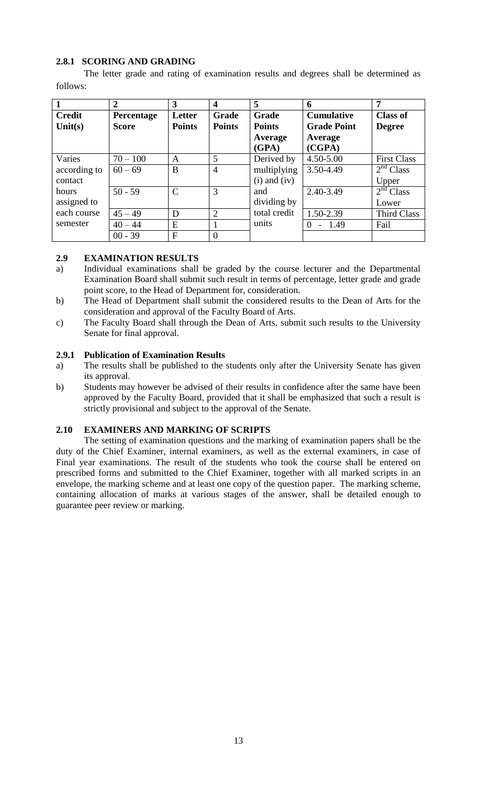# **2.8.1 SCORING AND GRADING**

The letter grade and rating of examination results and degrees shall be determined as follows:

|               | $\overline{2}$ | 3             | $\overline{\mathbf{4}}$ | 5                | 6                   | 7                     |
|---------------|----------------|---------------|-------------------------|------------------|---------------------|-----------------------|
| <b>Credit</b> | Percentage     | Letter        | <b>Grade</b>            | Grade            | <b>Cumulative</b>   | <b>Class of</b>       |
| Unit $(s)$    | <b>Score</b>   | <b>Points</b> | <b>Points</b>           | <b>Points</b>    | <b>Grade Point</b>  | <b>Degree</b>         |
|               |                |               |                         | Average          | Average             |                       |
|               |                |               |                         | (GPA)            | (CGPA)              |                       |
| Varies        | $70 - 100$     | A             | 5                       | Derived by       | 4.50-5.00           | <b>First Class</b>    |
| according to  | $60 - 69$      | B             | $\overline{4}$          | multiplying      | 3.50-4.49           | 2 <sup>nd</sup> Class |
| contact       |                |               |                         | $(i)$ and $(iv)$ |                     | Upper                 |
| hours         | $50 - 59$      | $\mathcal{C}$ | 3                       | and              | 2.40-3.49           | 2 <sup>nd</sup> Class |
| assigned to   |                |               |                         | dividing by      |                     | Lower                 |
| each course   | $45 - 49$      | D             | $\overline{2}$          | total credit     | 1.50-2.39           | <b>Third Class</b>    |
| semester      | $40 - 44$      | E             |                         | units            | $-1.49$<br>$\Omega$ | Fail                  |
|               | $00 - 39$      | $\mathbf{F}$  | $\Omega$                |                  |                     |                       |

# **2.9 EXAMINATION RESULTS**

- a) Individual examinations shall be graded by the course lecturer and the Departmental Examination Board shall submit such result in terms of percentage, letter grade and grade point score, to the Head of Department for, consideration.
- b) The Head of Department shall submit the considered results to the Dean of Arts for the consideration and approval of the Faculty Board of Arts.
- c) The Faculty Board shall through the Dean of Arts, submit such results to the University Senate for final approval.

### **2.9.1 Publication of Examination Results**

- a) The results shall be published to the students only after the University Senate has given its approval.
- b) Students may however be advised of their results in confidence after the same have been approved by the Faculty Board, provided that it shall be emphasized that such a result is strictly provisional and subject to the approval of the Senate.

### **2.10 EXAMINERS AND MARKING OF SCRIPTS**

The setting of examination questions and the marking of examination papers shall be the duty of the Chief Examiner, internal examiners, as well as the external examiners, in case of Final year examinations. The result of the students who took the course shall be entered on prescribed forms and submitted to the Chief Examiner, together with all marked scripts in an envelope, the marking scheme and at least one copy of the question paper. The marking scheme, containing allocation of marks at various stages of the answer, shall be detailed enough to guarantee peer review or marking.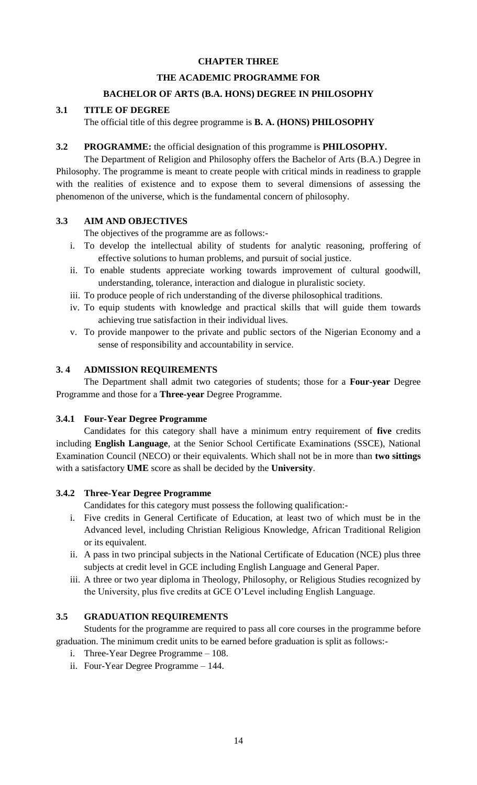# **CHAPTER THREE**

# **THE ACADEMIC PROGRAMME FOR**

# **BACHELOR OF ARTS (B.A. HONS) DEGREE IN PHILOSOPHY**

### **3.1 TITLE OF DEGREE**

The official title of this degree programme is **B. A. (HONS) PHILOSOPHY**

# **3.2 PROGRAMME:** the official designation of this programme is **PHILOSOPHY.**

The Department of Religion and Philosophy offers the Bachelor of Arts (B.A.) Degree in Philosophy. The programme is meant to create people with critical minds in readiness to grapple with the realities of existence and to expose them to several dimensions of assessing the phenomenon of the universe, which is the fundamental concern of philosophy.

# **3.3 AIM AND OBJECTIVES**

The objectives of the programme are as follows:-

- i. To develop the intellectual ability of students for analytic reasoning, proffering of effective solutions to human problems, and pursuit of social justice.
- ii. To enable students appreciate working towards improvement of cultural goodwill, understanding, tolerance, interaction and dialogue in pluralistic society.
- iii. To produce people of rich understanding of the diverse philosophical traditions.
- iv. To equip students with knowledge and practical skills that will guide them towards achieving true satisfaction in their individual lives.
- v. To provide manpower to the private and public sectors of the Nigerian Economy and a sense of responsibility and accountability in service.

# **3. 4 ADMISSION REQUIREMENTS**

The Department shall admit two categories of students; those for a **Four-year** Degree Programme and those for a **Three-year** Degree Programme.

### **3.4.1 Four-Year Degree Programme**

Candidates for this category shall have a minimum entry requirement of **five** credits including **English Language**, at the Senior School Certificate Examinations (SSCE), National Examination Council (NECO) or their equivalents. Which shall not be in more than **two sittings**  with a satisfactory **UME** score as shall be decided by the **University**.

# **3.4.2 Three-Year Degree Programme**

Candidates for this category must possess the following qualification:-

- i. Five credits in General Certificate of Education, at least two of which must be in the Advanced level, including Christian Religious Knowledge, African Traditional Religion or its equivalent.
- ii. A pass in two principal subjects in the National Certificate of Education (NCE) plus three subjects at credit level in GCE including English Language and General Paper.
- iii. A three or two year diploma in Theology, Philosophy, or Religious Studies recognized by the University, plus five credits at GCE O'Level including English Language.

### **3.5 GRADUATION REQUIREMENTS**

Students for the programme are required to pass all core courses in the programme before graduation. The minimum credit units to be earned before graduation is split as follows:-

- i. Three-Year Degree Programme 108.
- ii. Four-Year Degree Programme 144.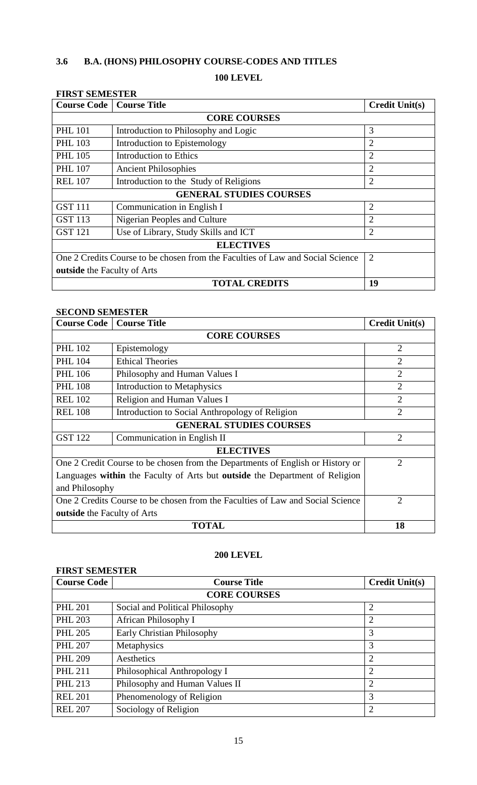# **3.6 B.A. (HONS) PHILOSOPHY COURSE-CODES AND TITLES**

# **100 LEVEL**

| <b>FIRST SEMESTER</b>                                                          |                                        |                       |  |  |  |
|--------------------------------------------------------------------------------|----------------------------------------|-----------------------|--|--|--|
| <b>Course Code</b>   Course Title                                              |                                        | <b>Credit Unit(s)</b> |  |  |  |
|                                                                                | <b>CORE COURSES</b>                    |                       |  |  |  |
| <b>PHL 101</b>                                                                 | Introduction to Philosophy and Logic   | 3                     |  |  |  |
| <b>PHL 103</b>                                                                 | Introduction to Epistemology           | $\overline{2}$        |  |  |  |
| <b>PHL 105</b>                                                                 | <b>Introduction to Ethics</b>          | $\overline{2}$        |  |  |  |
| <b>PHL 107</b>                                                                 | <b>Ancient Philosophies</b>            | $\overline{2}$        |  |  |  |
| <b>REL 107</b>                                                                 | Introduction to the Study of Religions | $\overline{2}$        |  |  |  |
| <b>GENERAL STUDIES COURSES</b>                                                 |                                        |                       |  |  |  |
| <b>GST 111</b>                                                                 | Communication in English I             | $\overline{2}$        |  |  |  |
| <b>GST 113</b>                                                                 | Nigerian Peoples and Culture           | $\overline{2}$        |  |  |  |
| <b>GST 121</b>                                                                 | Use of Library, Study Skills and ICT   | $\overline{2}$        |  |  |  |
|                                                                                | <b>ELECTIVES</b>                       |                       |  |  |  |
| One 2 Credits Course to be chosen from the Faculties of Law and Social Science | $\overline{2}$                         |                       |  |  |  |
| <b>outside</b> the Faculty of Arts                                             |                                        |                       |  |  |  |
|                                                                                | 19                                     |                       |  |  |  |

# **SECOND SEMESTER**

| <b>Course Code</b>                                                             | <b>Course Title</b>                             | <b>Credit Unit(s)</b> |  |  |  |
|--------------------------------------------------------------------------------|-------------------------------------------------|-----------------------|--|--|--|
|                                                                                | <b>CORE COURSES</b>                             |                       |  |  |  |
| <b>PHL 102</b>                                                                 | Epistemology                                    |                       |  |  |  |
| <b>PHL 104</b>                                                                 | <b>Ethical Theories</b>                         | $\overline{2}$        |  |  |  |
| <b>PHL 106</b>                                                                 | Philosophy and Human Values I                   | $\overline{2}$        |  |  |  |
| <b>PHL 108</b>                                                                 | <b>Introduction to Metaphysics</b>              | $\overline{2}$        |  |  |  |
| <b>REL 102</b>                                                                 | Religion and Human Values I                     | $\overline{2}$        |  |  |  |
| <b>REL 108</b>                                                                 | Introduction to Social Anthropology of Religion |                       |  |  |  |
|                                                                                |                                                 |                       |  |  |  |
| <b>GST 122</b>                                                                 | $\overline{2}$                                  |                       |  |  |  |
| <b>ELECTIVES</b>                                                               |                                                 |                       |  |  |  |
| One 2 Credit Course to be chosen from the Departments of English or History or | $\overline{2}$                                  |                       |  |  |  |
| Languages within the Faculty of Arts but outside the Department of Religion    |                                                 |                       |  |  |  |
| and Philosophy                                                                 |                                                 |                       |  |  |  |
| One 2 Credits Course to be chosen from the Faculties of Law and Social Science | $\overline{2}$                                  |                       |  |  |  |
| <b>outside</b> the Faculty of Arts                                             |                                                 |                       |  |  |  |
|                                                                                | <b>TOTAL</b>                                    | 18                    |  |  |  |

# **200 LEVEL**

| <b>FIRST SEMESTER</b> |                                   |                       |  |  |
|-----------------------|-----------------------------------|-----------------------|--|--|
| <b>Course Code</b>    | <b>Course Title</b>               | <b>Credit Unit(s)</b> |  |  |
|                       | <b>CORE COURSES</b>               |                       |  |  |
| <b>PHL 201</b>        | Social and Political Philosophy   | $\overline{2}$        |  |  |
| <b>PHL 203</b>        | African Philosophy I              | $\overline{2}$        |  |  |
| <b>PHL 205</b>        | <b>Early Christian Philosophy</b> | 3                     |  |  |
| <b>PHL 207</b>        | Metaphysics                       | 3                     |  |  |
| <b>PHL 209</b>        | Aesthetics                        | $\overline{2}$        |  |  |
| <b>PHL 211</b>        | Philosophical Anthropology I      | $\overline{2}$        |  |  |
| <b>PHL 213</b>        | Philosophy and Human Values II    | $\overline{2}$        |  |  |
| <b>REL 201</b>        | Phenomenology of Religion         | 3                     |  |  |
| <b>REL 207</b>        | Sociology of Religion             | $\overline{2}$        |  |  |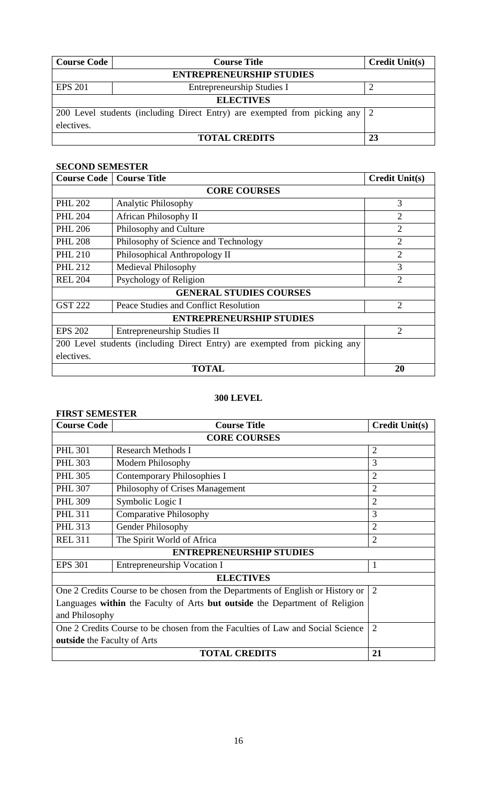| <b>Course Code</b>                                                          | <b>Course Title</b>             |  |  |  |  |  |  |
|-----------------------------------------------------------------------------|---------------------------------|--|--|--|--|--|--|
|                                                                             | <b>ENTREPRENEURSHIP STUDIES</b> |  |  |  |  |  |  |
| <b>EPS 201</b>                                                              | Entrepreneurship Studies I      |  |  |  |  |  |  |
|                                                                             | <b>ELECTIVES</b>                |  |  |  |  |  |  |
| 200 Level students (including Direct Entry) are exempted from picking any 2 |                                 |  |  |  |  |  |  |
| electives.                                                                  |                                 |  |  |  |  |  |  |
|                                                                             | 23                              |  |  |  |  |  |  |

# **SECOND SEMESTER**

| <b>Course Code</b>                                                        | <b>Course Title</b>                   | <b>Credit Unit(s)</b> |  |  |  |
|---------------------------------------------------------------------------|---------------------------------------|-----------------------|--|--|--|
|                                                                           | <b>CORE COURSES</b>                   |                       |  |  |  |
| <b>PHL 202</b>                                                            | <b>Analytic Philosophy</b>            | 3                     |  |  |  |
| <b>PHL 204</b>                                                            | African Philosophy II                 | $\overline{2}$        |  |  |  |
| <b>PHL 206</b>                                                            | Philosophy and Culture                | $\overline{2}$        |  |  |  |
| <b>PHL 208</b>                                                            | Philosophy of Science and Technology  | $\overline{2}$        |  |  |  |
| <b>PHL 210</b>                                                            | Philosophical Anthropology II         | $\overline{2}$        |  |  |  |
| <b>PHL 212</b>                                                            | Medieval Philosophy                   | 3                     |  |  |  |
| <b>REL 204</b>                                                            | Psychology of Religion                | $\overline{2}$        |  |  |  |
| <b>GENERAL STUDIES COURSES</b>                                            |                                       |                       |  |  |  |
| <b>GST 222</b>                                                            | Peace Studies and Conflict Resolution | $\overline{2}$        |  |  |  |
|                                                                           | <b>ENTREPRENEURSHIP STUDIES</b>       |                       |  |  |  |
| <b>EPS 202</b>                                                            | $\overline{2}$                        |                       |  |  |  |
| 200 Level students (including Direct Entry) are exempted from picking any |                                       |                       |  |  |  |
| electives.                                                                |                                       |                       |  |  |  |
|                                                                           | 20                                    |                       |  |  |  |

# **300 LEVEL**

# **FIRST SEMESTER**

| <b>Course Code</b>                                                              | <b>Course Title</b>             | <b>Credit Unit(s)</b> |  |  |  |
|---------------------------------------------------------------------------------|---------------------------------|-----------------------|--|--|--|
|                                                                                 | <b>CORE COURSES</b>             |                       |  |  |  |
| <b>PHL 301</b>                                                                  | <b>Research Methods I</b>       | $\overline{2}$        |  |  |  |
| <b>PHL 303</b>                                                                  | <b>Modern Philosophy</b>        | 3                     |  |  |  |
| <b>PHL 305</b>                                                                  | Contemporary Philosophies I     | $\overline{2}$        |  |  |  |
| <b>PHL 307</b>                                                                  | Philosophy of Crises Management | $\overline{2}$        |  |  |  |
| <b>PHL 309</b>                                                                  | Symbolic Logic I                | $\overline{2}$        |  |  |  |
| <b>PHL 311</b>                                                                  | <b>Comparative Philosophy</b>   | 3                     |  |  |  |
| <b>PHL 313</b>                                                                  | <b>Gender Philosophy</b>        | $\overline{2}$        |  |  |  |
| <b>REL 311</b>                                                                  | 2                               |                       |  |  |  |
| <b>ENTREPRENEURSHIP STUDIES</b>                                                 |                                 |                       |  |  |  |
| <b>EPS 301</b>                                                                  | 1                               |                       |  |  |  |
|                                                                                 | <b>ELECTIVES</b>                |                       |  |  |  |
| One 2 Credits Course to be chosen from the Departments of English or History or | $\overline{2}$                  |                       |  |  |  |
| Languages within the Faculty of Arts but outside the Department of Religion     |                                 |                       |  |  |  |
| and Philosophy                                                                  |                                 |                       |  |  |  |
| One 2 Credits Course to be chosen from the Faculties of Law and Social Science  | $\overline{2}$                  |                       |  |  |  |
| <b>outside</b> the Faculty of Arts                                              |                                 |                       |  |  |  |
|                                                                                 | 21                              |                       |  |  |  |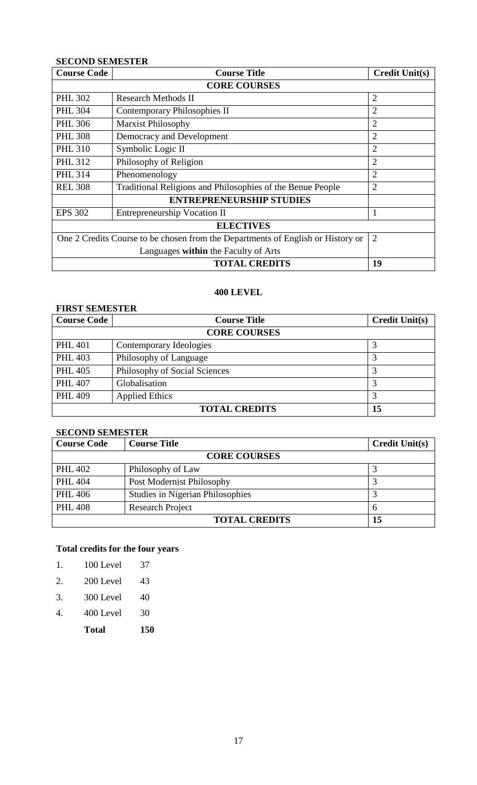# **SECOND SEMESTER**

| <b>Course Code</b>                                                              | <b>Course Title</b>                                        |                |  |  |
|---------------------------------------------------------------------------------|------------------------------------------------------------|----------------|--|--|
|                                                                                 |                                                            |                |  |  |
| <b>PHL 302</b>                                                                  | <b>Research Methods II</b>                                 | $\overline{2}$ |  |  |
| <b>PHL 304</b>                                                                  | <b>Contemporary Philosophies II</b>                        | $\overline{2}$ |  |  |
| <b>PHL 306</b>                                                                  | <b>Marxist Philosophy</b>                                  | $\overline{2}$ |  |  |
| <b>PHL 308</b>                                                                  | Democracy and Development                                  | 2              |  |  |
| <b>PHL 310</b>                                                                  | Symbolic Logic II                                          | $\overline{2}$ |  |  |
| <b>PHL 312</b>                                                                  | Philosophy of Religion                                     |                |  |  |
| <b>PHL 314</b>                                                                  | Phenomenology                                              | $\overline{2}$ |  |  |
| <b>REL 308</b>                                                                  | Traditional Religions and Philosophies of the Benue People | $\overline{2}$ |  |  |
|                                                                                 |                                                            |                |  |  |
| <b>EPS 302</b>                                                                  | <b>Entrepreneurship Vocation II</b>                        |                |  |  |
|                                                                                 | <b>ELECTIVES</b>                                           |                |  |  |
| One 2 Credits Course to be chosen from the Departments of English or History or | $\overline{2}$                                             |                |  |  |
|                                                                                 |                                                            |                |  |  |
|                                                                                 | <b>TOTAL CREDITS</b>                                       | 19             |  |  |

# **400 LEVEL**

| <b>FIRST SEMESTER</b>      |                               |                       |  |  |  |
|----------------------------|-------------------------------|-----------------------|--|--|--|
| <b>Course Code</b>         | <b>Course Title</b>           | <b>Credit Unit(s)</b> |  |  |  |
|                            | <b>CORE COURSES</b>           |                       |  |  |  |
| <b>PHL 401</b>             | Contemporary Ideologies       |                       |  |  |  |
| <b>PHL 403</b>             | Philosophy of Language        |                       |  |  |  |
| <b>PHL 405</b>             | Philosophy of Social Sciences | 3                     |  |  |  |
| <b>PHL 407</b>             | Globalisation                 |                       |  |  |  |
| <b>PHL 409</b>             | <b>Applied Ethics</b>         | 3                     |  |  |  |
| <b>TOTAL CREDITS</b><br>15 |                               |                       |  |  |  |

# **SECOND SEMESTER**

| <b>Course Code</b>         | <b>Course Title</b>                     | <b>Credit Unit(s)</b> |  |  |
|----------------------------|-----------------------------------------|-----------------------|--|--|
| <b>CORE COURSES</b>        |                                         |                       |  |  |
| <b>PHL 402</b>             | Philosophy of Law                       |                       |  |  |
| <b>PHL 404</b>             | Post Modernist Philosophy               |                       |  |  |
| <b>PHL 406</b>             | <b>Studies in Nigerian Philosophies</b> |                       |  |  |
| <b>PHL 408</b>             | <b>Research Project</b>                 |                       |  |  |
| <b>TOTAL CREDITS</b><br>15 |                                         |                       |  |  |

# **Total credits for the four years**

| 1. | 100 Level | 37 |
|----|-----------|----|
|    |           |    |

- 2. 200 Level 43
- 3. 300 Level 40
- 4. 400 Level 30
	- **Total 150**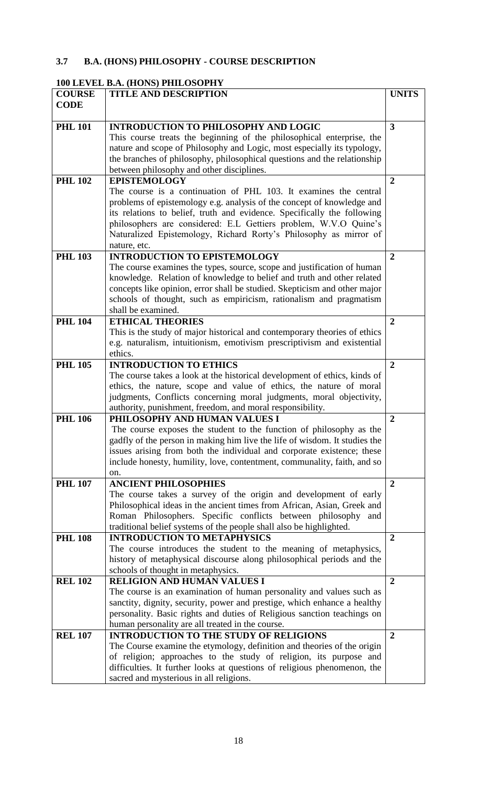# **3.7 B.A. (HONS) PHILOSOPHY - COURSE DESCRIPTION**

# **100 LEVEL B.A. (HONS) PHILOSOPHY**

| <b>COURSE</b>  | <b>TITLE AND DESCRIPTION</b>                                                                                                                    | <b>UNITS</b>            |
|----------------|-------------------------------------------------------------------------------------------------------------------------------------------------|-------------------------|
| <b>CODE</b>    |                                                                                                                                                 |                         |
|                |                                                                                                                                                 |                         |
| <b>PHL 101</b> | <b>INTRODUCTION TO PHILOSOPHY AND LOGIC</b>                                                                                                     | $\overline{\mathbf{3}}$ |
|                | This course treats the beginning of the philosophical enterprise, the                                                                           |                         |
|                | nature and scope of Philosophy and Logic, most especially its typology,                                                                         |                         |
|                | the branches of philosophy, philosophical questions and the relationship                                                                        |                         |
|                | between philosophy and other disciplines.                                                                                                       |                         |
| <b>PHL 102</b> | <b>EPISTEMOLOGY</b><br>The course is a continuation of PHL 103. It examines the central                                                         | $\overline{2}$          |
|                | problems of epistemology e.g. analysis of the concept of knowledge and                                                                          |                         |
|                | its relations to belief, truth and evidence. Specifically the following                                                                         |                         |
|                | philosophers are considered: E.L Gettiers problem, W.V.O Quine's                                                                                |                         |
|                | Naturalized Epistemology, Richard Rorty's Philosophy as mirror of                                                                               |                         |
|                | nature, etc.                                                                                                                                    |                         |
| <b>PHL 103</b> | <b>INTRODUCTION TO EPISTEMOLOGY</b>                                                                                                             | $\overline{2}$          |
|                | The course examines the types, source, scope and justification of human                                                                         |                         |
|                | knowledge. Relation of knowledge to belief and truth and other related                                                                          |                         |
|                | concepts like opinion, error shall be studied. Skepticism and other major                                                                       |                         |
|                | schools of thought, such as empiricism, rationalism and pragmatism                                                                              |                         |
|                | shall be examined.                                                                                                                              |                         |
| <b>PHL 104</b> | <b>ETHICAL THEORIES</b>                                                                                                                         | $\overline{2}$          |
|                | This is the study of major historical and contemporary theories of ethics                                                                       |                         |
|                | e.g. naturalism, intuitionism, emotivism prescriptivism and existential                                                                         |                         |
|                | ethics.                                                                                                                                         |                         |
| <b>PHL 105</b> | <b>INTRODUCTION TO ETHICS</b>                                                                                                                   | $\overline{2}$          |
|                | The course takes a look at the historical development of ethics, kinds of<br>ethics, the nature, scope and value of ethics, the nature of moral |                         |
|                | judgments, Conflicts concerning moral judgments, moral objectivity,                                                                             |                         |
|                | authority, punishment, freedom, and moral responsibility.                                                                                       |                         |
| <b>PHL 106</b> | PHILOSOPHY AND HUMAN VALUES I                                                                                                                   | $\overline{2}$          |
|                | The course exposes the student to the function of philosophy as the                                                                             |                         |
|                | gadfly of the person in making him live the life of wisdom. It studies the                                                                      |                         |
|                | issues arising from both the individual and corporate existence; these                                                                          |                         |
|                | include honesty, humility, love, contentment, communality, faith, and so                                                                        |                         |
|                | on.                                                                                                                                             |                         |
| <b>PHL 107</b> | <b>ANCIENT PHILOSOPHIES</b>                                                                                                                     | $\overline{2}$          |
|                | The course takes a survey of the origin and development of early                                                                                |                         |
|                | Philosophical ideas in the ancient times from African, Asian, Greek and                                                                         |                         |
|                | Roman Philosophers. Specific conflicts between philosophy and<br>traditional belief systems of the people shall also be highlighted.            |                         |
| <b>PHL 108</b> | <b>INTRODUCTION TO METAPHYSICS</b>                                                                                                              | $\overline{2}$          |
|                | The course introduces the student to the meaning of metaphysics,                                                                                |                         |
|                | history of metaphysical discourse along philosophical periods and the                                                                           |                         |
|                | schools of thought in metaphysics.                                                                                                              |                         |
| <b>REL 102</b> | <b>RELIGION AND HUMAN VALUES I</b>                                                                                                              | $\overline{2}$          |
|                | The course is an examination of human personality and values such as                                                                            |                         |
|                | sanctity, dignity, security, power and prestige, which enhance a healthy                                                                        |                         |
|                | personality. Basic rights and duties of Religious sanction teachings on                                                                         |                         |
|                | human personality are all treated in the course.                                                                                                |                         |
| <b>REL 107</b> | <b>INTRODUCTION TO THE STUDY OF RELIGIONS</b>                                                                                                   | $\overline{2}$          |
|                | The Course examine the etymology, definition and theories of the origin                                                                         |                         |
|                | of religion; approaches to the study of religion, its purpose and                                                                               |                         |
|                | difficulties. It further looks at questions of religious phenomenon, the                                                                        |                         |
|                | sacred and mysterious in all religions.                                                                                                         |                         |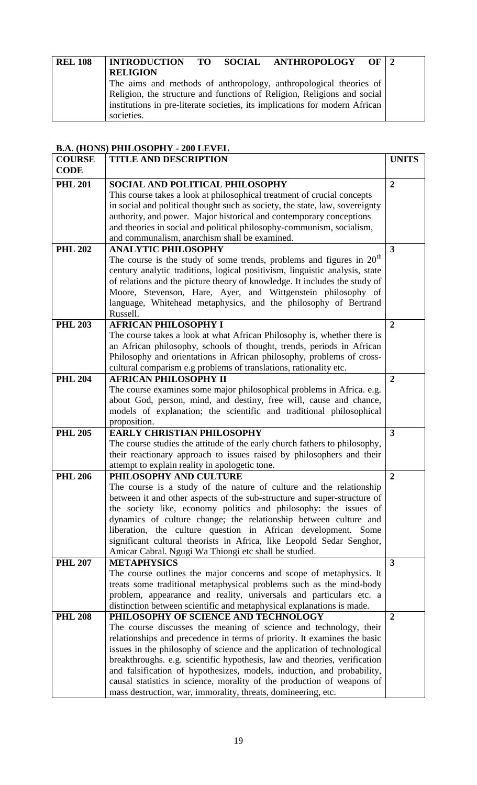| <b>REL 108</b> |                                                                         |  |  | INTRODUCTION TO SOCIAL ANTHROPOLOGY OF   2                                  |  |  |
|----------------|-------------------------------------------------------------------------|--|--|-----------------------------------------------------------------------------|--|--|
|                | <b>RELIGION</b>                                                         |  |  |                                                                             |  |  |
|                |                                                                         |  |  | The aims and methods of anthropology, anthropological theories of           |  |  |
|                | Religion, the structure and functions of Religion, Religions and social |  |  |                                                                             |  |  |
|                |                                                                         |  |  | institutions in pre-literate societies, its implications for modern African |  |  |
|                | societies.                                                              |  |  |                                                                             |  |  |

# **B.A. (HONS) PHILOSOPHY - 200 LEVEL**

| <b>COURSE</b>  | <b>TITLE AND DESCRIPTION</b>                                                                                                   | <b>UNITS</b>            |
|----------------|--------------------------------------------------------------------------------------------------------------------------------|-------------------------|
| <b>CODE</b>    |                                                                                                                                |                         |
| <b>PHL 201</b> | SOCIAL AND POLITICAL PHILOSOPHY                                                                                                | $\overline{2}$          |
|                | This course takes a look at philosophical treatment of crucial concepts                                                        |                         |
|                | in social and political thought such as society, the state, law, sovereignty                                                   |                         |
|                | authority, and power. Major historical and contemporary conceptions                                                            |                         |
|                | and theories in social and political philosophy-communism, socialism,                                                          |                         |
|                | and communalism, anarchism shall be examined.                                                                                  |                         |
| <b>PHL 202</b> | <b>ANALYTIC PHILOSOPHY</b>                                                                                                     | $\overline{\mathbf{3}}$ |
|                | The course is the study of some trends, problems and figures in $20th$                                                         |                         |
|                | century analytic traditions, logical positivism, linguistic analysis, state                                                    |                         |
|                | of relations and the picture theory of knowledge. It includes the study of                                                     |                         |
|                | Moore, Stevenson, Hare, Ayer, and Wittgenstein philosophy of                                                                   |                         |
|                | language, Whitehead metaphysics, and the philosophy of Bertrand                                                                |                         |
|                | Russell.                                                                                                                       |                         |
| <b>PHL 203</b> | <b>AFRICAN PHILOSOPHY I</b>                                                                                                    | $\boldsymbol{2}$        |
|                | The course takes a look at what African Philosophy is, whether there is                                                        |                         |
|                | an African philosophy, schools of thought, trends, periods in African                                                          |                         |
|                | Philosophy and orientations in African philosophy, problems of cross-                                                          |                         |
|                | cultural comparism e.g problems of translations, rationality etc.                                                              |                         |
| <b>PHL 204</b> | <b>AFRICAN PHILOSOPHY II</b>                                                                                                   | $\overline{2}$          |
|                | The course examines some major philosophical problems in Africa. e.g.                                                          |                         |
|                | about God, person, mind, and destiny, free will, cause and chance,                                                             |                         |
|                | models of explanation; the scientific and traditional philosophical                                                            |                         |
|                | proposition.                                                                                                                   |                         |
| <b>PHL 205</b> | <b>EARLY CHRISTIAN PHILOSOPHY</b>                                                                                              | 3                       |
|                | The course studies the attitude of the early church fathers to philosophy,                                                     |                         |
|                | their reactionary approach to issues raised by philosophers and their                                                          |                         |
|                | attempt to explain reality in apologetic tone.                                                                                 |                         |
| <b>PHL 206</b> | PHILOSOPHY AND CULTURE                                                                                                         | $\overline{2}$          |
|                | The course is a study of the nature of culture and the relationship                                                            |                         |
|                | between it and other aspects of the sub-structure and super-structure of                                                       |                         |
|                | the society like, economy politics and philosophy: the issues of                                                               |                         |
|                | dynamics of culture change; the relationship between culture and                                                               |                         |
|                | liberation, the culture question in African development. Some                                                                  |                         |
|                | significant cultural theorists in Africa, like Leopold Sedar Senghor,<br>Amicar Cabral. Ngugi Wa Thiongi etc shall be studied. |                         |
| <b>PHL 207</b> | <b>METAPHYSICS</b>                                                                                                             | 3                       |
|                | The course outlines the major concerns and scope of metaphysics. It                                                            |                         |
|                | treats some traditional metaphysical problems such as the mind-body                                                            |                         |
|                | problem, appearance and reality, universals and particulars etc. a                                                             |                         |
|                | distinction between scientific and metaphysical explanations is made.                                                          |                         |
| <b>PHL 208</b> | PHILOSOPHY OF SCIENCE AND TECHNOLOGY                                                                                           | $\overline{2}$          |
|                | The course discusses the meaning of science and technology, their                                                              |                         |
|                | relationships and precedence in terms of priority. It examines the basic                                                       |                         |
|                | issues in the philosophy of science and the application of technological                                                       |                         |
|                | breakthroughs. e.g. scientific hypothesis, law and theories, verification                                                      |                         |
|                | and falsification of hypothesizes, models, induction, and probability,                                                         |                         |
|                | causal statistics in science, morality of the production of weapons of                                                         |                         |
|                | mass destruction, war, immorality, threats, domineering, etc.                                                                  |                         |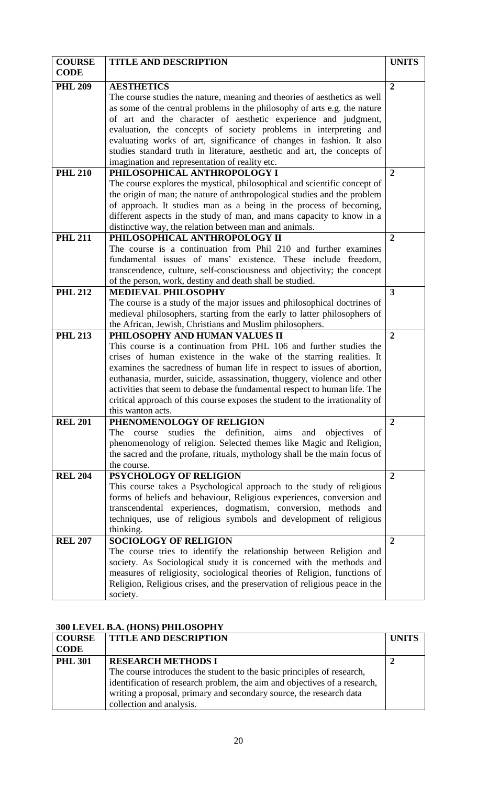| <b>COURSE</b>  | <b>TITLE AND DESCRIPTION</b>                                                           | <b>UNITS</b>   |
|----------------|----------------------------------------------------------------------------------------|----------------|
| <b>CODE</b>    |                                                                                        |                |
| <b>PHL 209</b> | <b>AESTHETICS</b>                                                                      | $\overline{2}$ |
|                | The course studies the nature, meaning and theories of aesthetics as well              |                |
|                | as some of the central problems in the philosophy of arts e.g. the nature              |                |
|                | of art and the character of aesthetic experience and judgment,                         |                |
|                | evaluation, the concepts of society problems in interpreting and                       |                |
|                | evaluating works of art, significance of changes in fashion. It also                   |                |
|                | studies standard truth in literature, aesthetic and art, the concepts of               |                |
|                | imagination and representation of reality etc.                                         |                |
| <b>PHL 210</b> | PHILOSOPHICAL ANTHROPOLOGY I                                                           | $\overline{2}$ |
|                | The course explores the mystical, philosophical and scientific concept of              |                |
|                | the origin of man; the nature of anthropological studies and the problem               |                |
|                | of approach. It studies man as a being in the process of becoming,                     |                |
|                | different aspects in the study of man, and mans capacity to know in a                  |                |
|                | distinctive way, the relation between man and animals.                                 |                |
| <b>PHL 211</b> | PHILOSOPHICAL ANTHROPOLOGY II                                                          | $\overline{2}$ |
|                | The course is a continuation from Phil 210 and further examines                        |                |
|                | fundamental issues of mans' existence. These include freedom,                          |                |
|                | transcendence, culture, self-consciousness and objectivity; the concept                |                |
|                | of the person, work, destiny and death shall be studied.                               |                |
| <b>PHL 212</b> | <b>MEDIEVAL PHILOSOPHY</b>                                                             | 3              |
|                | The course is a study of the major issues and philosophical doctrines of               |                |
|                | medieval philosophers, starting from the early to latter philosophers of               |                |
|                | the African, Jewish, Christians and Muslim philosophers.                               |                |
| <b>PHL 213</b> | PHILOSOPHY AND HUMAN VALUES II                                                         | $\overline{2}$ |
|                | This course is a continuation from PHL 106 and further studies the                     |                |
|                | crises of human existence in the wake of the starring realities. It                    |                |
|                | examines the sacredness of human life in respect to issues of abortion,                |                |
|                | euthanasia, murder, suicide, assassination, thuggery, violence and other               |                |
|                | activities that seem to debase the fundamental respect to human life. The              |                |
|                | critical approach of this course exposes the student to the irrationality of           |                |
|                | this wanton acts.                                                                      |                |
| <b>REL 201</b> | PHENOMENOLOGY OF RELIGION                                                              | $\overline{2}$ |
|                | definition,<br>studies<br>the<br>aims<br>The<br>and<br>objectives<br>course<br>of      |                |
|                | phenomenology of religion. Selected themes like Magic and Religion,                    |                |
|                | the sacred and the profane, rituals, mythology shall be the main focus of              |                |
|                | the course.                                                                            |                |
| <b>REL 204</b> | <b>PSYCHOLOGY OF RELIGION</b>                                                          | $\overline{2}$ |
|                | This course takes a Psychological approach to the study of religious                   |                |
|                | forms of beliefs and behaviour, Religious experiences, conversion and                  |                |
|                | transcendental experiences, dogmatism, conversion, methods and                         |                |
|                | techniques, use of religious symbols and development of religious                      |                |
|                | thinking.                                                                              |                |
| <b>REL 207</b> | <b>SOCIOLOGY OF RELIGION</b>                                                           | $\overline{2}$ |
|                | The course tries to identify the relationship between Religion and                     |                |
|                | society. As Sociological study it is concerned with the methods and                    |                |
|                | measures of religiosity, sociological theories of Religion, functions of               |                |
|                | Religion, Religious crises, and the preservation of religious peace in the<br>society. |                |

# **300 LEVEL B.A. (HONS) PHILOSOPHY**

| <b>COURSE</b>  | <b>TITLE AND DESCRIPTION</b>                                              | <b>UNITS</b> |
|----------------|---------------------------------------------------------------------------|--------------|
| <b>CODE</b>    |                                                                           |              |
| <b>PHL 301</b> | <b>RESEARCH METHODS I</b>                                                 |              |
|                | The course introduces the student to the basic principles of research,    |              |
|                | identification of research problem, the aim and objectives of a research, |              |
|                | writing a proposal, primary and secondary source, the research data       |              |
|                | collection and analysis.                                                  |              |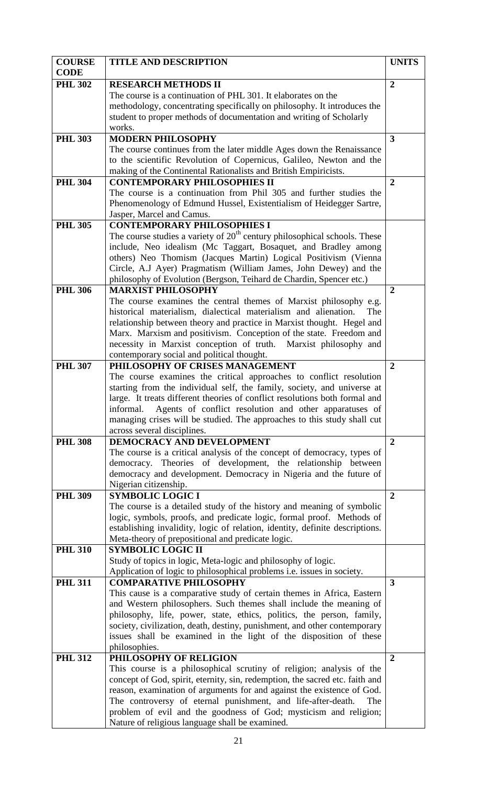| <b>COURSE</b><br><b>CODE</b> | <b>TITLE AND DESCRIPTION</b>                                                                                                              | <b>UNITS</b>            |
|------------------------------|-------------------------------------------------------------------------------------------------------------------------------------------|-------------------------|
| <b>PHL 302</b>               | <b>RESEARCH METHODS II</b>                                                                                                                | $\overline{2}$          |
|                              | The course is a continuation of PHL 301. It elaborates on the                                                                             |                         |
|                              | methodology, concentrating specifically on philosophy. It introduces the                                                                  |                         |
|                              | student to proper methods of documentation and writing of Scholarly                                                                       |                         |
|                              | works.                                                                                                                                    |                         |
| <b>PHL 303</b>               | <b>MODERN PHILOSOPHY</b>                                                                                                                  | $\overline{\mathbf{3}}$ |
|                              | The course continues from the later middle Ages down the Renaissance                                                                      |                         |
|                              | to the scientific Revolution of Copernicus, Galileo, Newton and the                                                                       |                         |
|                              | making of the Continental Rationalists and British Empiricists.                                                                           |                         |
| <b>PHL 304</b>               | <b>CONTEMPORARY PHILOSOPHIES II</b>                                                                                                       | $\overline{2}$          |
|                              | The course is a continuation from Phil 305 and further studies the<br>Phenomenology of Edmund Hussel, Existentialism of Heidegger Sartre, |                         |
|                              | Jasper, Marcel and Camus.                                                                                                                 |                         |
| <b>PHL 305</b>               | <b>CONTEMPORARY PHILOSOPHIES I</b>                                                                                                        |                         |
|                              | The course studies a variety of $20th$ century philosophical schools. These                                                               |                         |
|                              | include, Neo idealism (Mc Taggart, Bosaquet, and Bradley among                                                                            |                         |
|                              | others) Neo Thomism (Jacques Martin) Logical Positivism (Vienna                                                                           |                         |
|                              | Circle, A.J Ayer) Pragmatism (William James, John Dewey) and the                                                                          |                         |
|                              | philosophy of Evolution (Bergson, Teihard de Chardin, Spencer etc.)                                                                       |                         |
| <b>PHL 306</b>               | <b>MARXIST PHILOSOPHY</b>                                                                                                                 | $\overline{2}$          |
|                              | The course examines the central themes of Marxist philosophy e.g.                                                                         |                         |
|                              | historical materialism, dialectical materialism and alienation.<br>The                                                                    |                         |
|                              | relationship between theory and practice in Marxist thought. Hegel and                                                                    |                         |
|                              | Marx. Marxism and positivism. Conception of the state. Freedom and                                                                        |                         |
|                              | necessity in Marxist conception of truth. Marxist philosophy and                                                                          |                         |
| <b>PHL 307</b>               | contemporary social and political thought.<br>PHILOSOPHY OF CRISES MANAGEMENT                                                             | $\overline{2}$          |
|                              | The course examines the critical approaches to conflict resolution                                                                        |                         |
|                              | starting from the individual self, the family, society, and universe at                                                                   |                         |
|                              | large. It treats different theories of conflict resolutions both formal and                                                               |                         |
|                              | Agents of conflict resolution and other apparatuses of<br>informal.                                                                       |                         |
|                              | managing crises will be studied. The approaches to this study shall cut                                                                   |                         |
|                              | across several disciplines.                                                                                                               |                         |
| <b>PHL 308</b>               | DEMOCRACY AND DEVELOPMENT                                                                                                                 | $\overline{2}$          |
|                              | The course is a critical analysis of the concept of democracy, types of                                                                   |                         |
|                              | democracy. Theories of development, the relationship between                                                                              |                         |
|                              | democracy and development. Democracy in Nigeria and the future of                                                                         |                         |
|                              | Nigerian citizenship.                                                                                                                     |                         |
| <b>PHL 309</b>               | <b>SYMBOLIC LOGIC I</b><br>The course is a detailed study of the history and meaning of symbolic                                          | $\overline{2}$          |
|                              | logic, symbols, proofs, and predicate logic, formal proof. Methods of                                                                     |                         |
|                              | establishing invalidity, logic of relation, identity, definite descriptions.                                                              |                         |
|                              | Meta-theory of prepositional and predicate logic.                                                                                         |                         |
| <b>PHL 310</b>               | <b>SYMBOLIC LOGIC II</b>                                                                                                                  |                         |
|                              | Study of topics in logic, Meta-logic and philosophy of logic.                                                                             |                         |
|                              | Application of logic to philosophical problems i.e. issues in society.                                                                    |                         |
| <b>PHL 311</b>               | <b>COMPARATIVE PHILOSOPHY</b>                                                                                                             | $\overline{\mathbf{3}}$ |
|                              | This cause is a comparative study of certain themes in Africa, Eastern                                                                    |                         |
|                              | and Western philosophers. Such themes shall include the meaning of                                                                        |                         |
|                              | philosophy, life, power, state, ethics, politics, the person, family,                                                                     |                         |
|                              | society, civilization, death, destiny, punishment, and other contemporary                                                                 |                         |
|                              | issues shall be examined in the light of the disposition of these<br>philosophies.                                                        |                         |
| <b>PHL 312</b>               | PHILOSOPHY OF RELIGION                                                                                                                    | $\overline{2}$          |
|                              | This course is a philosophical scrutiny of religion; analysis of the                                                                      |                         |
|                              | concept of God, spirit, eternity, sin, redemption, the sacred etc. faith and                                                              |                         |
|                              | reason, examination of arguments for and against the existence of God.                                                                    |                         |
|                              | The controversy of eternal punishment, and life-after-death.<br>The                                                                       |                         |
|                              | problem of evil and the goodness of God; mysticism and religion;                                                                          |                         |
|                              | Nature of religious language shall be examined.                                                                                           |                         |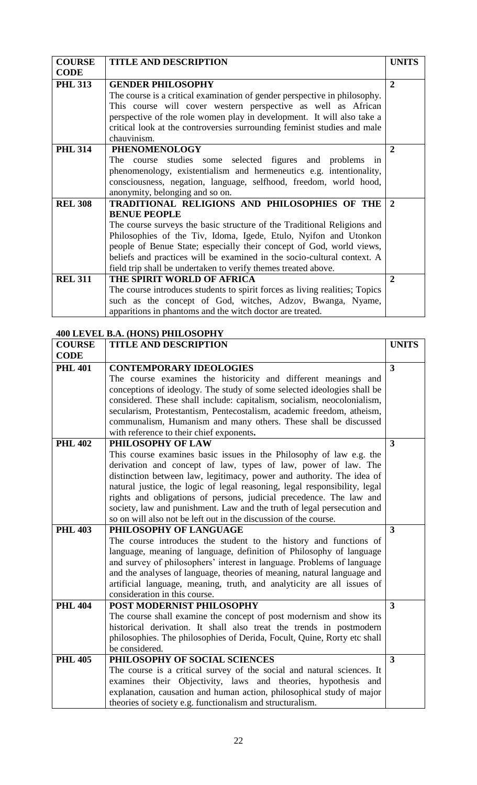| <b>COURSE</b>  | <b>TITLE AND DESCRIPTION</b>                                                | <b>UNITS</b>   |
|----------------|-----------------------------------------------------------------------------|----------------|
| <b>CODE</b>    |                                                                             |                |
| <b>PHL 313</b> | <b>GENDER PHILOSOPHY</b>                                                    | $\overline{2}$ |
|                | The course is a critical examination of gender perspective in philosophy.   |                |
|                | This course will cover western perspective as well as African               |                |
|                | perspective of the role women play in development. It will also take a      |                |
|                | critical look at the controversies surrounding feminist studies and male    |                |
|                | chauvinism.                                                                 |                |
| <b>PHL 314</b> | <b>PHENOMENOLOGY</b>                                                        | $\overline{2}$ |
|                | The course studies some selected figures and problems in                    |                |
|                | phenomenology, existentialism and hermeneutics e.g. intentionality,         |                |
|                | consciousness, negation, language, selfhood, freedom, world hood,           |                |
|                | anonymity, belonging and so on.                                             |                |
| <b>REL 308</b> | TRADITIONAL RELIGIONS AND PHILOSOPHIES OF THE                               | 2              |
|                | <b>BENUE PEOPLE</b>                                                         |                |
|                | The course surveys the basic structure of the Traditional Religions and     |                |
|                | Philosophies of the Tiv, Idoma, Igede, Etulo, Nyifon and Utonkon            |                |
|                | people of Benue State; especially their concept of God, world views,        |                |
|                | beliefs and practices will be examined in the socio-cultural context. A     |                |
|                | field trip shall be undertaken to verify themes treated above.              |                |
| <b>REL 311</b> | THE SPIRIT WORLD OF AFRICA                                                  | $\overline{2}$ |
|                | The course introduces students to spirit forces as living realities; Topics |                |
|                | such as the concept of God, witches, Adzov, Bwanga, Nyame,                  |                |
|                | apparitions in phantoms and the witch doctor are treated.                   |                |

# **400 LEVEL B.A. (HONS) PHILOSOPHY**

| <b>COURSE</b>  | <b>TITLE AND DESCRIPTION</b>                                                                                                               | <b>UNITS</b>            |
|----------------|--------------------------------------------------------------------------------------------------------------------------------------------|-------------------------|
| <b>CODE</b>    |                                                                                                                                            |                         |
| <b>PHL 401</b> | <b>CONTEMPORARY IDEOLOGIES</b>                                                                                                             | $\overline{\mathbf{3}}$ |
|                | The course examines the historicity and different meanings and                                                                             |                         |
|                | conceptions of ideology. The study of some selected ideologies shall be                                                                    |                         |
|                | considered. These shall include: capitalism, socialism, neocolonialism,                                                                    |                         |
|                | secularism, Protestantism, Pentecostalism, academic freedom, atheism,                                                                      |                         |
|                | communalism, Humanism and many others. These shall be discussed                                                                            |                         |
|                | with reference to their chief exponents.                                                                                                   |                         |
| <b>PHL 402</b> | PHILOSOPHY OF LAW                                                                                                                          | $\overline{\mathbf{3}}$ |
|                | This course examines basic issues in the Philosophy of law e.g. the                                                                        |                         |
|                | derivation and concept of law, types of law, power of law. The                                                                             |                         |
|                | distinction between law, legitimacy, power and authority. The idea of                                                                      |                         |
|                | natural justice, the logic of legal reasoning, legal responsibility, legal                                                                 |                         |
|                | rights and obligations of persons, judicial precedence. The law and                                                                        |                         |
|                | society, law and punishment. Law and the truth of legal persecution and                                                                    |                         |
|                | so on will also not be left out in the discussion of the course.                                                                           |                         |
| <b>PHL 403</b> | PHILOSOPHY OF LANGUAGE                                                                                                                     | 3                       |
|                | The course introduces the student to the history and functions of                                                                          |                         |
|                | language, meaning of language, definition of Philosophy of language                                                                        |                         |
|                | and survey of philosophers' interest in language. Problems of language                                                                     |                         |
|                | and the analyses of language, theories of meaning, natural language and                                                                    |                         |
|                | artificial language, meaning, truth, and analyticity are all issues of                                                                     |                         |
|                | consideration in this course.                                                                                                              |                         |
| <b>PHL 404</b> | POST MODERNIST PHILOSOPHY                                                                                                                  | $\overline{\mathbf{3}}$ |
|                | The course shall examine the concept of post modernism and show its<br>historical derivation. It shall also treat the trends in postmodern |                         |
|                | philosophies. The philosophies of Derida, Focult, Quine, Rorty etc shall                                                                   |                         |
|                | be considered.                                                                                                                             |                         |
| <b>PHL 405</b> | PHILOSOPHY OF SOCIAL SCIENCES                                                                                                              | 3                       |
|                | The course is a critical survey of the social and natural sciences. It                                                                     |                         |
|                | examines their Objectivity, laws and theories, hypothesis and                                                                              |                         |
|                | explanation, causation and human action, philosophical study of major                                                                      |                         |
|                | theories of society e.g. functionalism and structuralism.                                                                                  |                         |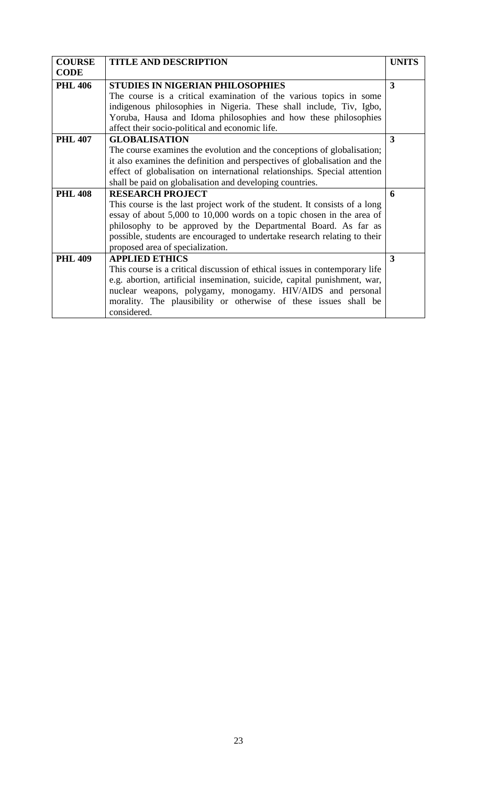| <b>COURSE</b>  | <b>TITLE AND DESCRIPTION</b>                                                | <b>UNITS</b> |
|----------------|-----------------------------------------------------------------------------|--------------|
| <b>CODE</b>    |                                                                             |              |
| <b>PHL 406</b> | STUDIES IN NIGERIAN PHILOSOPHIES                                            | 3            |
|                | The course is a critical examination of the various topics in some          |              |
|                | indigenous philosophies in Nigeria. These shall include, Tiv, Igbo,         |              |
|                | Yoruba, Hausa and Idoma philosophies and how these philosophies             |              |
|                | affect their socio-political and economic life.                             |              |
| <b>PHL 407</b> | <b>GLOBALISATION</b>                                                        | 3            |
|                | The course examines the evolution and the conceptions of globalisation;     |              |
|                | it also examines the definition and perspectives of globalisation and the   |              |
|                | effect of globalisation on international relationships. Special attention   |              |
|                | shall be paid on globalisation and developing countries.                    |              |
| <b>PHL 408</b> | <b>RESEARCH PROJECT</b>                                                     | 6            |
|                | This course is the last project work of the student. It consists of a long  |              |
|                | essay of about 5,000 to 10,000 words on a topic chosen in the area of       |              |
|                | philosophy to be approved by the Departmental Board. As far as              |              |
|                | possible, students are encouraged to undertake research relating to their   |              |
|                | proposed area of specialization.                                            |              |
| <b>PHL 409</b> | <b>APPLIED ETHICS</b>                                                       | 3            |
|                | This course is a critical discussion of ethical issues in contemporary life |              |
|                | e.g. abortion, artificial insemination, suicide, capital punishment, war,   |              |
|                | nuclear weapons, polygamy, monogamy. HIV/AIDS and personal                  |              |
|                | morality. The plausibility or otherwise of these issues shall be            |              |
|                | considered.                                                                 |              |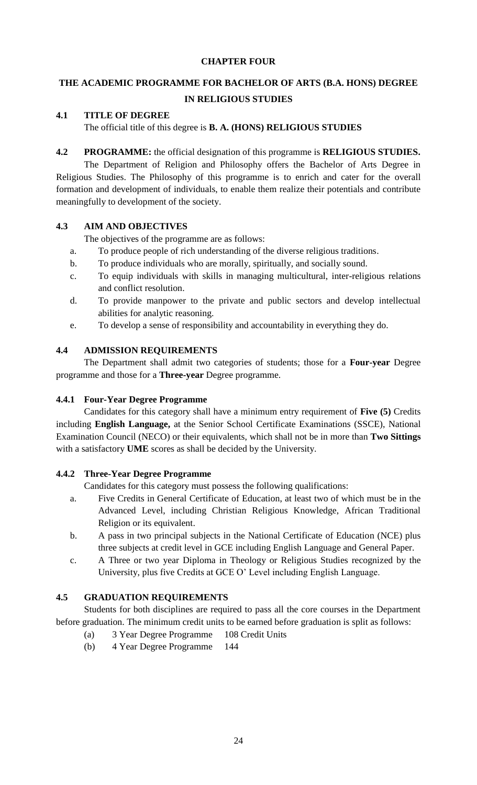# **CHAPTER FOUR**

# **THE ACADEMIC PROGRAMME FOR BACHELOR OF ARTS (B.A. HONS) DEGREE IN RELIGIOUS STUDIES**

# **4.1 TITLE OF DEGREE**

The official title of this degree is **B. A. (HONS) RELIGIOUS STUDIES**

**4.2 PROGRAMME:** the official designation of this programme is **RELIGIOUS STUDIES.**

The Department of Religion and Philosophy offers the Bachelor of Arts Degree in Religious Studies. The Philosophy of this programme is to enrich and cater for the overall formation and development of individuals, to enable them realize their potentials and contribute meaningfully to development of the society.

# **4.3 AIM AND OBJECTIVES**

The objectives of the programme are as follows:

- a. To produce people of rich understanding of the diverse religious traditions.
- b. To produce individuals who are morally, spiritually, and socially sound.
- c. To equip individuals with skills in managing multicultural, inter-religious relations and conflict resolution.
- d. To provide manpower to the private and public sectors and develop intellectual abilities for analytic reasoning.
- e. To develop a sense of responsibility and accountability in everything they do.

# **4.4 ADMISSION REQUIREMENTS**

The Department shall admit two categories of students; those for a **Four-year** Degree programme and those for a **Three-year** Degree programme.

# **4.4.1 Four-Year Degree Programme**

Candidates for this category shall have a minimum entry requirement of **Five (5)** Credits including **English Language,** at the Senior School Certificate Examinations (SSCE), National Examination Council (NECO) or their equivalents, which shall not be in more than **Two Sittings**  with a satisfactory **UME** scores as shall be decided by the University.

# **4.4.2 Three-Year Degree Programme**

Candidates for this category must possess the following qualifications:

- a. Five Credits in General Certificate of Education, at least two of which must be in the Advanced Level, including Christian Religious Knowledge, African Traditional Religion or its equivalent.
- b. A pass in two principal subjects in the National Certificate of Education (NCE) plus three subjects at credit level in GCE including English Language and General Paper.
- c. A Three or two year Diploma in Theology or Religious Studies recognized by the University, plus five Credits at GCE O' Level including English Language.

# **4.5 GRADUATION REQUIREMENTS**

Students for both disciplines are required to pass all the core courses in the Department before graduation. The minimum credit units to be earned before graduation is split as follows:

- (a) 3 Year Degree Programme 108 Credit Units
- (b) 4 Year Degree Programme 144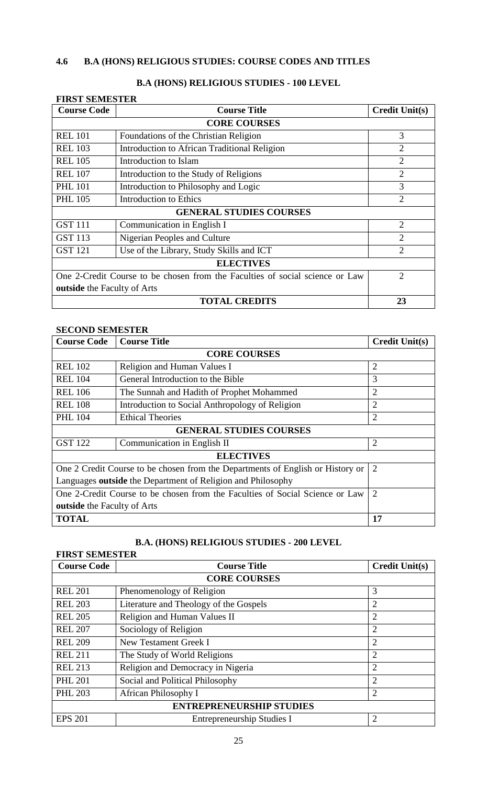# **4.6 B.A (HONS) RELIGIOUS STUDIES: COURSE CODES AND TITLES**

| <b>FIRST SEMESTER</b>                                                        |                                              |                       |  |
|------------------------------------------------------------------------------|----------------------------------------------|-----------------------|--|
| <b>Course Code</b>                                                           | <b>Course Title</b>                          | <b>Credit Unit(s)</b> |  |
|                                                                              | <b>CORE COURSES</b>                          |                       |  |
| <b>REL 101</b>                                                               | Foundations of the Christian Religion        | 3                     |  |
| <b>REL 103</b>                                                               | Introduction to African Traditional Religion | $\overline{2}$        |  |
| <b>REL 105</b>                                                               | Introduction to Islam                        | $\overline{2}$        |  |
| <b>REL 107</b>                                                               | Introduction to the Study of Religions       | $\overline{2}$        |  |
| <b>PHL 101</b>                                                               | Introduction to Philosophy and Logic         | 3                     |  |
| <b>PHL 105</b>                                                               | <b>Introduction to Ethics</b>                | $\overline{2}$        |  |
|                                                                              | <b>GENERAL STUDIES COURSES</b>               |                       |  |
| <b>GST 111</b>                                                               | Communication in English I                   | $\overline{2}$        |  |
| <b>GST 113</b>                                                               | Nigerian Peoples and Culture                 | $\overline{2}$        |  |
| <b>GST 121</b>                                                               | Use of the Library, Study Skills and ICT     | $\overline{2}$        |  |
| <b>ELECTIVES</b>                                                             |                                              |                       |  |
| One 2-Credit Course to be chosen from the Faculties of social science or Law |                                              | $\overline{2}$        |  |
| <b>outside</b> the Faculty of Arts                                           |                                              |                       |  |
|                                                                              | <b>TOTAL CREDITS</b>                         | 23                    |  |

# **B.A (HONS) RELIGIOUS STUDIES - 100 LEVEL**

# **SECOND SEMESTER**

| <b>Course Code</b>                                                             | <b>Course Title</b>                             | <b>Credit Unit(s)</b> |  |
|--------------------------------------------------------------------------------|-------------------------------------------------|-----------------------|--|
|                                                                                | <b>CORE COURSES</b>                             |                       |  |
| <b>REL 102</b>                                                                 | Religion and Human Values I                     | $\overline{2}$        |  |
| <b>REL 104</b>                                                                 | General Introduction to the Bible               | 3                     |  |
| <b>REL 106</b>                                                                 | The Sunnah and Hadith of Prophet Mohammed       | $\overline{2}$        |  |
| <b>REL 108</b>                                                                 | Introduction to Social Anthropology of Religion | $\overline{2}$        |  |
| <b>PHL 104</b>                                                                 | <b>Ethical Theories</b>                         | $\overline{2}$        |  |
|                                                                                | <b>GENERAL STUDIES COURSES</b>                  |                       |  |
| <b>GST 122</b>                                                                 | Communication in English II                     | $\overline{2}$        |  |
|                                                                                | <b>ELECTIVES</b>                                |                       |  |
| One 2 Credit Course to be chosen from the Departments of English or History or |                                                 | $\overline{2}$        |  |
| Languages outside the Department of Religion and Philosophy                    |                                                 |                       |  |
| One 2-Credit Course to be chosen from the Faculties of Social Science or Law   |                                                 | $\overline{2}$        |  |
| <b>outside</b> the Faculty of Arts                                             |                                                 |                       |  |
| <b>TOTAL</b>                                                                   |                                                 | 17                    |  |

# **B.A. (HONS) RELIGIOUS STUDIES - 200 LEVEL**

| <b>FIRST SEMESTER</b>           |                                        |                       |  |
|---------------------------------|----------------------------------------|-----------------------|--|
| <b>Course Code</b>              | <b>Course Title</b>                    | <b>Credit Unit(s)</b> |  |
|                                 | <b>CORE COURSES</b>                    |                       |  |
| <b>REL 201</b>                  | Phenomenology of Religion              | 3                     |  |
| <b>REL 203</b>                  | Literature and Theology of the Gospels | $\overline{2}$        |  |
| <b>REL 205</b>                  | Religion and Human Values II           | $\overline{2}$        |  |
| <b>REL 207</b>                  | Sociology of Religion                  | $\overline{2}$        |  |
| <b>REL 209</b>                  | New Testament Greek I                  | $\overline{2}$        |  |
| <b>REL 211</b>                  | The Study of World Religions           | $\overline{2}$        |  |
| <b>REL 213</b>                  | Religion and Democracy in Nigeria      | $\overline{2}$        |  |
| <b>PHL 201</b>                  | Social and Political Philosophy        | $\overline{2}$        |  |
| <b>PHL 203</b>                  | African Philosophy I                   | $\overline{2}$        |  |
| <b>ENTREPRENEURSHIP STUDIES</b> |                                        |                       |  |
| <b>EPS 201</b>                  | <b>Entrepreneurship Studies I</b>      | $\overline{2}$        |  |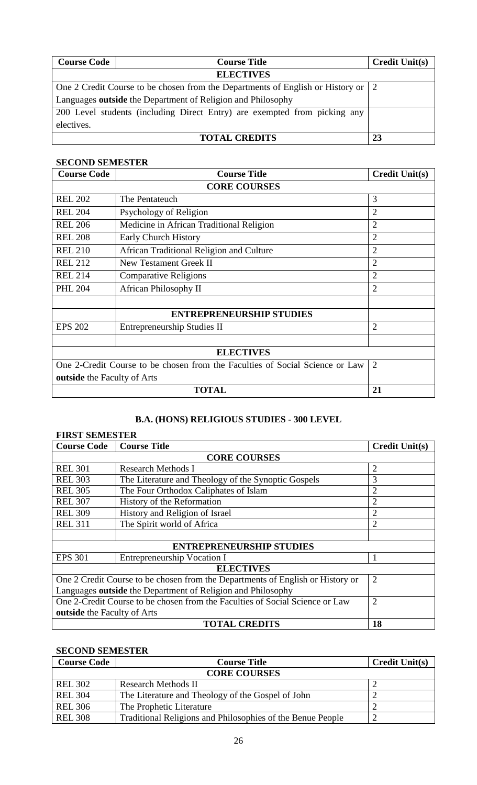| <b>Course Code</b>                                          | <b>Course Title</b>                                                                              | <b>Credit Unit(s)</b> |
|-------------------------------------------------------------|--------------------------------------------------------------------------------------------------|-----------------------|
|                                                             | <b>ELECTIVES</b>                                                                                 |                       |
|                                                             | One 2 Credit Course to be chosen from the Departments of English or History or $\vert 2 \rangle$ |                       |
| Languages outside the Department of Religion and Philosophy |                                                                                                  |                       |
|                                                             | 200 Level students (including Direct Entry) are exempted from picking any                        |                       |
| electives.                                                  |                                                                                                  |                       |
|                                                             | <b>TOTAL CREDITS</b>                                                                             | 23                    |

# **SECOND SEMESTER**

| <b>Course Code</b>                                                           | <b>Course Title</b>                      | <b>Credit Unit(s)</b> |  |
|------------------------------------------------------------------------------|------------------------------------------|-----------------------|--|
|                                                                              | <b>CORE COURSES</b>                      |                       |  |
| <b>REL 202</b>                                                               | The Pentateuch                           | 3                     |  |
| <b>REL 204</b>                                                               | Psychology of Religion                   | $\overline{2}$        |  |
| <b>REL 206</b>                                                               | Medicine in African Traditional Religion | 2                     |  |
| <b>REL 208</b>                                                               | Early Church History                     | $\overline{2}$        |  |
| <b>REL 210</b>                                                               | African Traditional Religion and Culture | 2                     |  |
| <b>REL 212</b>                                                               | New Testament Greek II                   | 2                     |  |
| <b>REL 214</b>                                                               | <b>Comparative Religions</b>             | 2                     |  |
| <b>PHL 204</b>                                                               | <b>African Philosophy II</b>             | $\overline{2}$        |  |
|                                                                              | <b>ENTREPRENEURSHIP STUDIES</b>          |                       |  |
| <b>EPS 202</b>                                                               | <b>Entrepreneurship Studies II</b>       | $\overline{2}$        |  |
|                                                                              |                                          |                       |  |
|                                                                              | <b>ELECTIVES</b>                         |                       |  |
| One 2-Credit Course to be chosen from the Faculties of Social Science or Law |                                          | $\overline{2}$        |  |
| <b>outside</b> the Faculty of Arts                                           |                                          |                       |  |
|                                                                              | <b>TOTAL</b>                             | 21                    |  |

# **B.A. (HONS) RELIGIOUS STUDIES - 300 LEVEL**

# **FIRST SEMESTER**

| <b>Course Code</b>                 | <b>Course Title</b>                                                            | <b>Credit Unit(s)</b> |  |
|------------------------------------|--------------------------------------------------------------------------------|-----------------------|--|
|                                    | <b>CORE COURSES</b>                                                            |                       |  |
| <b>REL 301</b>                     | <b>Research Methods I</b>                                                      | $\overline{2}$        |  |
| <b>REL 303</b>                     | The Literature and Theology of the Synoptic Gospels                            | 3                     |  |
| <b>REL 305</b>                     | The Four Orthodox Caliphates of Islam                                          | $\overline{2}$        |  |
| <b>REL 307</b>                     | History of the Reformation                                                     | $\overline{2}$        |  |
| <b>REL 309</b>                     | History and Religion of Israel                                                 | $\overline{2}$        |  |
| <b>REL 311</b>                     | The Spirit world of Africa                                                     | $\overline{2}$        |  |
|                                    |                                                                                |                       |  |
|                                    | <b>ENTREPRENEURSHIP STUDIES</b>                                                |                       |  |
| <b>EPS 301</b>                     | Entrepreneurship Vocation I                                                    |                       |  |
| <b>ELECTIVES</b>                   |                                                                                |                       |  |
|                                    | One 2 Credit Course to be chosen from the Departments of English or History or | $\overline{2}$        |  |
|                                    | Languages outside the Department of Religion and Philosophy                    |                       |  |
|                                    | One 2-Credit Course to be chosen from the Faculties of Social Science or Law   | $\overline{2}$        |  |
| <b>outside</b> the Faculty of Arts |                                                                                |                       |  |
|                                    | <b>TOTAL CREDITS</b>                                                           | 18                    |  |

# **SECOND SEMESTER**

| <b>Course Code</b>  | <b>Course Title</b>                                        | <b>Credit Unit(s)</b> |  |
|---------------------|------------------------------------------------------------|-----------------------|--|
| <b>CORE COURSES</b> |                                                            |                       |  |
| <b>REL 302</b>      | <b>Research Methods II</b>                                 |                       |  |
| <b>REL 304</b>      | The Literature and Theology of the Gospel of John          |                       |  |
| <b>REL 306</b>      | The Prophetic Literature                                   |                       |  |
| <b>REL 308</b>      | Traditional Religions and Philosophies of the Benue People |                       |  |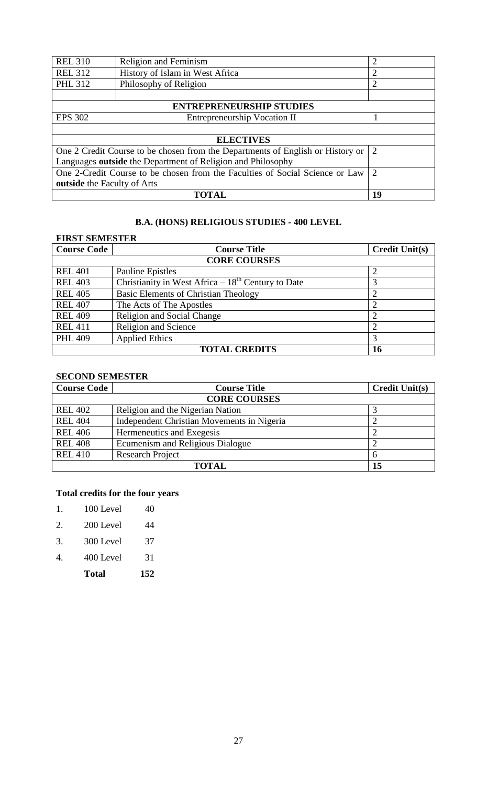| <b>REL 310</b>                                                                 | Religion and Feminism               | $\overline{2}$ |
|--------------------------------------------------------------------------------|-------------------------------------|----------------|
| <b>REL 312</b>                                                                 | History of Islam in West Africa     |                |
| <b>PHL 312</b>                                                                 | Philosophy of Religion              |                |
|                                                                                |                                     |                |
|                                                                                | <b>ENTREPRENEURSHIP STUDIES</b>     |                |
| <b>EPS 302</b>                                                                 | <b>Entrepreneurship Vocation II</b> |                |
|                                                                                |                                     |                |
| <b>ELECTIVES</b>                                                               |                                     |                |
| One 2 Credit Course to be chosen from the Departments of English or History or |                                     | 2              |
| Languages outside the Department of Religion and Philosophy                    |                                     |                |
| One 2-Credit Course to be chosen from the Faculties of Social Science or Law   |                                     | $\overline{2}$ |
| outside the Faculty of Arts                                                    |                                     |                |
|                                                                                | <b>TOTAL</b>                        | 19             |

# **B.A. (HONS) RELIGIOUS STUDIES - 400 LEVEL**

| <b>FIRST SEMESTER</b>      |                                                     |                       |  |
|----------------------------|-----------------------------------------------------|-----------------------|--|
| <b>Course Code</b>         | <b>Course Title</b>                                 | <b>Credit Unit(s)</b> |  |
| <b>CORE COURSES</b>        |                                                     |                       |  |
| <b>REL 401</b>             | <b>Pauline Epistles</b>                             |                       |  |
| <b>REL 403</b>             | Christianity in West Africa $-18th$ Century to Date |                       |  |
| <b>REL 405</b>             | <b>Basic Elements of Christian Theology</b>         |                       |  |
| <b>REL 407</b>             | The Acts of The Apostles                            |                       |  |
| <b>REL 409</b>             | <b>Religion and Social Change</b>                   |                       |  |
| <b>REL 411</b>             | Religion and Science                                |                       |  |
| <b>PHL 409</b>             | <b>Applied Ethics</b>                               | 3                     |  |
| <b>TOTAL CREDITS</b><br>16 |                                                     |                       |  |

# **SECOND SEMESTER**

| <b>Course Code</b>  | <b>Course Title</b>                        | <b>Credit Unit(s)</b> |  |
|---------------------|--------------------------------------------|-----------------------|--|
| <b>CORE COURSES</b> |                                            |                       |  |
| <b>REL 402</b>      | Religion and the Nigerian Nation           |                       |  |
| <b>REL 404</b>      | Independent Christian Movements in Nigeria |                       |  |
| <b>REL 406</b>      | Hermeneutics and Exegesis                  |                       |  |
| <b>REL 408</b>      | Ecumenism and Religious Dialogue           |                       |  |
| <b>REL 410</b>      | <b>Research Project</b>                    | 6                     |  |
| <b>TOTAL</b><br>15  |                                            |                       |  |

# **Total credits for the four years**

| 1. | 100 Level | 40 |
|----|-----------|----|
|    |           |    |

| 2. | 200 Level | 44 |
|----|-----------|----|
|    |           |    |

- 3. 300 Level 37
- 4. 400 Level 31
	- **Total 152**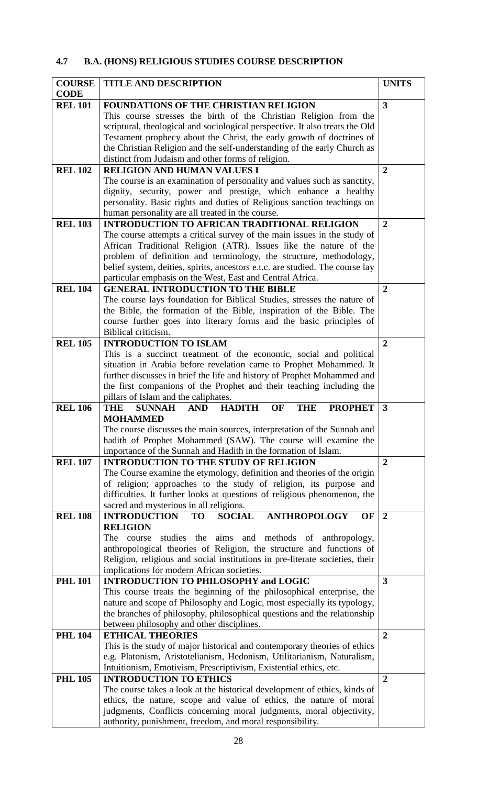# **4.7 B.A. (HONS) RELIGIOUS STUDIES COURSE DESCRIPTION**

| <b>COURSE</b>  | <b>TITLE AND DESCRIPTION</b>                                                                                                              | <b>UNITS</b>            |
|----------------|-------------------------------------------------------------------------------------------------------------------------------------------|-------------------------|
| <b>CODE</b>    |                                                                                                                                           |                         |
| <b>REL 101</b> | <b>FOUNDATIONS OF THE CHRISTIAN RELIGION</b>                                                                                              | 3                       |
|                | This course stresses the birth of the Christian Religion from the                                                                         |                         |
|                | scriptural, theological and sociological perspective. It also treats the Old                                                              |                         |
|                | Testament prophecy about the Christ, the early growth of doctrines of                                                                     |                         |
|                | the Christian Religion and the self-understanding of the early Church as                                                                  |                         |
|                | distinct from Judaism and other forms of religion.                                                                                        |                         |
| <b>REL 102</b> | <b>RELIGION AND HUMAN VALUES I</b>                                                                                                        | $\overline{2}$          |
|                | The course is an examination of personality and values such as sanctity,                                                                  |                         |
|                | dignity, security, power and prestige, which enhance a healthy                                                                            |                         |
|                | personality. Basic rights and duties of Religious sanction teachings on                                                                   |                         |
|                | human personality are all treated in the course.                                                                                          |                         |
| <b>REL 103</b> | <b>INTRODUCTION TO AFRICAN TRADITIONAL RELIGION</b>                                                                                       | $\overline{2}$          |
|                | The course attempts a critical survey of the main issues in the study of                                                                  |                         |
|                | African Traditional Religion (ATR). Issues like the nature of the                                                                         |                         |
|                | problem of definition and terminology, the structure, methodology,                                                                        |                         |
|                | belief system, deities, spirits, ancestors e.t.c. are studied. The course lay                                                             |                         |
|                | particular emphasis on the West, East and Central Africa.                                                                                 |                         |
| <b>REL 104</b> | <b>GENERAL INTRODUCTION TO THE BIBLE</b>                                                                                                  | $\mathbf{2}$            |
|                | The course lays foundation for Biblical Studies, stresses the nature of                                                                   |                         |
|                | the Bible, the formation of the Bible, inspiration of the Bible. The                                                                      |                         |
|                | course further goes into literary forms and the basic principles of                                                                       |                         |
|                | Biblical criticism.                                                                                                                       |                         |
| <b>REL 105</b> | <b>INTRODUCTION TO ISLAM</b>                                                                                                              | $\overline{2}$          |
|                | This is a succinct treatment of the economic, social and political                                                                        |                         |
|                | situation in Arabia before revelation came to Prophet Mohammed. It                                                                        |                         |
|                | further discusses in brief the life and history of Prophet Mohammed and                                                                   |                         |
|                | the first companions of the Prophet and their teaching including the                                                                      |                         |
|                | pillars of Islam and the caliphates.                                                                                                      |                         |
| <b>REL 106</b> | <b>HADITH</b><br><b>THE</b><br><b>SUNNAH</b><br><b>THE</b><br><b>PROPHET</b><br><b>AND</b><br><b>OF</b>                                   | 3                       |
|                | <b>MOHAMMED</b>                                                                                                                           |                         |
|                | The course discusses the main sources, interpretation of the Sunnah and                                                                   |                         |
|                | hadith of Prophet Mohammed (SAW). The course will examine the                                                                             |                         |
|                | importance of the Sunnah and Hadith in the formation of Islam.                                                                            |                         |
| <b>REL 107</b> | <b>INTRODUCTION TO THE STUDY OF RELIGION</b>                                                                                              | $\overline{2}$          |
|                | The Course examine the etymology, definition and theories of the origin                                                                   |                         |
|                | of religion; approaches to the study of religion, its purpose and                                                                         |                         |
|                | difficulties. It further looks at questions of religious phenomenon, the                                                                  |                         |
|                | sacred and mysterious in all religions.                                                                                                   |                         |
| <b>REL 108</b> | <b>INTRODUCTION</b><br><b>SOCIAL</b><br><b>ANTHROPOLOGY</b><br>OF<br><b>TO</b>                                                            | $\overline{2}$          |
|                | <b>RELIGION</b>                                                                                                                           |                         |
|                | studies the aims and methods of anthropology,<br>The course                                                                               |                         |
|                | anthropological theories of Religion, the structure and functions of                                                                      |                         |
|                | Religion, religious and social institutions in pre-literate societies, their                                                              |                         |
|                | implications for modern African societies.                                                                                                |                         |
| <b>PHL 101</b> | <b>INTRODUCTION TO PHILOSOPHY and LOGIC</b>                                                                                               | $\overline{\mathbf{3}}$ |
|                | This course treats the beginning of the philosophical enterprise, the                                                                     |                         |
|                | nature and scope of Philosophy and Logic, most especially its typology,                                                                   |                         |
|                | the branches of philosophy, philosophical questions and the relationship                                                                  |                         |
|                | between philosophy and other disciplines.                                                                                                 |                         |
| <b>PHL 104</b> | <b>ETHICAL THEORIES</b>                                                                                                                   | $\overline{2}$          |
|                | This is the study of major historical and contemporary theories of ethics                                                                 |                         |
|                | e.g. Platonism, Aristotelianism, Hedonism, Utilitarianism, Naturalism,                                                                    |                         |
|                | Intuitionism, Emotivism, Prescriptivism, Existential ethics, etc.                                                                         |                         |
| <b>PHL 105</b> | <b>INTRODUCTION TO ETHICS</b>                                                                                                             | $\overline{2}$          |
|                |                                                                                                                                           |                         |
|                | The course takes a look at the historical development of ethics, kinds of                                                                 |                         |
|                | ethics, the nature, scope and value of ethics, the nature of moral<br>judgments, Conflicts concerning moral judgments, moral objectivity, |                         |
|                |                                                                                                                                           |                         |
|                | authority, punishment, freedom, and moral responsibility.                                                                                 |                         |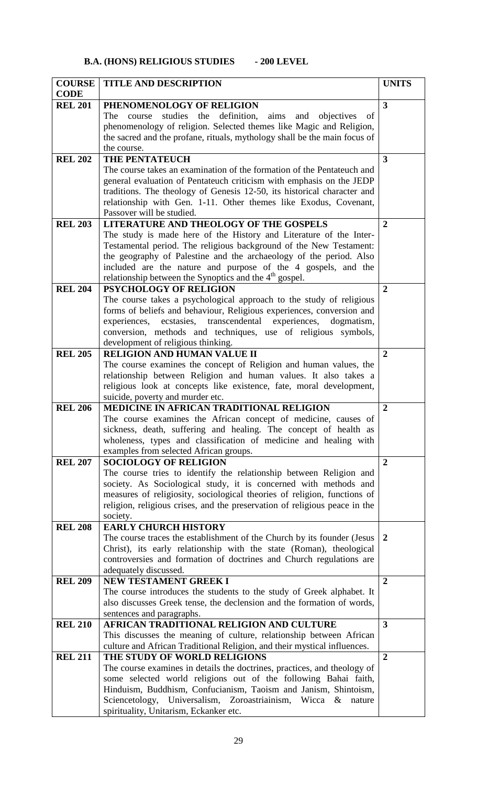| <b>COURSE</b>  | <b>TITLE AND DESCRIPTION</b>                                                                                                       | <b>UNITS</b>   |
|----------------|------------------------------------------------------------------------------------------------------------------------------------|----------------|
| <b>CODE</b>    |                                                                                                                                    |                |
| <b>REL 201</b> | PHENOMENOLOGY OF RELIGION                                                                                                          | $\overline{3}$ |
|                | The<br>studies the definition, aims and objectives<br>course<br>of                                                                 |                |
|                | phenomenology of religion. Selected themes like Magic and Religion,                                                                |                |
|                | the sacred and the profane, rituals, mythology shall be the main focus of                                                          |                |
|                | the course.                                                                                                                        |                |
| <b>REL 202</b> | THE PENTATEUCH                                                                                                                     | $\overline{3}$ |
|                | The course takes an examination of the formation of the Pentateuch and                                                             |                |
|                | general evaluation of Pentateuch criticism with emphasis on the JEDP                                                               |                |
|                | traditions. The theology of Genesis 12-50, its historical character and                                                            |                |
|                | relationship with Gen. 1-11. Other themes like Exodus, Covenant,                                                                   |                |
| <b>REL 203</b> | Passover will be studied.                                                                                                          | $\overline{2}$ |
|                | LITERATURE AND THEOLOGY OF THE GOSPELS<br>The study is made here of the History and Literature of the Inter-                       |                |
|                | Testamental period. The religious background of the New Testament:                                                                 |                |
|                | the geography of Palestine and the archaeology of the period. Also                                                                 |                |
|                | included are the nature and purpose of the 4 gospels, and the                                                                      |                |
|                | relationship between the Synoptics and the 4 <sup>th</sup> gospel.                                                                 |                |
| <b>REL 204</b> | PSYCHOLOGY OF RELIGION                                                                                                             | $\overline{2}$ |
|                | The course takes a psychological approach to the study of religious                                                                |                |
|                | forms of beliefs and behaviour, Religious experiences, conversion and                                                              |                |
|                | experiences,<br>ecstasies, transcendental experiences,<br>dogmatism,                                                               |                |
|                | conversion, methods and techniques, use of religious symbols,                                                                      |                |
|                | development of religious thinking.                                                                                                 |                |
| <b>REL 205</b> | <b>RELIGION AND HUMAN VALUE II</b>                                                                                                 | $\overline{2}$ |
|                | The course examines the concept of Religion and human values, the                                                                  |                |
|                | relationship between Religion and human values. It also takes a                                                                    |                |
|                | religious look at concepts like existence, fate, moral development,                                                                |                |
|                | suicide, poverty and murder etc.                                                                                                   |                |
| <b>REL 206</b> | <b>MEDICINE IN AFRICAN TRADITIONAL RELIGION</b>                                                                                    | $\overline{2}$ |
|                | The course examines the African concept of medicine, causes of<br>sickness, death, suffering and healing. The concept of health as |                |
|                | wholeness, types and classification of medicine and healing with                                                                   |                |
|                | examples from selected African groups.                                                                                             |                |
| <b>REL 207</b> | <b>SOCIOLOGY OF RELIGION</b>                                                                                                       | $\mathbf{2}$   |
|                | The course tries to identify the relationship between Religion and                                                                 |                |
|                | society. As Sociological study, it is concerned with methods and                                                                   |                |
|                | measures of religiosity, sociological theories of religion, functions of                                                           |                |
|                | religion, religious crises, and the preservation of religious peace in the                                                         |                |
|                | society.                                                                                                                           |                |
| <b>REL 208</b> | <b>EARLY CHURCH HISTORY</b>                                                                                                        |                |
|                | The course traces the establishment of the Church by its founder (Jesus                                                            | 2              |
|                | Christ), its early relationship with the state (Roman), theological                                                                |                |
|                | controversies and formation of doctrines and Church regulations are                                                                |                |
| <b>REL 209</b> | adequately discussed.<br>NEW TESTAMENT GREEK I                                                                                     | $\overline{2}$ |
|                | The course introduces the students to the study of Greek alphabet. It                                                              |                |
|                | also discusses Greek tense, the declension and the formation of words,                                                             |                |
|                | sentences and paragraphs.                                                                                                          |                |
| <b>REL 210</b> | AFRICAN TRADITIONAL RELIGION AND CULTURE                                                                                           | 3              |
|                | This discusses the meaning of culture, relationship between African                                                                |                |
|                | culture and African Traditional Religion, and their mystical influences.                                                           |                |
| <b>REL 211</b> | THE STUDY OF WORLD RELIGIONS                                                                                                       | $\overline{2}$ |
|                | The course examines in details the doctrines, practices, and theology of                                                           |                |
|                | some selected world religions out of the following Bahai faith,                                                                    |                |
|                | Hinduism, Buddhism, Confucianism, Taoism and Janism, Shintoism,                                                                    |                |
|                | Sciencetology, Universalism, Zoroastriainism, Wicca &<br>nature                                                                    |                |
|                | spirituality, Unitarism, Eckanker etc.                                                                                             |                |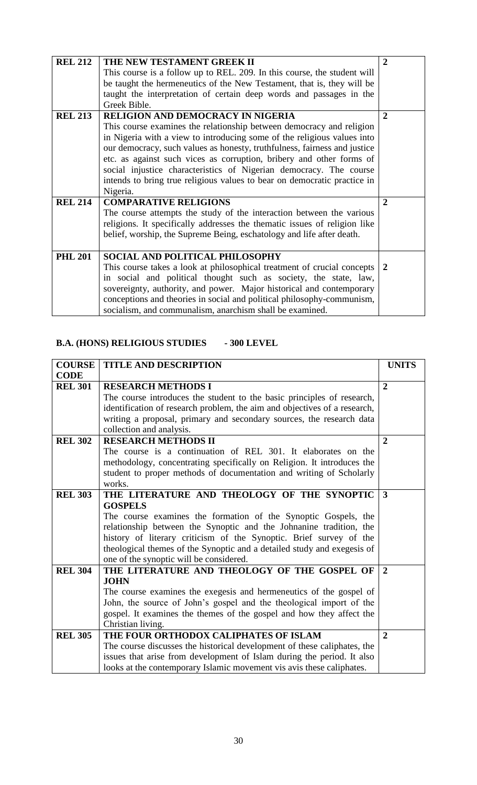| <b>REL 212</b> | THE NEW TESTAMENT GREEK II<br>This course is a follow up to REL. 209. In this course, the student will<br>be taught the hermeneutics of the New Testament, that is, they will be<br>taught the interpretation of certain deep words and passages in the<br>Greek Bible.                                                                                                                                                                                                                                        | 2              |
|----------------|----------------------------------------------------------------------------------------------------------------------------------------------------------------------------------------------------------------------------------------------------------------------------------------------------------------------------------------------------------------------------------------------------------------------------------------------------------------------------------------------------------------|----------------|
| <b>REL 213</b> | <b>RELIGION AND DEMOCRACY IN NIGERIA</b><br>This course examines the relationship between democracy and religion<br>in Nigeria with a view to introducing some of the religious values into<br>our democracy, such values as honesty, truthfulness, fairness and justice<br>etc. as against such vices as corruption, bribery and other forms of<br>social injustice characteristics of Nigerian democracy. The course<br>intends to bring true religious values to bear on democratic practice in<br>Nigeria. | $\overline{2}$ |
| <b>REL 214</b> | <b>COMPARATIVE RELIGIONS</b><br>The course attempts the study of the interaction between the various<br>religions. It specifically addresses the thematic issues of religion like<br>belief, worship, the Supreme Being, eschatology and life after death.                                                                                                                                                                                                                                                     | $\mathbf{2}$   |
| <b>PHL 201</b> | SOCIAL AND POLITICAL PHILOSOPHY<br>This course takes a look at philosophical treatment of crucial concepts<br>in social and political thought such as society, the state, law,<br>sovereignty, authority, and power. Major historical and contemporary<br>conceptions and theories in social and political philosophy-communism,<br>socialism, and communalism, anarchism shall be examined.                                                                                                                   | $\mathbf{2}$   |

# **B.A. (HONS) RELIGIOUS STUDIES - 300 LEVEL**

| <b>COURSE</b>  | TITLE AND DESCRIPTION                                                     | <b>UNITS</b>   |
|----------------|---------------------------------------------------------------------------|----------------|
| <b>CODE</b>    |                                                                           |                |
| <b>REL 301</b> | <b>RESEARCH METHODS I</b>                                                 | $\overline{2}$ |
|                | The course introduces the student to the basic principles of research,    |                |
|                | identification of research problem, the aim and objectives of a research, |                |
|                | writing a proposal, primary and secondary sources, the research data      |                |
|                | collection and analysis.                                                  |                |
| <b>REL 302</b> | <b>RESEARCH METHODS II</b>                                                | $\overline{2}$ |
|                | The course is a continuation of REL 301. It elaborates on the             |                |
|                | methodology, concentrating specifically on Religion. It introduces the    |                |
|                | student to proper methods of documentation and writing of Scholarly       |                |
|                | works.                                                                    |                |
| <b>REL 303</b> | THE LITERATURE AND THEOLOGY OF THE SYNOPTIC                               | $\overline{3}$ |
|                | <b>GOSPELS</b>                                                            |                |
|                | The course examines the formation of the Synoptic Gospels, the            |                |
|                | relationship between the Synoptic and the Johnanine tradition, the        |                |
|                | history of literary criticism of the Synoptic. Brief survey of the        |                |
|                | theological themes of the Synoptic and a detailed study and exegesis of   |                |
|                | one of the synoptic will be considered.                                   |                |
| <b>REL 304</b> | THE LITERATURE AND THEOLOGY OF THE GOSPEL OF                              | $\overline{2}$ |
|                | <b>JOHN</b>                                                               |                |
|                | The course examines the exegesis and hermeneutics of the gospel of        |                |
|                | John, the source of John's gospel and the theological import of the       |                |
|                | gospel. It examines the themes of the gospel and how they affect the      |                |
|                | Christian living.                                                         |                |
| <b>REL 305</b> | THE FOUR ORTHODOX CALIPHATES OF ISLAM                                     | $\mathbf{2}$   |
|                | The course discusses the historical development of these caliphates, the  |                |
|                | issues that arise from development of Islam during the period. It also    |                |
|                | looks at the contemporary Islamic movement vis avis these caliphates.     |                |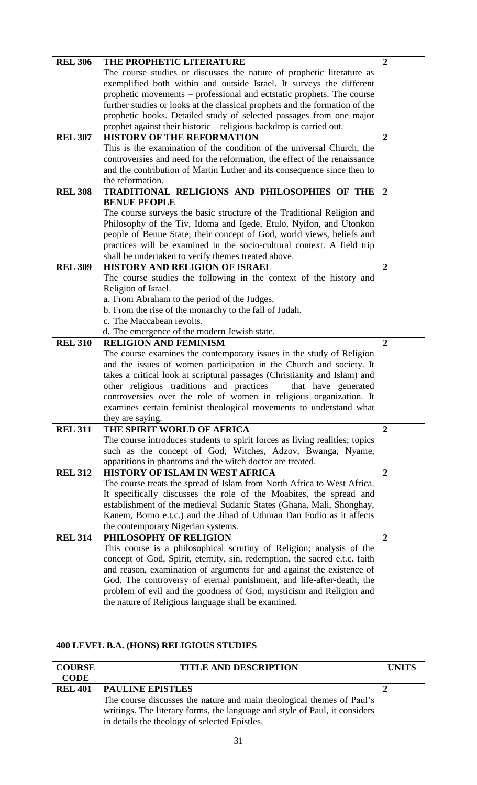| <b>REL 306</b> | THE PROPHETIC LITERATURE                                                    | $\overline{2}$ |
|----------------|-----------------------------------------------------------------------------|----------------|
|                | The course studies or discusses the nature of prophetic literature as       |                |
|                | exemplified both within and outside Israel. It surveys the different        |                |
|                | prophetic movements – professional and ectstatic prophets. The course       |                |
|                | further studies or looks at the classical prophets and the formation of the |                |
|                | prophetic books. Detailed study of selected passages from one major         |                |
|                | prophet against their historic – religious backdrop is carried out.         |                |
| <b>REL 307</b> | <b>HISTORY OF THE REFORMATION</b>                                           | $\overline{2}$ |
|                | This is the examination of the condition of the universal Church, the       |                |
|                | controversies and need for the reformation, the effect of the renaissance   |                |
|                | and the contribution of Martin Luther and its consequence since then to     |                |
|                | the reformation.                                                            |                |
| <b>REL 308</b> | TRADITIONAL RELIGIONS AND PHILOSOPHIES OF THE                               | $\overline{2}$ |
|                | <b>BENUE PEOPLE</b>                                                         |                |
|                | The course surveys the basic structure of the Traditional Religion and      |                |
|                | Philosophy of the Tiv, Idoma and Igede, Etulo, Nyifon, and Utonkon          |                |
|                | people of Benue State; their concept of God, world views, beliefs and       |                |
|                | practices will be examined in the socio-cultural context. A field trip      |                |
|                | shall be undertaken to verify themes treated above.                         |                |
| <b>REL 309</b> | <b>HISTORY AND RELIGION OF ISRAEL</b>                                       | $\overline{2}$ |
|                | The course studies the following in the context of the history and          |                |
|                | Religion of Israel.                                                         |                |
|                | a. From Abraham to the period of the Judges.                                |                |
|                | b. From the rise of the monarchy to the fall of Judah.                      |                |
|                | c. The Maccabean revolts.                                                   |                |
|                | d. The emergence of the modern Jewish state.                                |                |
| <b>REL 310</b> | <b>RELIGION AND FEMINISM</b>                                                | $\overline{2}$ |
|                | The course examines the contemporary issues in the study of Religion        |                |
|                | and the issues of women participation in the Church and society. It         |                |
|                | takes a critical look at scriptural passages (Christianity and Islam) and   |                |
|                | other religious traditions and practices<br>that have generated             |                |
|                | controversies over the role of women in religious organization. It          |                |
|                | examines certain feminist theological movements to understand what          |                |
|                | they are saying.                                                            |                |
| <b>REL 311</b> | THE SPIRIT WORLD OF AFRICA                                                  | $\overline{2}$ |
|                | The course introduces students to spirit forces as living realities; topics |                |
|                | such as the concept of God, Witches, Adzov, Bwanga, Nyame,                  |                |
|                | apparitions in phantoms and the witch doctor are treated.                   |                |
| <b>REL 312</b> | HISTORY OF ISLAM IN WEST AFRICA                                             | $\overline{2}$ |
|                | The course treats the spread of Islam from North Africa to West Africa.     |                |
|                | It specifically discusses the role of the Moabites, the spread and          |                |
|                | establishment of the medieval Sudanic States (Ghana, Mali, Shonghay,        |                |
|                | Kanem, Borno e.t.c.) and the Jihad of Uthman Dan Fodio as it affects        |                |
|                | the contemporary Nigerian systems.                                          |                |
| <b>REL 314</b> | PHILOSOPHY OF RELIGION                                                      | $\overline{2}$ |
|                | This course is a philosophical scrutiny of Religion; analysis of the        |                |
|                | concept of God, Spirit, eternity, sin, redemption, the sacred e.t.c. faith  |                |
|                | and reason, examination of arguments for and against the existence of       |                |
|                | God. The controversy of eternal punishment, and life-after-death, the       |                |
|                | problem of evil and the goodness of God, mysticism and Religion and         |                |
|                | the nature of Religious language shall be examined.                         |                |

# **400 LEVEL B.A. (HONS) RELIGIOUS STUDIES**

| <b>COURSE</b>  | <b>TITLE AND DESCRIPTION</b>                                               | <b>UNITS</b> |
|----------------|----------------------------------------------------------------------------|--------------|
| <b>CODE</b>    |                                                                            |              |
| <b>REL 401</b> | <b>PAULINE EPISTLES</b>                                                    |              |
|                | The course discusses the nature and main theological themes of Paul's      |              |
|                | writings. The literary forms, the language and style of Paul, it considers |              |
|                | in details the theology of selected Epistles.                              |              |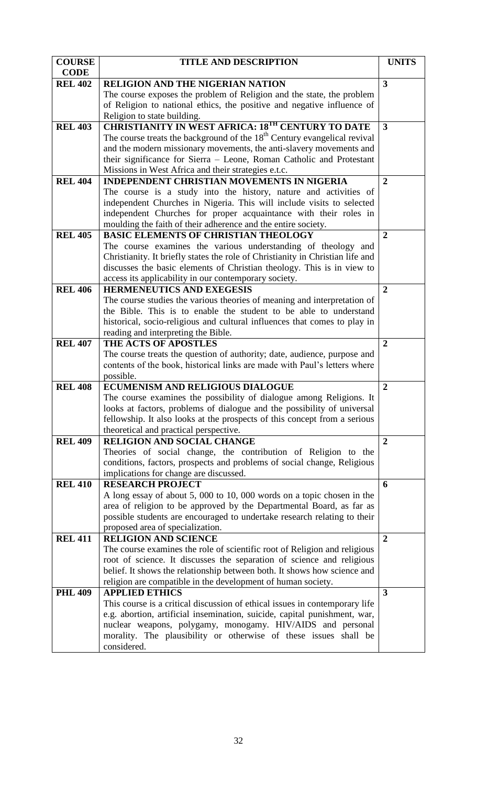| <b>COURSE</b>  | <b>TITLE AND DESCRIPTION</b>                                                                                                                  | <b>UNITS</b>   |
|----------------|-----------------------------------------------------------------------------------------------------------------------------------------------|----------------|
| <b>CODE</b>    |                                                                                                                                               |                |
| <b>REL 402</b> | <b>RELIGION AND THE NIGERIAN NATION</b>                                                                                                       | 3              |
|                | The course exposes the problem of Religion and the state, the problem                                                                         |                |
|                | of Religion to national ethics, the positive and negative influence of                                                                        |                |
|                | Religion to state building.                                                                                                                   |                |
| <b>REL 403</b> | <b>CHRISTIANITY IN WEST AFRICA: 18TH CENTURY TO DATE</b>                                                                                      | 3              |
|                | The course treats the background of the 18 <sup>th</sup> Century evangelical revival                                                          |                |
|                | and the modern missionary movements, the anti-slavery movements and                                                                           |                |
|                | their significance for Sierra - Leone, Roman Catholic and Protestant                                                                          |                |
|                | Missions in West Africa and their strategies e.t.c.                                                                                           |                |
| <b>REL 404</b> | <b>INDEPENDENT CHRISTIAN MOVEMENTS IN NIGERIA</b>                                                                                             | $\overline{2}$ |
|                | The course is a study into the history, nature and activities of                                                                              |                |
|                | independent Churches in Nigeria. This will include visits to selected                                                                         |                |
|                | independent Churches for proper acquaintance with their roles in                                                                              |                |
|                | moulding the faith of their adherence and the entire society.                                                                                 |                |
| <b>REL 405</b> | <b>BASIC ELEMENTS OF CHRISTIAN THEOLOGY</b>                                                                                                   | $\overline{2}$ |
|                | The course examines the various understanding of theology and                                                                                 |                |
|                | Christianity. It briefly states the role of Christianity in Christian life and                                                                |                |
|                | discusses the basic elements of Christian theology. This is in view to                                                                        |                |
|                | access its applicability in our contemporary society.                                                                                         |                |
| <b>REL 406</b> | <b>HERMENEUTICS AND EXEGESIS</b>                                                                                                              | $\overline{2}$ |
|                | The course studies the various theories of meaning and interpretation of<br>the Bible. This is to enable the student to be able to understand |                |
|                |                                                                                                                                               |                |
|                | historical, socio-religious and cultural influences that comes to play in<br>reading and interpreting the Bible.                              |                |
| <b>REL 407</b> | THE ACTS OF APOSTLES                                                                                                                          | $\overline{2}$ |
|                | The course treats the question of authority; date, audience, purpose and                                                                      |                |
|                | contents of the book, historical links are made with Paul's letters where                                                                     |                |
|                | possible.                                                                                                                                     |                |
| <b>REL 408</b> | <b>ECUMENISM AND RELIGIOUS DIALOGUE</b>                                                                                                       | $\overline{2}$ |
|                | The course examines the possibility of dialogue among Religions. It                                                                           |                |
|                | looks at factors, problems of dialogue and the possibility of universal                                                                       |                |
|                | fellowship. It also looks at the prospects of this concept from a serious                                                                     |                |
|                | theoretical and practical perspective.                                                                                                        |                |
| <b>REL 409</b> | <b>RELIGION AND SOCIAL CHANGE</b>                                                                                                             | $\overline{2}$ |
|                | Theories of social change, the contribution of Religion to the                                                                                |                |
|                | conditions, factors, prospects and problems of social change, Religious                                                                       |                |
|                | implications for change are discussed.                                                                                                        |                |
| <b>REL 410</b> | <b>RESEARCH PROJECT</b>                                                                                                                       | 6              |
|                | A long essay of about 5, 000 to 10, 000 words on a topic chosen in the                                                                        |                |
|                | area of religion to be approved by the Departmental Board, as far as                                                                          |                |
|                | possible students are encouraged to undertake research relating to their                                                                      |                |
|                | proposed area of specialization.                                                                                                              |                |
| <b>REL 411</b> | <b>RELIGION AND SCIENCE</b>                                                                                                                   | $\overline{2}$ |
|                | The course examines the role of scientific root of Religion and religious                                                                     |                |
|                | root of science. It discusses the separation of science and religious                                                                         |                |
|                | belief. It shows the relationship between both. It shows how science and                                                                      |                |
|                | religion are compatible in the development of human society.<br><b>APPLIED ETHICS</b>                                                         | 3              |
| <b>PHL 409</b> | This course is a critical discussion of ethical issues in contemporary life                                                                   |                |
|                | e.g. abortion, artificial insemination, suicide, capital punishment, war,                                                                     |                |
|                | nuclear weapons, polygamy, monogamy. HIV/AIDS and personal                                                                                    |                |
|                | morality. The plausibility or otherwise of these issues shall be                                                                              |                |
|                | considered.                                                                                                                                   |                |
|                |                                                                                                                                               |                |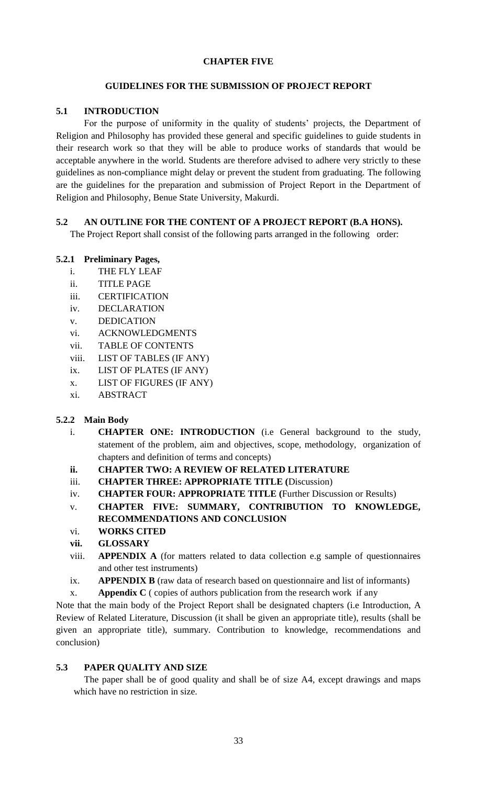# **CHAPTER FIVE**

### **GUIDELINES FOR THE SUBMISSION OF PROJECT REPORT**

# **5.1 INTRODUCTION**

For the purpose of uniformity in the quality of students' projects, the Department of Religion and Philosophy has provided these general and specific guidelines to guide students in their research work so that they will be able to produce works of standards that would be acceptable anywhere in the world. Students are therefore advised to adhere very strictly to these guidelines as non-compliance might delay or prevent the student from graduating. The following are the guidelines for the preparation and submission of Project Report in the Department of Religion and Philosophy, Benue State University, Makurdi.

# **5.2 AN OUTLINE FOR THE CONTENT OF A PROJECT REPORT (B.A HONS).**

The Project Report shall consist of the following parts arranged in the following order:

# **5.2.1 Preliminary Pages,**

- i. THE FLY LEAF
- ii. TITLE PAGE
- iii. CERTIFICATION
- iv. DECLARATION
- v. DEDICATION
- vi. ACKNOWLEDGMENTS
- vii. TABLE OF CONTENTS
- viii. LIST OF TABLES (IF ANY)
- ix. LIST OF PLATES (IF ANY)
- x. LIST OF FIGURES (IF ANY)
- xi. ABSTRACT

### **5.2.2 Main Body**

- i. **CHAPTER ONE: INTRODUCTION** (i.e General background to the study, statement of the problem, aim and objectives, scope, methodology, organization of chapters and definition of terms and concepts)
- **ii. CHAPTER TWO: A REVIEW OF RELATED LITERATURE**
- iii. **CHAPTER THREE: APPROPRIATE TITLE (**Discussion)
- iv. **CHAPTER FOUR: APPROPRIATE TITLE (**Further Discussion or Results)
- v. **CHAPTER FIVE: SUMMARY, CONTRIBUTION TO KNOWLEDGE, RECOMMENDATIONS AND CONCLUSION**
- vi. **WORKS CITED**
- **vii. GLOSSARY**
- viii. **APPENDIX A** (for matters related to data collection e.g sample of questionnaires and other test instruments)
- ix. **APPENDIX B** (raw data of research based on questionnaire and list of informants)
- x. **Appendix C** ( copies of authors publication from the research work if any

Note that the main body of the Project Report shall be designated chapters (i.e Introduction, A Review of Related Literature, Discussion (it shall be given an appropriate title), results (shall be given an appropriate title), summary. Contribution to knowledge, recommendations and conclusion)

# **5.3 PAPER QUALITY AND SIZE**

The paper shall be of good quality and shall be of size A4, except drawings and maps which have no restriction in size.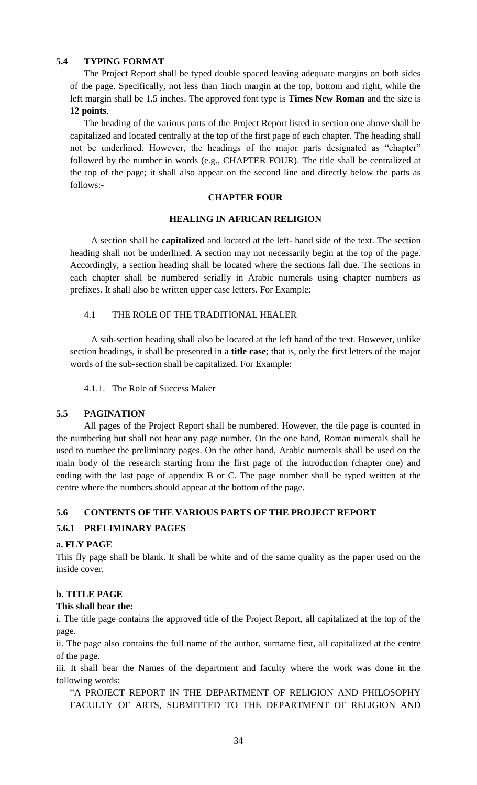# **5.4 TYPING FORMAT**

The Project Report shall be typed double spaced leaving adequate margins on both sides of the page. Specifically, not less than 1inch margin at the top, bottom and right, while the left margin shall be 1.5 inches. The approved font type is **Times New Roman** and the size is **12 points**.

The heading of the various parts of the Project Report listed in section one above shall be capitalized and located centrally at the top of the first page of each chapter. The heading shall not be underlined. However, the headings of the major parts designated as "chapter" followed by the number in words (e.g., CHAPTER FOUR). The title shall be centralized at the top of the page; it shall also appear on the second line and directly below the parts as follows:-

# **CHAPTER FOUR**

# **HEALING IN AFRICAN RELIGION**

A section shall be **capitalized** and located at the left- hand side of the text. The section heading shall not be underlined. A section may not necessarily begin at the top of the page. Accordingly, a section heading shall be located where the sections fall due. The sections in each chapter shall be numbered serially in Arabic numerals using chapter numbers as prefixes. It shall also be written upper case letters. For Example:

# 4.1 THE ROLE OF THE TRADITIONAL HEALER

A sub-section heading shall also be located at the left hand of the text. However, unlike section headings, it shall be presented in a **title case**; that is, only the first letters of the major words of the sub-section shall be capitalized. For Example:

4.1.1. The Role of Success Maker

### **5.5 PAGINATION**

All pages of the Project Report shall be numbered. However, the tile page is counted in the numbering but shall not bear any page number. On the one hand, Roman numerals shall be used to number the preliminary pages. On the other hand, Arabic numerals shall be used on the main body of the research starting from the first page of the introduction (chapter one) and ending with the last page of appendix B or C. The page number shall be typed written at the centre where the numbers should appear at the bottom of the page.

# **5.6 CONTENTS OF THE VARIOUS PARTS OF THE PROJECT REPORT**

# **5.6.1 PRELIMINARY PAGES**

### **a. FLY PAGE**

This fly page shall be blank. It shall be white and of the same quality as the paper used on the inside cover.

# **b. TITLE PAGE**

### **This shall bear the:**

i. The title page contains the approved title of the Project Report, all capitalized at the top of the page.

ii. The page also contains the full name of the author, surname first, all capitalized at the centre of the page.

iii. It shall bear the Names of the department and faculty where the work was done in the following words:

"A PROJECT REPORT IN THE DEPARTMENT OF RELIGION AND PHILOSOPHY FACULTY OF ARTS, SUBMITTED TO THE DEPARTMENT OF RELIGION AND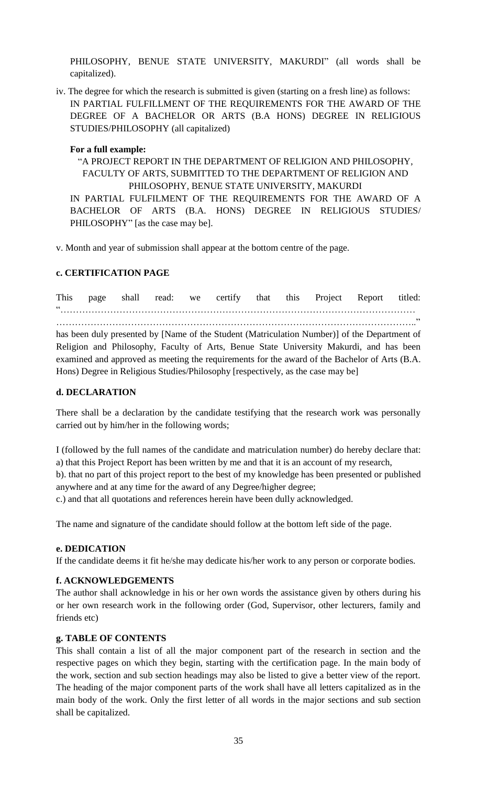PHILOSOPHY, BENUE STATE UNIVERSITY, MAKURDI" (all words shall be capitalized).

iv. The degree for which the research is submitted is given (starting on a fresh line) as follows: IN PARTIAL FULFILLMENT OF THE REQUIREMENTS FOR THE AWARD OF THE DEGREE OF A BACHELOR OR ARTS (B.A HONS) DEGREE IN RELIGIOUS STUDIES/PHILOSOPHY (all capitalized)

# **For a full example:**

"A PROJECT REPORT IN THE DEPARTMENT OF RELIGION AND PHILOSOPHY, FACULTY OF ARTS, SUBMITTED TO THE DEPARTMENT OF RELIGION AND PHILOSOPHY, BENUE STATE UNIVERSITY, MAKURDI IN PARTIAL FULFILMENT OF THE REQUIREMENTS FOR THE AWARD OF A BACHELOR OF ARTS (B.A. HONS) DEGREE IN RELIGIOUS STUDIES/ PHILOSOPHY" [as the case may be].

v. Month and year of submission shall appear at the bottom centre of the page.

# **c. CERTIFICATION PAGE**

This page shall read: we certify that this Project Report titled: ―……………………………………………………………………………………………………

……………………………………………………………………………………………………..‖ has been duly presented by [Name of the Student (Matriculation Number)] of the Department of Religion and Philosophy, Faculty of Arts, Benue State University Makurdi, and has been examined and approved as meeting the requirements for the award of the Bachelor of Arts (B.A. Hons) Degree in Religious Studies/Philosophy [respectively, as the case may be]

### **d. DECLARATION**

There shall be a declaration by the candidate testifying that the research work was personally carried out by him/her in the following words;

I (followed by the full names of the candidate and matriculation number) do hereby declare that: a) that this Project Report has been written by me and that it is an account of my research, b). that no part of this project report to the best of my knowledge has been presented or published anywhere and at any time for the award of any Degree/higher degree;

c.) and that all quotations and references herein have been dully acknowledged.

The name and signature of the candidate should follow at the bottom left side of the page.

### **e. DEDICATION**

If the candidate deems it fit he/she may dedicate his/her work to any person or corporate bodies.

### **f. ACKNOWLEDGEMENTS**

The author shall acknowledge in his or her own words the assistance given by others during his or her own research work in the following order (God, Supervisor, other lecturers, family and friends etc)

### **g. TABLE OF CONTENTS**

This shall contain a list of all the major component part of the research in section and the respective pages on which they begin, starting with the certification page. In the main body of the work, section and sub section headings may also be listed to give a better view of the report. The heading of the major component parts of the work shall have all letters capitalized as in the main body of the work. Only the first letter of all words in the major sections and sub section shall be capitalized.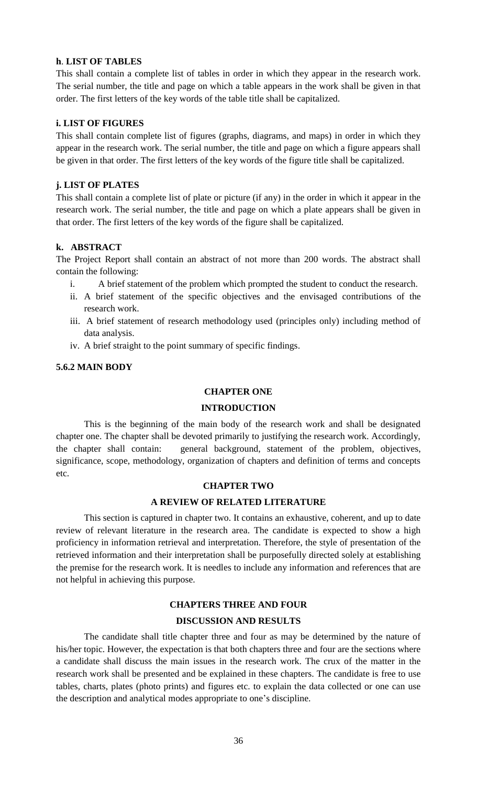### **h**. **LIST OF TABLES**

This shall contain a complete list of tables in order in which they appear in the research work. The serial number, the title and page on which a table appears in the work shall be given in that order. The first letters of the key words of the table title shall be capitalized.

### **i. LIST OF FIGURES**

This shall contain complete list of figures (graphs, diagrams, and maps) in order in which they appear in the research work. The serial number, the title and page on which a figure appears shall be given in that order. The first letters of the key words of the figure title shall be capitalized.

### **j. LIST OF PLATES**

This shall contain a complete list of plate or picture (if any) in the order in which it appear in the research work. The serial number, the title and page on which a plate appears shall be given in that order. The first letters of the key words of the figure shall be capitalized.

# **k. ABSTRACT**

The Project Report shall contain an abstract of not more than 200 words. The abstract shall contain the following:

- i. A brief statement of the problem which prompted the student to conduct the research.
- ii. A brief statement of the specific objectives and the envisaged contributions of the research work.
- iii. A brief statement of research methodology used (principles only) including method of data analysis.
- iv. A brief straight to the point summary of specific findings.

# **5.6.2 MAIN BODY**

### **CHAPTER ONE**

### **INTRODUCTION**

This is the beginning of the main body of the research work and shall be designated chapter one. The chapter shall be devoted primarily to justifying the research work. Accordingly, the chapter shall contain: general background, statement of the problem, objectives, significance, scope, methodology, organization of chapters and definition of terms and concepts etc.

### **CHAPTER TWO**

### **A REVIEW OF RELATED LITERATURE**

This section is captured in chapter two. It contains an exhaustive, coherent, and up to date review of relevant literature in the research area. The candidate is expected to show a high proficiency in information retrieval and interpretation. Therefore, the style of presentation of the retrieved information and their interpretation shall be purposefully directed solely at establishing the premise for the research work. It is needles to include any information and references that are not helpful in achieving this purpose.

# **CHAPTERS THREE AND FOUR DISCUSSION AND RESULTS**

The candidate shall title chapter three and four as may be determined by the nature of his/her topic. However, the expectation is that both chapters three and four are the sections where a candidate shall discuss the main issues in the research work. The crux of the matter in the research work shall be presented and be explained in these chapters. The candidate is free to use tables, charts, plates (photo prints) and figures etc. to explain the data collected or one can use the description and analytical modes appropriate to one's discipline.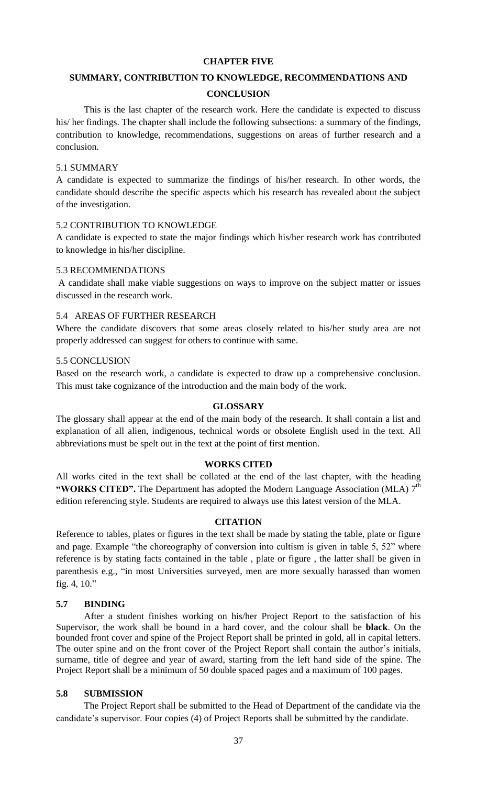### **CHAPTER FIVE**

### **SUMMARY, CONTRIBUTION TO KNOWLEDGE, RECOMMENDATIONS AND**

### **CONCLUSION**

This is the last chapter of the research work. Here the candidate is expected to discuss his/ her findings. The chapter shall include the following subsections: a summary of the findings, contribution to knowledge, recommendations, suggestions on areas of further research and a conclusion.

### 5.1 SUMMARY

A candidate is expected to summarize the findings of his/her research. In other words, the candidate should describe the specific aspects which his research has revealed about the subject of the investigation.

### 5.2 CONTRIBUTION TO KNOWLEDGE

A candidate is expected to state the major findings which his/her research work has contributed to knowledge in his/her discipline.

### 5.3 RECOMMENDATIONS

A candidate shall make viable suggestions on ways to improve on the subject matter or issues discussed in the research work.

### 5.4 AREAS OF FURTHER RESEARCH

Where the candidate discovers that some areas closely related to his/her study area are not properly addressed can suggest for others to continue with same.

### 5.5 CONCLUSION

Based on the research work, a candidate is expected to draw up a comprehensive conclusion. This must take cognizance of the introduction and the main body of the work.

### **GLOSSARY**

The glossary shall appear at the end of the main body of the research. It shall contain a list and explanation of all alien, indigenous, technical words or obsolete English used in the text. All abbreviations must be spelt out in the text at the point of first mention.

#### **WORKS CITED**

All works cited in the text shall be collated at the end of the last chapter, with the heading "WORKS CITED". The Department has adopted the Modern Language Association (MLA) 7<sup>th</sup> edition referencing style. Students are required to always use this latest version of the MLA.

### **CITATION**

Reference to tables, plates or figures in the text shall be made by stating the table, plate or figure and page. Example "the choreography of conversion into cultism is given in table 5, 52" where reference is by stating facts contained in the table , plate or figure , the latter shall be given in parenthesis e.g., "in most Universities surveyed, men are more sexually harassed than women fig. 4,  $10."$ 

### **5.7 BINDING**

After a student finishes working on his/her Project Report to the satisfaction of his Supervisor, the work shall be bound in a hard cover, and the colour shall be **black**. On the bounded front cover and spine of the Project Report shall be printed in gold, all in capital letters. The outer spine and on the front cover of the Project Report shall contain the author's initials, surname, title of degree and year of award, starting from the left hand side of the spine. The Project Report shall be a minimum of 50 double spaced pages and a maximum of 100 pages.

### **5.8 SUBMISSION**

The Project Report shall be submitted to the Head of Department of the candidate via the candidate's supervisor. Four copies (4) of Project Reports shall be submitted by the candidate.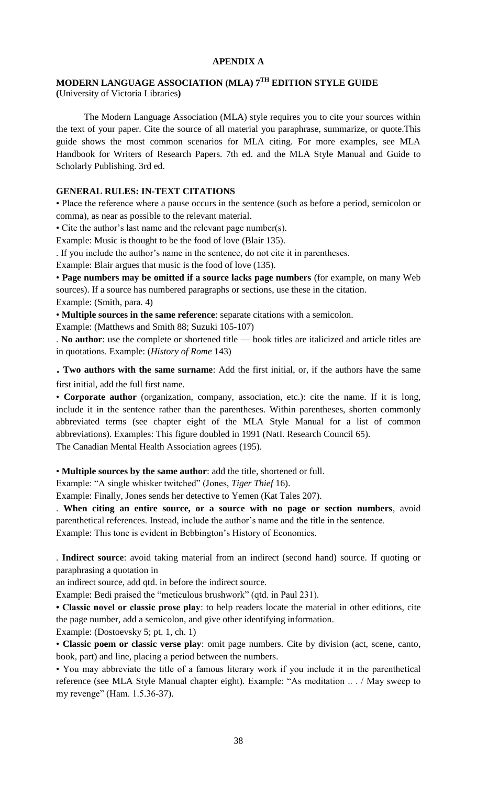# **APENDIX A**

# **MODERN LANGUAGE ASSOCIATION (MLA) 7TH EDITION STYLE GUIDE**

**(**University of Victoria Libraries**)**

The Modern Language Association (MLA) style requires you to cite your sources within the text of your paper. Cite the source of all material you paraphrase, summarize, or quote.This guide shows the most common scenarios for MLA citing. For more examples, see MLA Handbook for Writers of Research Papers. 7th ed. and the MLA Style Manual and Guide to Scholarly Publishing. 3rd ed.

## **GENERAL RULES: IN-TEXT CITATIONS**

• Place the reference where a pause occurs in the sentence (such as before a period, semicolon or comma), as near as possible to the relevant material.

• Cite the author's last name and the relevant page number(s).

Example: Music is thought to be the food of love (Blair 135).

. If you include the author's name in the sentence, do not cite it in parentheses.

Example: Blair argues that music is the food of love (135).

• **Page numbers may be omitted if a source lacks page numbers** (for example, on many Web sources). If a source has numbered paragraphs or sections, use these in the citation.

Example: (Smith, para. 4)

• **Multiple sources in the same reference**: separate citations with a semicolon.

Example: (Matthews and Smith 88; Suzuki 105-107)

. **No author**: use the complete or shortened title — book titles are italicized and article titles are in quotations. Example: (*History of Rome* 143)

. **Two authors with the same surname**: Add the first initial, or, if the authors have the same first initial, add the full first name.

• **Corporate author** (organization, company, association, etc.): cite the name. If it is long, include it in the sentence rather than the parentheses. Within parentheses, shorten commonly abbreviated terms (see chapter eight of the MLA Style Manual for a list of common abbreviations). Examples: This figure doubled in 1991 (NatI. Research Council 65). The Canadian Mental Health Association agrees (195).

• **Multiple sources by the same author**: add the title, shortened or full.

Example: "A single whisker twitched" (Jones, *Tiger Thief* 16).

Example: Finally, Jones sends her detective to Yemen (Kat Tales 207).

. **When citing an entire source, or a source with no page or section numbers**, avoid parenthetical references. Instead, include the author's name and the title in the sentence. Example: This tone is evident in Bebbington's History of Economics.

. **Indirect source**: avoid taking material from an indirect (second hand) source. If quoting or paraphrasing a quotation in

an indirect source, add qtd. in before the indirect source.

Example: Bedi praised the "meticulous brushwork" (qtd. in Paul 231).

**• Classic novel or classic prose play**: to help readers locate the material in other editions, cite the page number, add a semicolon, and give other identifying information.

Example: (Dostoevsky 5; pt. 1, ch. 1)

• **Classic poem or classic verse play**: omit page numbers. Cite by division (act, scene, canto, book, part) and line, placing a period between the numbers.

• You may abbreviate the title of a famous literary work if you include it in the parenthetical reference (see MLA Style Manual chapter eight). Example: "As meditation ... / May sweep to my revenge" (Ham. 1.5.36-37).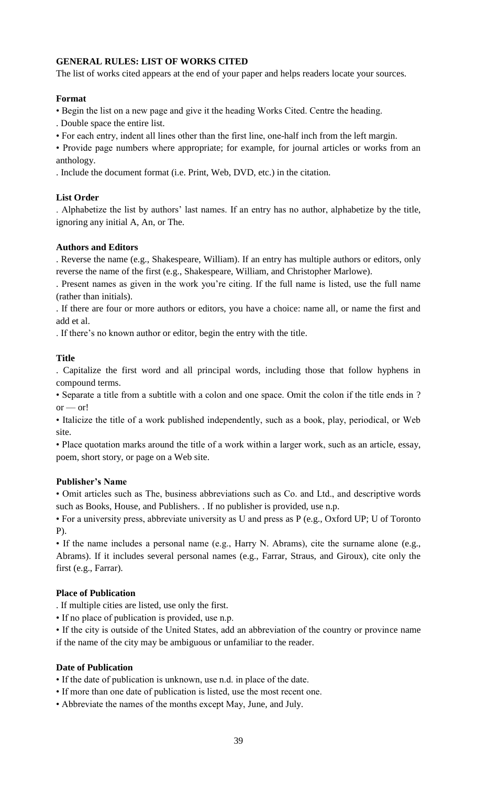# **GENERAL RULES: LIST OF WORKS CITED**

The list of works cited appears at the end of your paper and helps readers locate your sources.

# **Format**

• Begin the list on a new page and give it the heading Works Cited. Centre the heading.

. Double space the entire list.

• For each entry, indent all lines other than the first line, one-half inch from the left margin.

• Provide page numbers where appropriate; for example, for journal articles or works from an anthology.

. Include the document format (i.e. Print, Web, DVD, etc.) in the citation.

# **List Order**

. Alphabetize the list by authors' last names. If an entry has no author, alphabetize by the title, ignoring any initial A, An, or The.

# **Authors and Editors**

. Reverse the name (e.g., Shakespeare, William). If an entry has multiple authors or editors, only reverse the name of the first (e.g., Shakespeare, William, and Christopher Marlowe).

. Present names as given in the work you're citing. If the full name is listed, use the full name (rather than initials).

. If there are four or more authors or editors, you have a choice: name all, or name the first and add et al.

. If there's no known author or editor, begin the entry with the title.

# **Title**

. Capitalize the first word and all principal words, including those that follow hyphens in compound terms.

• Separate a title from a subtitle with a colon and one space. Omit the colon if the title ends in ?  $or - or!$ 

• Italicize the title of a work published independently, such as a book, play, periodical, or Web site.

• Place quotation marks around the title of a work within a larger work, such as an article, essay, poem, short story, or page on a Web site.

### **Publisher's Name**

• Omit articles such as The, business abbreviations such as Co. and Ltd., and descriptive words such as Books, House, and Publishers. . If no publisher is provided, use n.p.

• For a university press, abbreviate university as U and press as P (e.g., Oxford UP; U of Toronto P).

• If the name includes a personal name (e.g., Harry N. Abrams), cite the surname alone (e.g., Abrams). If it includes several personal names (e.g., Farrar, Straus, and Giroux), cite only the first (e.g., Farrar).

# **Place of Publication**

- . If multiple cities are listed, use only the first.
- If no place of publication is provided, use n.p.

• If the city is outside of the United States, add an abbreviation of the country or province name if the name of the city may be ambiguous or unfamiliar to the reader.

### **Date of Publication**

• If the date of publication is unknown, use n.d. in place of the date.

- If more than one date of publication is listed, use the most recent one.
- Abbreviate the names of the months except May, June, and July.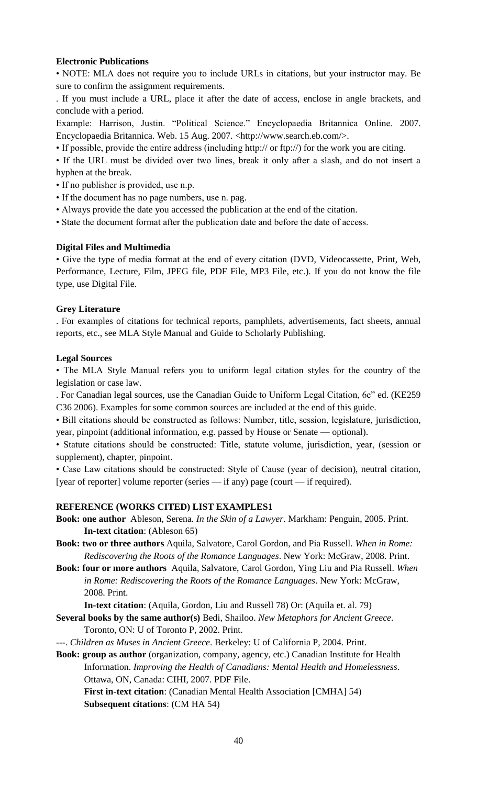# **Electronic Publications**

• NOTE: MLA does not require you to include URLs in citations, but your instructor may. Be sure to confirm the assignment requirements.

. If you must include a URL, place it after the date of access, enclose in angle brackets, and conclude with a period.

Example: Harrison, Justin. "Political Science." Encyclopaedia Britannica Online. 2007. Encyclopaedia Britannica. Web. 15 Aug. 2007. <http://www.search.eb.com/>.

• If possible, provide the entire address (including http:// or ftp://) for the work you are citing.

• If the URL must be divided over two lines, break it only after a slash, and do not insert a hyphen at the break.

- If no publisher is provided, use n.p.
- If the document has no page numbers, use n. pag.
- Always provide the date you accessed the publication at the end of the citation.
- State the document format after the publication date and before the date of access.

### **Digital Files and Multimedia**

• Give the type of media format at the end of every citation (DVD, Videocassette, Print, Web, Performance, Lecture, Film, JPEG file, PDF File, MP3 File, etc.). If you do not know the file type, use Digital File.

### **Grey Literature**

. For examples of citations for technical reports, pamphlets, advertisements, fact sheets, annual reports, etc., see MLA Style Manual and Guide to Scholarly Publishing.

### **Legal Sources**

• The MLA Style Manual refers you to uniform legal citation styles for the country of the legislation or case law.

. For Canadian legal sources, use the Canadian Guide to Uniform Legal Citation, 6e" ed. (KE259) C36 2006). Examples for some common sources are included at the end of this guide.

• Bill citations should be constructed as follows: Number, title, session, legislature, jurisdiction, year, pinpoint (additional information, e.g. passed by House or Senate — optional).

• Statute citations should be constructed: Title, statute volume, jurisdiction, year, (session or supplement), chapter, pinpoint.

• Case Law citations should be constructed: Style of Cause (year of decision), neutral citation, [year of reporter] volume reporter (series — if any) page (court — if required).

### **REFERENCE (WORKS CITED) LIST EXAMPLES1**

**Book: one author** Ableson, Serena. *In the Skin of a Lawyer*. Markham: Penguin, 2005. Print. **In-text citation**: (Ableson 65)

**Book: two or three authors** Aquila, Salvatore, Carol Gordon, and Pia Russell. *When in Rome: Rediscovering the Roots of the Romance Languages*. New York: McGraw, 2008. Print.

**Book: four or more authors** Aquila, Salvatore, Carol Gordon, Ying Liu and Pia Russell. *When in Rome: Rediscovering the Roots of the Romance Languages*. New York: McGraw, 2008. Print.

**In-text citation**: (Aquila, Gordon, Liu and Russell 78) Or: (Aquila et. al. 79)

- **Several books by the same author(s)** Bedi, Shailoo. *New Metaphors for Ancient Greece*. Toronto, ON: U of Toronto P, 2002. Print.
- ---. *Children as Muses in Ancient Greece*. Berkeley: U of California P, 2004. Print.

**Book: group as author** (organization, company, agency, etc.) Canadian Institute for Health Information. *Improving the Health of Canadians: Mental Health and Homelessness*. Ottawa, ON, Canada: CIHI, 2007. PDF File.

**First in-text citation**: (Canadian Mental Health Association [CMHA] 54) **Subsequent citations**: (CM HA 54)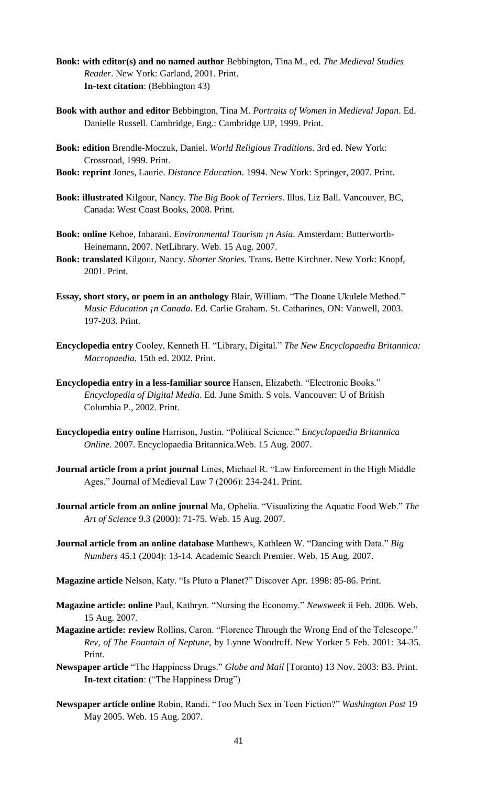- **Book: with editor(s) and no named author** Bebbington, Tina M., ed. *The Medieval Studies Reader*. New York: Garland, 2001. Print. **In-text citation**: (Bebbington 43)
- **Book with author and editor** Bebbington, Tina M. *Portraits of Women in Medieval Japan*. Ed. Danielle Russell. Cambridge, Eng.: Cambridge UP, 1999. Print.
- **Book: edition** Brendle-Moczuk, Daniel. *World Religious Traditions*. 3rd ed. New York: Crossroad, 1999. Print.
- **Book: reprint** Jones, Laurie. *Distance Education*. 1994. New York: Springer, 2007. Print.
- **Book: illustrated** Kilgour, Nancy. *The Big Book of Terriers*. Illus. Liz Ball. Vancouver, BC, Canada: West Coast Books, 2008. Print.
- **Book: online** Kehoe, Inbarani. *Environmental Tourism ¡n Asia*. Amsterdam: Butterworth-Heinemann, 2007. NetLibrary. Web. 15 Aug. 2007.
- **Book: translated** Kilgour, Nancy. *Shorter Stories*. Trans. Bette Kirchner. New York: Knopf, 2001. Print.
- Essay, short story, or poem in an anthology Blair, William. "The Doane Ukulele Method." *Music Education ¡n Canada*. Ed. Carlie Graham. St. Catharines, ON: Vanwell, 2003. 197-203. Print.
- Encyclopedia entry Cooley, Kenneth H. "Library, Digital." The New Encyclopaedia Britannica: *Macropaedia*. 15th ed. 2002. Print.
- **Encyclopedia entry in a less-familiar source** Hansen, Elizabeth. "Electronic Books." *Encyclopedia of Digital Media*. Ed. June Smith. S vols. Vancouver: U of British Columbia P., 2002. Print.
- **Encyclopedia entry online** Harrison, Justin. ―Political Science.‖ *Encyclopaedia Britannica Online*. 2007. Encyclopaedia Britannica.Web. 15 Aug. 2007.
- **Journal article from a print journal** Lines, Michael R. "Law Enforcement in the High Middle Ages." Journal of Medieval Law 7 (2006): 234-241. Print.
- **Journal article from an online journal** Ma, Ophelia. "Visualizing the Aquatic Food Web." The *Art of Science* 9.3 (2000): 71-75. Web. 15 Aug. 2007.
- **Journal article from an online database** Matthews, Kathleen W. "Dancing with Data." Big *Numbers* 45.1 (2004): 13-14. Academic Search Premier. Web. 15 Aug. 2007.
- Magazine article Nelson, Katy. "Is Pluto a Planet?" Discover Apr. 1998: 85-86. Print.
- **Magazine article: online** Paul, Kathryn. "Nursing the Economy." Newsweek ii Feb. 2006. Web. 15 Aug. 2007.
- **Magazine article: review** Rollins, Caron. "Florence Through the Wrong End of the Telescope." *Rev, of The Fountain of Neptune*, by Lynne Woodruff. New Yorker 5 Feb. 2001: 34-35. Print.
- Newspaper article "The Happiness Drugs." *Globe and Mail* [Toronto) 13 Nov. 2003: B3. Print. **In-text citation**: ("The Happiness Drug")
- Newspaper article online Robin, Randi. "Too Much Sex in Teen Fiction?" *Washington Post* 19 May 2005. Web. 15 Aug. 2007.